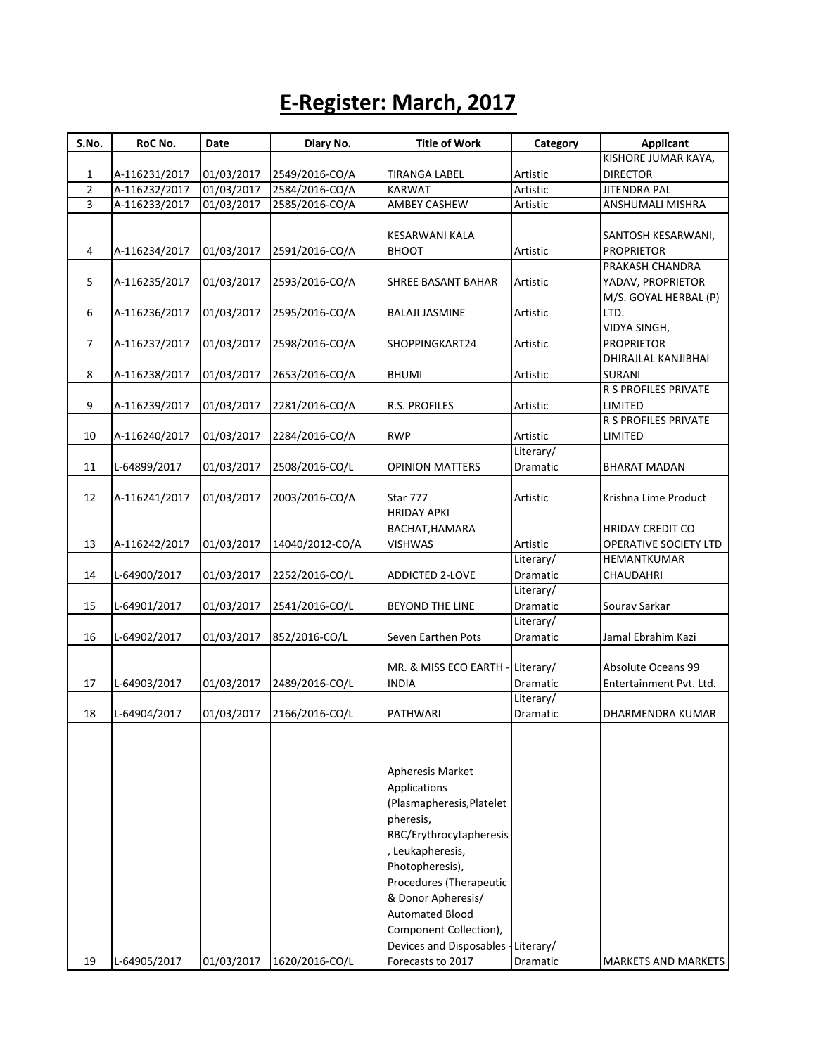## **E-Register: March, 2017**

| S.No.          | RoC No.       | Date       | Diary No.       | <b>Title of Work</b>                | Category        | <b>Applicant</b>        |
|----------------|---------------|------------|-----------------|-------------------------------------|-----------------|-------------------------|
|                |               |            |                 |                                     |                 | KISHORE JUMAR KAYA,     |
| $\mathbf{1}$   | A-116231/2017 | 01/03/2017 | 2549/2016-CO/A  | <b>TIRANGA LABEL</b>                | Artistic        | <b>DIRECTOR</b>         |
| $\overline{2}$ | A-116232/2017 | 01/03/2017 | 2584/2016-CO/A  | <b>KARWAT</b>                       | Artistic        | <b>JITENDRA PAL</b>     |
| 3              | A-116233/2017 | 01/03/2017 | 2585/2016-CO/A  | AMBEY CASHEW                        | Artistic        | ANSHUMALI MISHRA        |
|                |               |            |                 |                                     |                 |                         |
|                |               |            |                 | KESARWANI KALA                      |                 | SANTOSH KESARWANI,      |
| 4              | A-116234/2017 | 01/03/2017 | 2591/2016-CO/A  | <b>BHOOT</b>                        | Artistic        | <b>PROPRIETOR</b>       |
|                |               |            |                 |                                     |                 | PRAKASH CHANDRA         |
| 5              | A-116235/2017 | 01/03/2017 | 2593/2016-CO/A  | SHREE BASANT BAHAR                  | Artistic        | YADAV, PROPRIETOR       |
|                |               |            |                 |                                     |                 | M/S. GOYAL HERBAL (P)   |
| 6              | A-116236/2017 | 01/03/2017 | 2595/2016-CO/A  | <b>BALAJI JASMINE</b>               | Artistic        | LTD.                    |
|                |               |            |                 |                                     |                 | <b>VIDYA SINGH,</b>     |
| 7              | A-116237/2017 | 01/03/2017 | 2598/2016-CO/A  | SHOPPINGKART24                      | Artistic        | <b>PROPRIETOR</b>       |
|                |               |            |                 |                                     |                 | DHIRAJLAL KANJIBHAI     |
| 8              | A-116238/2017 | 01/03/2017 | 2653/2016-CO/A  | <b>BHUMI</b>                        | Artistic        | <b>SURANI</b>           |
|                |               |            |                 |                                     |                 | R S PROFILES PRIVATE    |
| 9              | A-116239/2017 | 01/03/2017 | 2281/2016-CO/A  | R.S. PROFILES                       | Artistic        | LIMITED                 |
|                |               |            |                 |                                     |                 | R S PROFILES PRIVATE    |
| 10             | A-116240/2017 | 01/03/2017 | 2284/2016-CO/A  | <b>RWP</b>                          | Artistic        | LIMITED                 |
|                |               |            |                 |                                     | Literary/       |                         |
| 11             | L-64899/2017  | 01/03/2017 | 2508/2016-CO/L  | <b>OPINION MATTERS</b>              | Dramatic        | <b>BHARAT MADAN</b>     |
|                |               |            |                 |                                     |                 |                         |
| 12             | A-116241/2017 | 01/03/2017 | 2003/2016-CO/A  | Star 777<br><b>HRIDAY APKI</b>      | Artistic        | Krishna Lime Product    |
|                |               |            |                 | BACHAT, HAMARA                      |                 | <b>HRIDAY CREDIT CO</b> |
| 13             |               |            |                 | <b>VISHWAS</b>                      | Artistic        | OPERATIVE SOCIETY LTD   |
|                | A-116242/2017 | 01/03/2017 | 14040/2012-CO/A |                                     | Literary/       | HEMANTKUMAR             |
| 14             | L-64900/2017  | 01/03/2017 | 2252/2016-CO/L  | <b>ADDICTED 2-LOVE</b>              | Dramatic        | CHAUDAHRI               |
|                |               |            |                 |                                     | Literary/       |                         |
| 15             | L-64901/2017  | 01/03/2017 | 2541/2016-CO/L  | BEYOND THE LINE                     | <b>Dramatic</b> | Sourav Sarkar           |
|                |               |            |                 |                                     | Literary/       |                         |
| 16             | L-64902/2017  | 01/03/2017 | 852/2016-CO/L   | Seven Earthen Pots                  | Dramatic        | Jamal Ebrahim Kazi      |
|                |               |            |                 |                                     |                 |                         |
|                |               |            |                 | MR. & MISS ECO EARTH                | -Literary/      | Absolute Oceans 99      |
| 17             | L-64903/2017  | 01/03/2017 | 2489/2016-CO/L  | INDIA                               | <b>Dramatic</b> | Entertainment Pvt. Ltd. |
|                |               |            |                 |                                     | Literary/       |                         |
| 18             | L-64904/2017  | 01/03/2017 | 2166/2016-CO/L  | PATHWARI                            | Dramatic        | DHARMENDRA KUMAR        |
|                |               |            |                 |                                     |                 |                         |
|                |               |            |                 | Apheresis Market                    |                 |                         |
|                |               |            |                 | Applications                        |                 |                         |
|                |               |            |                 | (Plasmapheresis, Platelet           |                 |                         |
|                |               |            |                 | pheresis,                           |                 |                         |
|                |               |            |                 | RBC/Erythrocytapheresis             |                 |                         |
|                |               |            |                 | , Leukapheresis,                    |                 |                         |
|                |               |            |                 | Photopheresis),                     |                 |                         |
|                |               |            |                 | Procedures (Therapeutic             |                 |                         |
|                |               |            |                 | & Donor Apheresis/                  |                 |                         |
|                |               |            |                 | <b>Automated Blood</b>              |                 |                         |
|                |               |            |                 | Component Collection),              |                 |                         |
|                |               |            |                 | Devices and Disposables - Literary/ |                 |                         |
| 19             | L-64905/2017  | 01/03/2017 | 1620/2016-CO/L  | Forecasts to 2017                   | Dramatic        | MARKETS AND MARKETS     |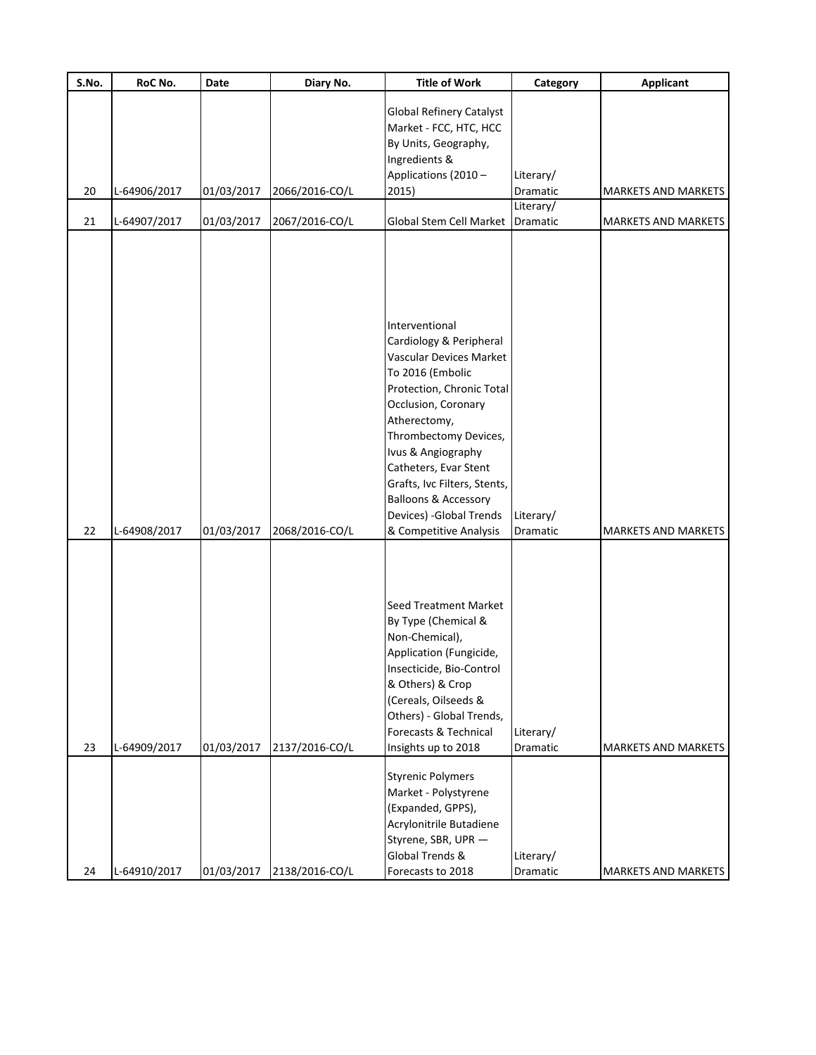| S.No.    | RoC No.                      | Date                     | Diary No.                        | <b>Title of Work</b>                                                                                                                                                                                                                                                                                                                                                               | Category                          | <b>Applicant</b>                                         |
|----------|------------------------------|--------------------------|----------------------------------|------------------------------------------------------------------------------------------------------------------------------------------------------------------------------------------------------------------------------------------------------------------------------------------------------------------------------------------------------------------------------------|-----------------------------------|----------------------------------------------------------|
| 20       | L-64906/2017                 | 01/03/2017               | 2066/2016-CO/L                   | <b>Global Refinery Catalyst</b><br>Market - FCC, HTC, HCC<br>By Units, Geography,<br>Ingredients &<br>Applications (2010 -<br>2015)                                                                                                                                                                                                                                                | Literary/<br>Dramatic             | <b>MARKETS AND MARKETS</b>                               |
| 21       | L-64907/2017                 | 01/03/2017               | 2067/2016-CO/L                   | Global Stem Cell Market                                                                                                                                                                                                                                                                                                                                                            | Literary/<br>Dramatic             | <b>MARKETS AND MARKETS</b>                               |
|          |                              |                          |                                  | Interventional<br>Cardiology & Peripheral<br><b>Vascular Devices Market</b><br>To 2016 (Embolic<br>Protection, Chronic Total<br>Occlusion, Coronary<br>Atherectomy,<br>Thrombectomy Devices,<br>Ivus & Angiography<br>Catheters, Evar Stent<br>Grafts, Ivc Filters, Stents,<br><b>Balloons &amp; Accessory</b><br>Devices) - Global Trends                                         | Literary/                         |                                                          |
| 22<br>23 | L-64908/2017<br>L-64909/2017 | 01/03/2017<br>01/03/2017 | 2068/2016-CO/L<br>2137/2016-CO/L | & Competitive Analysis<br><b>Seed Treatment Market</b><br>By Type (Chemical &<br>Non-Chemical),<br>Application (Fungicide,<br>Insecticide, Bio-Control<br>& Others) & Crop<br>(Cereals, Oilseeds &<br>Others) - Global Trends,<br>Forecasts & Technical<br>Insights up to 2018<br><b>Styrenic Polymers</b><br>Market - Polystyrene<br>(Expanded, GPPS),<br>Acrylonitrile Butadiene | Dramatic<br>Literary/<br>Dramatic | <b>MARKETS AND MARKETS</b><br><b>MARKETS AND MARKETS</b> |
| 24       | L-64910/2017                 | 01/03/2017               | 2138/2016-CO/L                   | Styrene, SBR, UPR -<br>Global Trends &<br>Forecasts to 2018                                                                                                                                                                                                                                                                                                                        | Literary/<br>Dramatic             | MARKETS AND MARKETS                                      |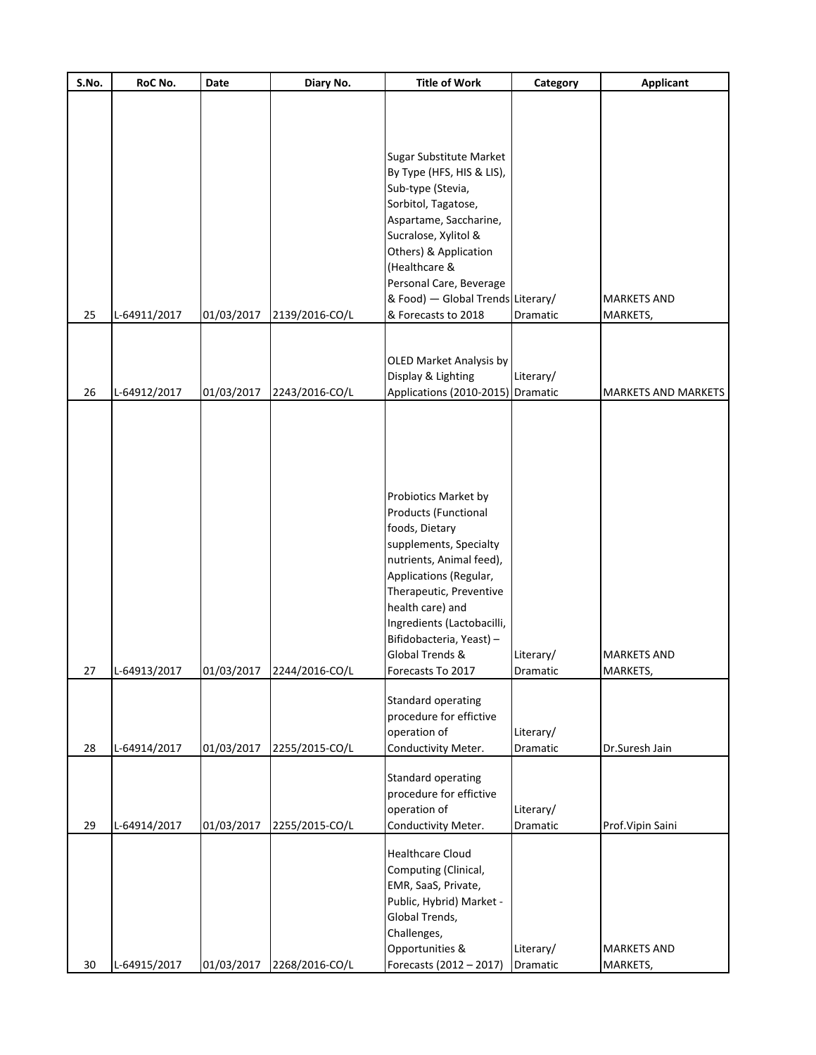| S.No. | RoC No.      | Date       | Diary No.      | <b>Title of Work</b>                                                                                                                                                                                                                                                                            | Category              | <b>Applicant</b>               |
|-------|--------------|------------|----------------|-------------------------------------------------------------------------------------------------------------------------------------------------------------------------------------------------------------------------------------------------------------------------------------------------|-----------------------|--------------------------------|
|       |              |            |                |                                                                                                                                                                                                                                                                                                 |                       |                                |
| 25    | L-64911/2017 | 01/03/2017 | 2139/2016-CO/L | Sugar Substitute Market<br>By Type (HFS, HIS & LIS),<br>Sub-type (Stevia,<br>Sorbitol, Tagatose,<br>Aspartame, Saccharine,<br>Sucralose, Xylitol &<br>Others) & Application<br>(Healthcare &<br>Personal Care, Beverage<br>& Food) - Global Trends Literary/<br>& Forecasts to 2018             | Dramatic              | <b>MARKETS AND</b><br>MARKETS, |
|       |              |            |                |                                                                                                                                                                                                                                                                                                 |                       |                                |
| 26    | L-64912/2017 | 01/03/2017 | 2243/2016-CO/L | <b>OLED Market Analysis by</b><br>Display & Lighting<br>Applications (2010-2015) Dramatic                                                                                                                                                                                                       | Literary/             | MARKETS AND MARKETS            |
| 27    | L-64913/2017 | 01/03/2017 | 2244/2016-CO/L | Probiotics Market by<br>Products (Functional<br>foods, Dietary<br>supplements, Specialty<br>nutrients, Animal feed),<br>Applications (Regular,<br>Therapeutic, Preventive<br>health care) and<br>Ingredients (Lactobacilli,<br>Bifidobacteria, Yeast) -<br>Global Trends &<br>Forecasts To 2017 | Literary/<br>Dramatic | <b>MARKETS AND</b><br>MARKETS, |
| 28    | L-64914/2017 | 01/03/2017 | 2255/2015-CO/L | Standard operating<br>procedure for effictive<br>operation of<br>Conductivity Meter.                                                                                                                                                                                                            | Literary/<br>Dramatic | Dr.Suresh Jain                 |
| 29    | L-64914/2017 | 01/03/2017 | 2255/2015-CO/L | Standard operating<br>procedure for effictive<br>operation of<br>Conductivity Meter.                                                                                                                                                                                                            | Literary/<br>Dramatic | Prof. Vipin Saini              |
| 30    | L-64915/2017 | 01/03/2017 | 2268/2016-CO/L | <b>Healthcare Cloud</b><br>Computing (Clinical,<br>EMR, SaaS, Private,<br>Public, Hybrid) Market -<br>Global Trends,<br>Challenges,<br>Opportunities &<br>Forecasts (2012 - 2017)                                                                                                               | Literary/<br>Dramatic | <b>MARKETS AND</b><br>MARKETS, |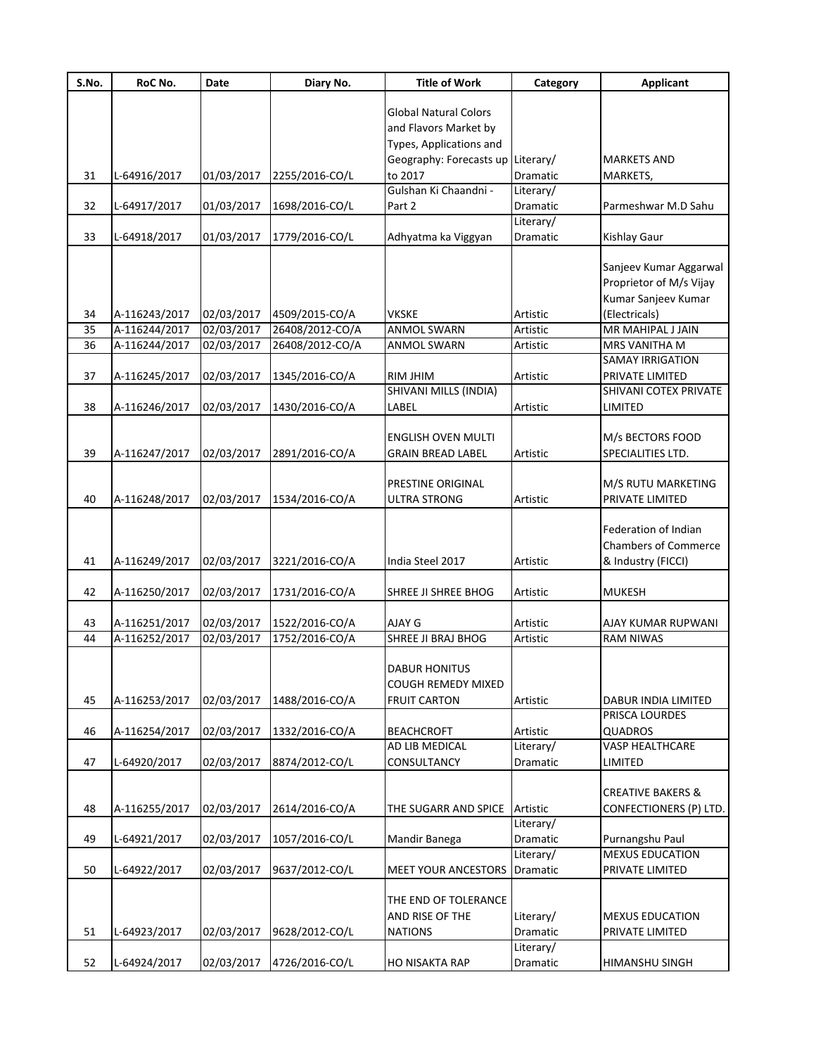| Global Natural Colors<br>and Flavors Market by<br>Types, Applications and<br>Geography: Forecasts up Literary/<br><b>MARKETS AND</b><br>to 2017<br>31<br>2255/2016-CO/L<br>Dramatic<br>L-64916/2017<br>01/03/2017<br>MARKETS,<br>Gulshan Ki Chaandni -<br>Literary/<br>32<br>01/03/2017<br>1698/2016-CO/L<br>Part 2<br>Dramatic<br>L-64917/2017<br>Parmeshwar M.D Sahu<br>Literary/<br>33<br>L-64918/2017<br>01/03/2017<br>1779/2016-CO/L<br><b>Kishlay Gaur</b><br>Adhyatma ka Viggyan<br>Dramatic<br>Sanjeev Kumar Aggarwal<br>Proprietor of M/s Vijay<br>Kumar Sanjeev Kumar<br>A-116243/2017<br>02/03/2017<br>4509/2015-CO/A<br><b>VKSKE</b><br>(Electricals)<br>34<br>Artistic<br>35<br>26408/2012-CO/A<br>MR MAHIPAL J JAIN<br>A-116244/2017<br>02/03/2017<br><b>ANMOL SWARN</b><br>Artistic<br>36<br>A-116244/2017<br>02/03/2017<br>26408/2012-CO/A<br>ANMOL SWARN<br>MRS VANITHA M<br>Artistic<br><b>SAMAY IRRIGATION</b><br>37<br>A-116245/2017<br>02/03/2017<br>1345/2016-CO/A<br>RIM JHIM<br>PRIVATE LIMITED<br>Artistic<br>SHIVANI MILLS (INDIA)<br>SHIVANI COTEX PRIVATE<br>38<br>A-116246/2017<br>02/03/2017<br>1430/2016-CO/A<br>LABEL<br>LIMITED<br>Artistic<br>M/s BECTORS FOOD<br>ENGLISH OVEN MULTI<br>39<br>02/03/2017<br>2891/2016-CO/A<br>SPECIALITIES LTD.<br>A-116247/2017<br><b>GRAIN BREAD LABEL</b><br>Artistic<br>M/S RUTU MARKETING<br>PRESTINE ORIGINAL<br>PRIVATE LIMITED<br>40<br>A-116248/2017<br>02/03/2017<br>1534/2016-CO/A<br>ULTRA STRONG<br>Artistic<br>Federation of Indian<br><b>Chambers of Commerce</b><br>02/03/2017<br>41<br>A-116249/2017<br>3221/2016-CO/A<br>India Steel 2017<br>Artistic<br>& Industry (FICCI)<br>42<br>02/03/2017<br>A-116250/2017<br>1731/2016-CO/A<br>SHREE JI SHREE BHOG<br><b>MUKESH</b><br>Artistic<br>43<br>A-116251/2017<br>02/03/2017<br>1522/2016-CO/A<br>AJAY G<br>Artistic<br>AJAY KUMAR RUPWANI<br>1752/2016-CO/A<br>A-116252/2017<br>02/03/2017<br>SHREE JI BRAJ BHOG<br>44<br>Artistic<br><b>RAM NIWAS</b><br><b>DABUR HONITUS</b><br>COUGH REMEDY MIXED<br>45<br>02/03/2017<br>1488/2016-CO/A<br>Artistic<br>A-116253/2017<br><b>FRUIT CARTON</b><br>DABUR INDIA LIMITED<br>PRISCA LOURDES<br>A-116254/2017<br><b>QUADROS</b><br>46<br>02/03/2017<br>1332/2016-CO/A<br><b>BEACHCROFT</b><br>Artistic<br>AD LIB MEDICAL<br>Literary/<br>VASP HEALTHCARE<br>47<br>LIMITED<br>L-64920/2017<br>02/03/2017<br>8874/2012-CO/L<br><b>CONSULTANCY</b><br>Dramatic<br><b>CREATIVE BAKERS &amp;</b><br>48<br>A-116255/2017<br>02/03/2017<br>2614/2016-CO/A<br>Artistic<br>CONFECTIONERS (P) LTD.<br>THE SUGARR AND SPICE<br>Literary/<br>49<br>L-64921/2017<br>Dramatic<br>Purnangshu Paul<br>02/03/2017<br>1057/2016-CO/L<br>Mandir Banega<br><b>MEXUS EDUCATION</b><br>Literary/<br>50<br>L-64922/2017<br>02/03/2017<br>9637/2012-CO/L<br>MEET YOUR ANCESTORS<br>Dramatic<br>PRIVATE LIMITED<br>THE END OF TOLERANCE<br>AND RISE OF THE<br>Literary/<br><b>MEXUS EDUCATION</b><br>Dramatic<br>51<br>L-64923/2017<br>02/03/2017<br>9628/2012-CO/L<br><b>NATIONS</b><br>PRIVATE LIMITED<br>Literary/<br>52<br>4726/2016-CO/L<br>L-64924/2017<br>02/03/2017<br><b>HO NISAKTA RAP</b><br>Dramatic<br>HIMANSHU SINGH | S.No. | RoC No. | <b>Date</b> | Diary No. | <b>Title of Work</b> | Category | <b>Applicant</b> |
|------------------------------------------------------------------------------------------------------------------------------------------------------------------------------------------------------------------------------------------------------------------------------------------------------------------------------------------------------------------------------------------------------------------------------------------------------------------------------------------------------------------------------------------------------------------------------------------------------------------------------------------------------------------------------------------------------------------------------------------------------------------------------------------------------------------------------------------------------------------------------------------------------------------------------------------------------------------------------------------------------------------------------------------------------------------------------------------------------------------------------------------------------------------------------------------------------------------------------------------------------------------------------------------------------------------------------------------------------------------------------------------------------------------------------------------------------------------------------------------------------------------------------------------------------------------------------------------------------------------------------------------------------------------------------------------------------------------------------------------------------------------------------------------------------------------------------------------------------------------------------------------------------------------------------------------------------------------------------------------------------------------------------------------------------------------------------------------------------------------------------------------------------------------------------------------------------------------------------------------------------------------------------------------------------------------------------------------------------------------------------------------------------------------------------------------------------------------------------------------------------------------------------------------------------------------------------------------------------------------------------------------------------------------------------------------------------------------------------------------------------------------------------------------------------------------------------------------------------------------------------------------------------------------------------------------------------------------------------------------------------------------------------------------------------------------------------------------------------------------------------------------------------------------------------------------|-------|---------|-------------|-----------|----------------------|----------|------------------|
|                                                                                                                                                                                                                                                                                                                                                                                                                                                                                                                                                                                                                                                                                                                                                                                                                                                                                                                                                                                                                                                                                                                                                                                                                                                                                                                                                                                                                                                                                                                                                                                                                                                                                                                                                                                                                                                                                                                                                                                                                                                                                                                                                                                                                                                                                                                                                                                                                                                                                                                                                                                                                                                                                                                                                                                                                                                                                                                                                                                                                                                                                                                                                                                          |       |         |             |           |                      |          |                  |
|                                                                                                                                                                                                                                                                                                                                                                                                                                                                                                                                                                                                                                                                                                                                                                                                                                                                                                                                                                                                                                                                                                                                                                                                                                                                                                                                                                                                                                                                                                                                                                                                                                                                                                                                                                                                                                                                                                                                                                                                                                                                                                                                                                                                                                                                                                                                                                                                                                                                                                                                                                                                                                                                                                                                                                                                                                                                                                                                                                                                                                                                                                                                                                                          |       |         |             |           |                      |          |                  |
|                                                                                                                                                                                                                                                                                                                                                                                                                                                                                                                                                                                                                                                                                                                                                                                                                                                                                                                                                                                                                                                                                                                                                                                                                                                                                                                                                                                                                                                                                                                                                                                                                                                                                                                                                                                                                                                                                                                                                                                                                                                                                                                                                                                                                                                                                                                                                                                                                                                                                                                                                                                                                                                                                                                                                                                                                                                                                                                                                                                                                                                                                                                                                                                          |       |         |             |           |                      |          |                  |
|                                                                                                                                                                                                                                                                                                                                                                                                                                                                                                                                                                                                                                                                                                                                                                                                                                                                                                                                                                                                                                                                                                                                                                                                                                                                                                                                                                                                                                                                                                                                                                                                                                                                                                                                                                                                                                                                                                                                                                                                                                                                                                                                                                                                                                                                                                                                                                                                                                                                                                                                                                                                                                                                                                                                                                                                                                                                                                                                                                                                                                                                                                                                                                                          |       |         |             |           |                      |          |                  |
|                                                                                                                                                                                                                                                                                                                                                                                                                                                                                                                                                                                                                                                                                                                                                                                                                                                                                                                                                                                                                                                                                                                                                                                                                                                                                                                                                                                                                                                                                                                                                                                                                                                                                                                                                                                                                                                                                                                                                                                                                                                                                                                                                                                                                                                                                                                                                                                                                                                                                                                                                                                                                                                                                                                                                                                                                                                                                                                                                                                                                                                                                                                                                                                          |       |         |             |           |                      |          |                  |
|                                                                                                                                                                                                                                                                                                                                                                                                                                                                                                                                                                                                                                                                                                                                                                                                                                                                                                                                                                                                                                                                                                                                                                                                                                                                                                                                                                                                                                                                                                                                                                                                                                                                                                                                                                                                                                                                                                                                                                                                                                                                                                                                                                                                                                                                                                                                                                                                                                                                                                                                                                                                                                                                                                                                                                                                                                                                                                                                                                                                                                                                                                                                                                                          |       |         |             |           |                      |          |                  |
|                                                                                                                                                                                                                                                                                                                                                                                                                                                                                                                                                                                                                                                                                                                                                                                                                                                                                                                                                                                                                                                                                                                                                                                                                                                                                                                                                                                                                                                                                                                                                                                                                                                                                                                                                                                                                                                                                                                                                                                                                                                                                                                                                                                                                                                                                                                                                                                                                                                                                                                                                                                                                                                                                                                                                                                                                                                                                                                                                                                                                                                                                                                                                                                          |       |         |             |           |                      |          |                  |
|                                                                                                                                                                                                                                                                                                                                                                                                                                                                                                                                                                                                                                                                                                                                                                                                                                                                                                                                                                                                                                                                                                                                                                                                                                                                                                                                                                                                                                                                                                                                                                                                                                                                                                                                                                                                                                                                                                                                                                                                                                                                                                                                                                                                                                                                                                                                                                                                                                                                                                                                                                                                                                                                                                                                                                                                                                                                                                                                                                                                                                                                                                                                                                                          |       |         |             |           |                      |          |                  |
|                                                                                                                                                                                                                                                                                                                                                                                                                                                                                                                                                                                                                                                                                                                                                                                                                                                                                                                                                                                                                                                                                                                                                                                                                                                                                                                                                                                                                                                                                                                                                                                                                                                                                                                                                                                                                                                                                                                                                                                                                                                                                                                                                                                                                                                                                                                                                                                                                                                                                                                                                                                                                                                                                                                                                                                                                                                                                                                                                                                                                                                                                                                                                                                          |       |         |             |           |                      |          |                  |
|                                                                                                                                                                                                                                                                                                                                                                                                                                                                                                                                                                                                                                                                                                                                                                                                                                                                                                                                                                                                                                                                                                                                                                                                                                                                                                                                                                                                                                                                                                                                                                                                                                                                                                                                                                                                                                                                                                                                                                                                                                                                                                                                                                                                                                                                                                                                                                                                                                                                                                                                                                                                                                                                                                                                                                                                                                                                                                                                                                                                                                                                                                                                                                                          |       |         |             |           |                      |          |                  |
|                                                                                                                                                                                                                                                                                                                                                                                                                                                                                                                                                                                                                                                                                                                                                                                                                                                                                                                                                                                                                                                                                                                                                                                                                                                                                                                                                                                                                                                                                                                                                                                                                                                                                                                                                                                                                                                                                                                                                                                                                                                                                                                                                                                                                                                                                                                                                                                                                                                                                                                                                                                                                                                                                                                                                                                                                                                                                                                                                                                                                                                                                                                                                                                          |       |         |             |           |                      |          |                  |
|                                                                                                                                                                                                                                                                                                                                                                                                                                                                                                                                                                                                                                                                                                                                                                                                                                                                                                                                                                                                                                                                                                                                                                                                                                                                                                                                                                                                                                                                                                                                                                                                                                                                                                                                                                                                                                                                                                                                                                                                                                                                                                                                                                                                                                                                                                                                                                                                                                                                                                                                                                                                                                                                                                                                                                                                                                                                                                                                                                                                                                                                                                                                                                                          |       |         |             |           |                      |          |                  |
|                                                                                                                                                                                                                                                                                                                                                                                                                                                                                                                                                                                                                                                                                                                                                                                                                                                                                                                                                                                                                                                                                                                                                                                                                                                                                                                                                                                                                                                                                                                                                                                                                                                                                                                                                                                                                                                                                                                                                                                                                                                                                                                                                                                                                                                                                                                                                                                                                                                                                                                                                                                                                                                                                                                                                                                                                                                                                                                                                                                                                                                                                                                                                                                          |       |         |             |           |                      |          |                  |
|                                                                                                                                                                                                                                                                                                                                                                                                                                                                                                                                                                                                                                                                                                                                                                                                                                                                                                                                                                                                                                                                                                                                                                                                                                                                                                                                                                                                                                                                                                                                                                                                                                                                                                                                                                                                                                                                                                                                                                                                                                                                                                                                                                                                                                                                                                                                                                                                                                                                                                                                                                                                                                                                                                                                                                                                                                                                                                                                                                                                                                                                                                                                                                                          |       |         |             |           |                      |          |                  |
|                                                                                                                                                                                                                                                                                                                                                                                                                                                                                                                                                                                                                                                                                                                                                                                                                                                                                                                                                                                                                                                                                                                                                                                                                                                                                                                                                                                                                                                                                                                                                                                                                                                                                                                                                                                                                                                                                                                                                                                                                                                                                                                                                                                                                                                                                                                                                                                                                                                                                                                                                                                                                                                                                                                                                                                                                                                                                                                                                                                                                                                                                                                                                                                          |       |         |             |           |                      |          |                  |
|                                                                                                                                                                                                                                                                                                                                                                                                                                                                                                                                                                                                                                                                                                                                                                                                                                                                                                                                                                                                                                                                                                                                                                                                                                                                                                                                                                                                                                                                                                                                                                                                                                                                                                                                                                                                                                                                                                                                                                                                                                                                                                                                                                                                                                                                                                                                                                                                                                                                                                                                                                                                                                                                                                                                                                                                                                                                                                                                                                                                                                                                                                                                                                                          |       |         |             |           |                      |          |                  |
|                                                                                                                                                                                                                                                                                                                                                                                                                                                                                                                                                                                                                                                                                                                                                                                                                                                                                                                                                                                                                                                                                                                                                                                                                                                                                                                                                                                                                                                                                                                                                                                                                                                                                                                                                                                                                                                                                                                                                                                                                                                                                                                                                                                                                                                                                                                                                                                                                                                                                                                                                                                                                                                                                                                                                                                                                                                                                                                                                                                                                                                                                                                                                                                          |       |         |             |           |                      |          |                  |
|                                                                                                                                                                                                                                                                                                                                                                                                                                                                                                                                                                                                                                                                                                                                                                                                                                                                                                                                                                                                                                                                                                                                                                                                                                                                                                                                                                                                                                                                                                                                                                                                                                                                                                                                                                                                                                                                                                                                                                                                                                                                                                                                                                                                                                                                                                                                                                                                                                                                                                                                                                                                                                                                                                                                                                                                                                                                                                                                                                                                                                                                                                                                                                                          |       |         |             |           |                      |          |                  |
|                                                                                                                                                                                                                                                                                                                                                                                                                                                                                                                                                                                                                                                                                                                                                                                                                                                                                                                                                                                                                                                                                                                                                                                                                                                                                                                                                                                                                                                                                                                                                                                                                                                                                                                                                                                                                                                                                                                                                                                                                                                                                                                                                                                                                                                                                                                                                                                                                                                                                                                                                                                                                                                                                                                                                                                                                                                                                                                                                                                                                                                                                                                                                                                          |       |         |             |           |                      |          |                  |
|                                                                                                                                                                                                                                                                                                                                                                                                                                                                                                                                                                                                                                                                                                                                                                                                                                                                                                                                                                                                                                                                                                                                                                                                                                                                                                                                                                                                                                                                                                                                                                                                                                                                                                                                                                                                                                                                                                                                                                                                                                                                                                                                                                                                                                                                                                                                                                                                                                                                                                                                                                                                                                                                                                                                                                                                                                                                                                                                                                                                                                                                                                                                                                                          |       |         |             |           |                      |          |                  |
|                                                                                                                                                                                                                                                                                                                                                                                                                                                                                                                                                                                                                                                                                                                                                                                                                                                                                                                                                                                                                                                                                                                                                                                                                                                                                                                                                                                                                                                                                                                                                                                                                                                                                                                                                                                                                                                                                                                                                                                                                                                                                                                                                                                                                                                                                                                                                                                                                                                                                                                                                                                                                                                                                                                                                                                                                                                                                                                                                                                                                                                                                                                                                                                          |       |         |             |           |                      |          |                  |
|                                                                                                                                                                                                                                                                                                                                                                                                                                                                                                                                                                                                                                                                                                                                                                                                                                                                                                                                                                                                                                                                                                                                                                                                                                                                                                                                                                                                                                                                                                                                                                                                                                                                                                                                                                                                                                                                                                                                                                                                                                                                                                                                                                                                                                                                                                                                                                                                                                                                                                                                                                                                                                                                                                                                                                                                                                                                                                                                                                                                                                                                                                                                                                                          |       |         |             |           |                      |          |                  |
|                                                                                                                                                                                                                                                                                                                                                                                                                                                                                                                                                                                                                                                                                                                                                                                                                                                                                                                                                                                                                                                                                                                                                                                                                                                                                                                                                                                                                                                                                                                                                                                                                                                                                                                                                                                                                                                                                                                                                                                                                                                                                                                                                                                                                                                                                                                                                                                                                                                                                                                                                                                                                                                                                                                                                                                                                                                                                                                                                                                                                                                                                                                                                                                          |       |         |             |           |                      |          |                  |
|                                                                                                                                                                                                                                                                                                                                                                                                                                                                                                                                                                                                                                                                                                                                                                                                                                                                                                                                                                                                                                                                                                                                                                                                                                                                                                                                                                                                                                                                                                                                                                                                                                                                                                                                                                                                                                                                                                                                                                                                                                                                                                                                                                                                                                                                                                                                                                                                                                                                                                                                                                                                                                                                                                                                                                                                                                                                                                                                                                                                                                                                                                                                                                                          |       |         |             |           |                      |          |                  |
|                                                                                                                                                                                                                                                                                                                                                                                                                                                                                                                                                                                                                                                                                                                                                                                                                                                                                                                                                                                                                                                                                                                                                                                                                                                                                                                                                                                                                                                                                                                                                                                                                                                                                                                                                                                                                                                                                                                                                                                                                                                                                                                                                                                                                                                                                                                                                                                                                                                                                                                                                                                                                                                                                                                                                                                                                                                                                                                                                                                                                                                                                                                                                                                          |       |         |             |           |                      |          |                  |
|                                                                                                                                                                                                                                                                                                                                                                                                                                                                                                                                                                                                                                                                                                                                                                                                                                                                                                                                                                                                                                                                                                                                                                                                                                                                                                                                                                                                                                                                                                                                                                                                                                                                                                                                                                                                                                                                                                                                                                                                                                                                                                                                                                                                                                                                                                                                                                                                                                                                                                                                                                                                                                                                                                                                                                                                                                                                                                                                                                                                                                                                                                                                                                                          |       |         |             |           |                      |          |                  |
|                                                                                                                                                                                                                                                                                                                                                                                                                                                                                                                                                                                                                                                                                                                                                                                                                                                                                                                                                                                                                                                                                                                                                                                                                                                                                                                                                                                                                                                                                                                                                                                                                                                                                                                                                                                                                                                                                                                                                                                                                                                                                                                                                                                                                                                                                                                                                                                                                                                                                                                                                                                                                                                                                                                                                                                                                                                                                                                                                                                                                                                                                                                                                                                          |       |         |             |           |                      |          |                  |
|                                                                                                                                                                                                                                                                                                                                                                                                                                                                                                                                                                                                                                                                                                                                                                                                                                                                                                                                                                                                                                                                                                                                                                                                                                                                                                                                                                                                                                                                                                                                                                                                                                                                                                                                                                                                                                                                                                                                                                                                                                                                                                                                                                                                                                                                                                                                                                                                                                                                                                                                                                                                                                                                                                                                                                                                                                                                                                                                                                                                                                                                                                                                                                                          |       |         |             |           |                      |          |                  |
|                                                                                                                                                                                                                                                                                                                                                                                                                                                                                                                                                                                                                                                                                                                                                                                                                                                                                                                                                                                                                                                                                                                                                                                                                                                                                                                                                                                                                                                                                                                                                                                                                                                                                                                                                                                                                                                                                                                                                                                                                                                                                                                                                                                                                                                                                                                                                                                                                                                                                                                                                                                                                                                                                                                                                                                                                                                                                                                                                                                                                                                                                                                                                                                          |       |         |             |           |                      |          |                  |
|                                                                                                                                                                                                                                                                                                                                                                                                                                                                                                                                                                                                                                                                                                                                                                                                                                                                                                                                                                                                                                                                                                                                                                                                                                                                                                                                                                                                                                                                                                                                                                                                                                                                                                                                                                                                                                                                                                                                                                                                                                                                                                                                                                                                                                                                                                                                                                                                                                                                                                                                                                                                                                                                                                                                                                                                                                                                                                                                                                                                                                                                                                                                                                                          |       |         |             |           |                      |          |                  |
|                                                                                                                                                                                                                                                                                                                                                                                                                                                                                                                                                                                                                                                                                                                                                                                                                                                                                                                                                                                                                                                                                                                                                                                                                                                                                                                                                                                                                                                                                                                                                                                                                                                                                                                                                                                                                                                                                                                                                                                                                                                                                                                                                                                                                                                                                                                                                                                                                                                                                                                                                                                                                                                                                                                                                                                                                                                                                                                                                                                                                                                                                                                                                                                          |       |         |             |           |                      |          |                  |
|                                                                                                                                                                                                                                                                                                                                                                                                                                                                                                                                                                                                                                                                                                                                                                                                                                                                                                                                                                                                                                                                                                                                                                                                                                                                                                                                                                                                                                                                                                                                                                                                                                                                                                                                                                                                                                                                                                                                                                                                                                                                                                                                                                                                                                                                                                                                                                                                                                                                                                                                                                                                                                                                                                                                                                                                                                                                                                                                                                                                                                                                                                                                                                                          |       |         |             |           |                      |          |                  |
|                                                                                                                                                                                                                                                                                                                                                                                                                                                                                                                                                                                                                                                                                                                                                                                                                                                                                                                                                                                                                                                                                                                                                                                                                                                                                                                                                                                                                                                                                                                                                                                                                                                                                                                                                                                                                                                                                                                                                                                                                                                                                                                                                                                                                                                                                                                                                                                                                                                                                                                                                                                                                                                                                                                                                                                                                                                                                                                                                                                                                                                                                                                                                                                          |       |         |             |           |                      |          |                  |
|                                                                                                                                                                                                                                                                                                                                                                                                                                                                                                                                                                                                                                                                                                                                                                                                                                                                                                                                                                                                                                                                                                                                                                                                                                                                                                                                                                                                                                                                                                                                                                                                                                                                                                                                                                                                                                                                                                                                                                                                                                                                                                                                                                                                                                                                                                                                                                                                                                                                                                                                                                                                                                                                                                                                                                                                                                                                                                                                                                                                                                                                                                                                                                                          |       |         |             |           |                      |          |                  |
|                                                                                                                                                                                                                                                                                                                                                                                                                                                                                                                                                                                                                                                                                                                                                                                                                                                                                                                                                                                                                                                                                                                                                                                                                                                                                                                                                                                                                                                                                                                                                                                                                                                                                                                                                                                                                                                                                                                                                                                                                                                                                                                                                                                                                                                                                                                                                                                                                                                                                                                                                                                                                                                                                                                                                                                                                                                                                                                                                                                                                                                                                                                                                                                          |       |         |             |           |                      |          |                  |
|                                                                                                                                                                                                                                                                                                                                                                                                                                                                                                                                                                                                                                                                                                                                                                                                                                                                                                                                                                                                                                                                                                                                                                                                                                                                                                                                                                                                                                                                                                                                                                                                                                                                                                                                                                                                                                                                                                                                                                                                                                                                                                                                                                                                                                                                                                                                                                                                                                                                                                                                                                                                                                                                                                                                                                                                                                                                                                                                                                                                                                                                                                                                                                                          |       |         |             |           |                      |          |                  |
|                                                                                                                                                                                                                                                                                                                                                                                                                                                                                                                                                                                                                                                                                                                                                                                                                                                                                                                                                                                                                                                                                                                                                                                                                                                                                                                                                                                                                                                                                                                                                                                                                                                                                                                                                                                                                                                                                                                                                                                                                                                                                                                                                                                                                                                                                                                                                                                                                                                                                                                                                                                                                                                                                                                                                                                                                                                                                                                                                                                                                                                                                                                                                                                          |       |         |             |           |                      |          |                  |
|                                                                                                                                                                                                                                                                                                                                                                                                                                                                                                                                                                                                                                                                                                                                                                                                                                                                                                                                                                                                                                                                                                                                                                                                                                                                                                                                                                                                                                                                                                                                                                                                                                                                                                                                                                                                                                                                                                                                                                                                                                                                                                                                                                                                                                                                                                                                                                                                                                                                                                                                                                                                                                                                                                                                                                                                                                                                                                                                                                                                                                                                                                                                                                                          |       |         |             |           |                      |          |                  |
|                                                                                                                                                                                                                                                                                                                                                                                                                                                                                                                                                                                                                                                                                                                                                                                                                                                                                                                                                                                                                                                                                                                                                                                                                                                                                                                                                                                                                                                                                                                                                                                                                                                                                                                                                                                                                                                                                                                                                                                                                                                                                                                                                                                                                                                                                                                                                                                                                                                                                                                                                                                                                                                                                                                                                                                                                                                                                                                                                                                                                                                                                                                                                                                          |       |         |             |           |                      |          |                  |
|                                                                                                                                                                                                                                                                                                                                                                                                                                                                                                                                                                                                                                                                                                                                                                                                                                                                                                                                                                                                                                                                                                                                                                                                                                                                                                                                                                                                                                                                                                                                                                                                                                                                                                                                                                                                                                                                                                                                                                                                                                                                                                                                                                                                                                                                                                                                                                                                                                                                                                                                                                                                                                                                                                                                                                                                                                                                                                                                                                                                                                                                                                                                                                                          |       |         |             |           |                      |          |                  |
|                                                                                                                                                                                                                                                                                                                                                                                                                                                                                                                                                                                                                                                                                                                                                                                                                                                                                                                                                                                                                                                                                                                                                                                                                                                                                                                                                                                                                                                                                                                                                                                                                                                                                                                                                                                                                                                                                                                                                                                                                                                                                                                                                                                                                                                                                                                                                                                                                                                                                                                                                                                                                                                                                                                                                                                                                                                                                                                                                                                                                                                                                                                                                                                          |       |         |             |           |                      |          |                  |
|                                                                                                                                                                                                                                                                                                                                                                                                                                                                                                                                                                                                                                                                                                                                                                                                                                                                                                                                                                                                                                                                                                                                                                                                                                                                                                                                                                                                                                                                                                                                                                                                                                                                                                                                                                                                                                                                                                                                                                                                                                                                                                                                                                                                                                                                                                                                                                                                                                                                                                                                                                                                                                                                                                                                                                                                                                                                                                                                                                                                                                                                                                                                                                                          |       |         |             |           |                      |          |                  |
|                                                                                                                                                                                                                                                                                                                                                                                                                                                                                                                                                                                                                                                                                                                                                                                                                                                                                                                                                                                                                                                                                                                                                                                                                                                                                                                                                                                                                                                                                                                                                                                                                                                                                                                                                                                                                                                                                                                                                                                                                                                                                                                                                                                                                                                                                                                                                                                                                                                                                                                                                                                                                                                                                                                                                                                                                                                                                                                                                                                                                                                                                                                                                                                          |       |         |             |           |                      |          |                  |
|                                                                                                                                                                                                                                                                                                                                                                                                                                                                                                                                                                                                                                                                                                                                                                                                                                                                                                                                                                                                                                                                                                                                                                                                                                                                                                                                                                                                                                                                                                                                                                                                                                                                                                                                                                                                                                                                                                                                                                                                                                                                                                                                                                                                                                                                                                                                                                                                                                                                                                                                                                                                                                                                                                                                                                                                                                                                                                                                                                                                                                                                                                                                                                                          |       |         |             |           |                      |          |                  |
|                                                                                                                                                                                                                                                                                                                                                                                                                                                                                                                                                                                                                                                                                                                                                                                                                                                                                                                                                                                                                                                                                                                                                                                                                                                                                                                                                                                                                                                                                                                                                                                                                                                                                                                                                                                                                                                                                                                                                                                                                                                                                                                                                                                                                                                                                                                                                                                                                                                                                                                                                                                                                                                                                                                                                                                                                                                                                                                                                                                                                                                                                                                                                                                          |       |         |             |           |                      |          |                  |
|                                                                                                                                                                                                                                                                                                                                                                                                                                                                                                                                                                                                                                                                                                                                                                                                                                                                                                                                                                                                                                                                                                                                                                                                                                                                                                                                                                                                                                                                                                                                                                                                                                                                                                                                                                                                                                                                                                                                                                                                                                                                                                                                                                                                                                                                                                                                                                                                                                                                                                                                                                                                                                                                                                                                                                                                                                                                                                                                                                                                                                                                                                                                                                                          |       |         |             |           |                      |          |                  |
|                                                                                                                                                                                                                                                                                                                                                                                                                                                                                                                                                                                                                                                                                                                                                                                                                                                                                                                                                                                                                                                                                                                                                                                                                                                                                                                                                                                                                                                                                                                                                                                                                                                                                                                                                                                                                                                                                                                                                                                                                                                                                                                                                                                                                                                                                                                                                                                                                                                                                                                                                                                                                                                                                                                                                                                                                                                                                                                                                                                                                                                                                                                                                                                          |       |         |             |           |                      |          |                  |
|                                                                                                                                                                                                                                                                                                                                                                                                                                                                                                                                                                                                                                                                                                                                                                                                                                                                                                                                                                                                                                                                                                                                                                                                                                                                                                                                                                                                                                                                                                                                                                                                                                                                                                                                                                                                                                                                                                                                                                                                                                                                                                                                                                                                                                                                                                                                                                                                                                                                                                                                                                                                                                                                                                                                                                                                                                                                                                                                                                                                                                                                                                                                                                                          |       |         |             |           |                      |          |                  |
|                                                                                                                                                                                                                                                                                                                                                                                                                                                                                                                                                                                                                                                                                                                                                                                                                                                                                                                                                                                                                                                                                                                                                                                                                                                                                                                                                                                                                                                                                                                                                                                                                                                                                                                                                                                                                                                                                                                                                                                                                                                                                                                                                                                                                                                                                                                                                                                                                                                                                                                                                                                                                                                                                                                                                                                                                                                                                                                                                                                                                                                                                                                                                                                          |       |         |             |           |                      |          |                  |
|                                                                                                                                                                                                                                                                                                                                                                                                                                                                                                                                                                                                                                                                                                                                                                                                                                                                                                                                                                                                                                                                                                                                                                                                                                                                                                                                                                                                                                                                                                                                                                                                                                                                                                                                                                                                                                                                                                                                                                                                                                                                                                                                                                                                                                                                                                                                                                                                                                                                                                                                                                                                                                                                                                                                                                                                                                                                                                                                                                                                                                                                                                                                                                                          |       |         |             |           |                      |          |                  |
|                                                                                                                                                                                                                                                                                                                                                                                                                                                                                                                                                                                                                                                                                                                                                                                                                                                                                                                                                                                                                                                                                                                                                                                                                                                                                                                                                                                                                                                                                                                                                                                                                                                                                                                                                                                                                                                                                                                                                                                                                                                                                                                                                                                                                                                                                                                                                                                                                                                                                                                                                                                                                                                                                                                                                                                                                                                                                                                                                                                                                                                                                                                                                                                          |       |         |             |           |                      |          |                  |
|                                                                                                                                                                                                                                                                                                                                                                                                                                                                                                                                                                                                                                                                                                                                                                                                                                                                                                                                                                                                                                                                                                                                                                                                                                                                                                                                                                                                                                                                                                                                                                                                                                                                                                                                                                                                                                                                                                                                                                                                                                                                                                                                                                                                                                                                                                                                                                                                                                                                                                                                                                                                                                                                                                                                                                                                                                                                                                                                                                                                                                                                                                                                                                                          |       |         |             |           |                      |          |                  |
|                                                                                                                                                                                                                                                                                                                                                                                                                                                                                                                                                                                                                                                                                                                                                                                                                                                                                                                                                                                                                                                                                                                                                                                                                                                                                                                                                                                                                                                                                                                                                                                                                                                                                                                                                                                                                                                                                                                                                                                                                                                                                                                                                                                                                                                                                                                                                                                                                                                                                                                                                                                                                                                                                                                                                                                                                                                                                                                                                                                                                                                                                                                                                                                          |       |         |             |           |                      |          |                  |
|                                                                                                                                                                                                                                                                                                                                                                                                                                                                                                                                                                                                                                                                                                                                                                                                                                                                                                                                                                                                                                                                                                                                                                                                                                                                                                                                                                                                                                                                                                                                                                                                                                                                                                                                                                                                                                                                                                                                                                                                                                                                                                                                                                                                                                                                                                                                                                                                                                                                                                                                                                                                                                                                                                                                                                                                                                                                                                                                                                                                                                                                                                                                                                                          |       |         |             |           |                      |          |                  |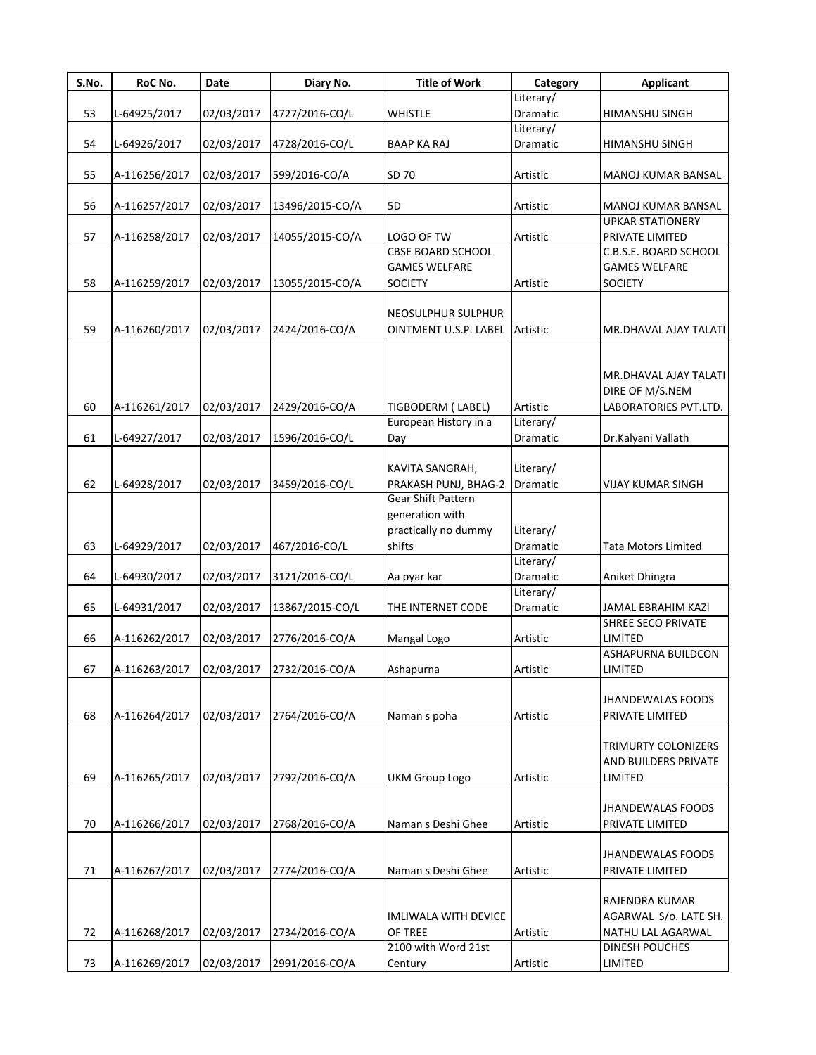| S.No. | RoC No.       | Date       | Diary No.                               | <b>Title of Work</b>           | Category  | <b>Applicant</b>           |
|-------|---------------|------------|-----------------------------------------|--------------------------------|-----------|----------------------------|
|       |               |            |                                         |                                | Literary/ |                            |
| 53    | L-64925/2017  | 02/03/2017 | 4727/2016-CO/L                          | <b>WHISTLE</b>                 | Dramatic  | HIMANSHU SINGH             |
|       |               |            |                                         |                                | Literary/ |                            |
| 54    | L-64926/2017  | 02/03/2017 | 4728/2016-CO/L                          | BAAP KA RAJ                    | Dramatic  | HIMANSHU SINGH             |
| 55    | A-116256/2017 | 02/03/2017 | 599/2016-CO/A                           | SD 70                          | Artistic  | MANOJ KUMAR BANSAL         |
| 56    |               | 02/03/2017 |                                         | <b>5D</b>                      | Artistic  | MANOJ KUMAR BANSAL         |
|       | A-116257/2017 |            | 13496/2015-CO/A                         |                                |           | <b>UPKAR STATIONERY</b>    |
| 57    | A-116258/2017 | 02/03/2017 | 14055/2015-CO/A                         | LOGO OF TW                     | Artistic  | PRIVATE LIMITED            |
|       |               |            |                                         | <b>CBSE BOARD SCHOOL</b>       |           | C.B.S.E. BOARD SCHOOL      |
|       |               |            |                                         | <b>GAMES WELFARE</b>           |           | <b>GAMES WELFARE</b>       |
| 58    | A-116259/2017 | 02/03/2017 | 13055/2015-CO/A                         | <b>SOCIETY</b>                 | Artistic  | <b>SOCIETY</b>             |
|       |               |            |                                         |                                |           |                            |
|       |               |            |                                         | NEOSULPHUR SULPHUR             |           |                            |
| 59    | A-116260/2017 | 02/03/2017 | 2424/2016-CO/A                          | OINTMENT U.S.P. LABEL Artistic |           | MR.DHAVAL AJAY TALATI      |
|       |               |            |                                         |                                |           |                            |
|       |               |            |                                         |                                |           |                            |
|       |               |            |                                         |                                |           | MR.DHAVAL AJAY TALATI      |
|       |               |            |                                         |                                |           | DIRE OF M/S.NEM            |
| 60    | A-116261/2017 | 02/03/2017 | 2429/2016-CO/A                          | TIGBODERM (LABEL)              | Artistic  | LABORATORIES PVT.LTD.      |
|       |               |            |                                         | European History in a          | Literary/ |                            |
| 61    | L-64927/2017  | 02/03/2017 | 1596/2016-CO/L                          | Day                            | Dramatic  | Dr.Kalyani Vallath         |
|       |               |            |                                         |                                |           |                            |
|       |               |            |                                         | KAVITA SANGRAH,                | Literary/ |                            |
| 62    | L-64928/2017  | 02/03/2017 | 3459/2016-CO/L                          | PRAKASH PUNJ, BHAG-2           | Dramatic  | <b>VIJAY KUMAR SINGH</b>   |
|       |               |            |                                         | <b>Gear Shift Pattern</b>      |           |                            |
|       |               |            |                                         | generation with                |           |                            |
|       |               |            |                                         | practically no dummy           | Literary/ |                            |
| 63    | L-64929/2017  | 02/03/2017 | 467/2016-CO/L                           | shifts                         | Dramatic  | <b>Tata Motors Limited</b> |
|       |               |            |                                         |                                | Literary/ |                            |
| 64    | L-64930/2017  | 02/03/2017 | 3121/2016-CO/L                          | Aa pyar kar                    | Dramatic  | Aniket Dhingra             |
|       |               |            |                                         |                                | Literary/ |                            |
| 65    | L-64931/2017  | 02/03/2017 | 13867/2015-CO/L                         | THE INTERNET CODE              | Dramatic  | JAMAL EBRAHIM KAZI         |
|       |               |            |                                         |                                |           | SHREE SECO PRIVATE         |
| 66    | A-116262/2017 | 02/03/2017 | 2776/2016-CO/A                          | Mangal Logo                    | Artistic  | LIMITED                    |
|       |               |            |                                         |                                |           | ASHAPURNA BUILDCON         |
| 67    |               |            | A-116263/2017 02/03/2017 2732/2016-CO/A | Ashapurna                      | Artistic  | LIMITED                    |
|       |               |            |                                         |                                |           |                            |
|       |               |            |                                         |                                |           | <b>JHANDEWALAS FOODS</b>   |
| 68    | A-116264/2017 | 02/03/2017 | 2764/2016-CO/A                          | Naman s poha                   | Artistic  | PRIVATE LIMITED            |
|       |               |            |                                         |                                |           | TRIMURTY COLONIZERS        |
|       |               |            |                                         |                                |           | AND BUILDERS PRIVATE       |
| 69    |               |            | 2792/2016-CO/A                          | <b>UKM Group Logo</b>          |           |                            |
|       | A-116265/2017 | 02/03/2017 |                                         |                                | Artistic  | LIMITED                    |
|       |               |            |                                         |                                |           | <b>JHANDEWALAS FOODS</b>   |
| 70    | A-116266/2017 | 02/03/2017 | 2768/2016-CO/A                          | Naman s Deshi Ghee             | Artistic  | PRIVATE LIMITED            |
|       |               |            |                                         |                                |           |                            |
|       |               |            |                                         |                                |           | JHANDEWALAS FOODS          |
| 71    | A-116267/2017 | 02/03/2017 | 2774/2016-CO/A                          | Naman s Deshi Ghee             | Artistic  | PRIVATE LIMITED            |
|       |               |            |                                         |                                |           |                            |
|       |               |            |                                         |                                |           | RAJENDRA KUMAR             |
|       |               |            |                                         | IMLIWALA WITH DEVICE           |           | AGARWAL S/o. LATE SH.      |
| 72    | A-116268/2017 | 02/03/2017 | 2734/2016-CO/A                          | OF TREE                        | Artistic  | NATHU LAL AGARWAL          |
|       |               |            |                                         | 2100 with Word 21st            |           | DINESH POUCHES             |
| 73    | A-116269/2017 | 02/03/2017 | 2991/2016-CO/A                          | Century                        | Artistic  | LIMITED                    |
|       |               |            |                                         |                                |           |                            |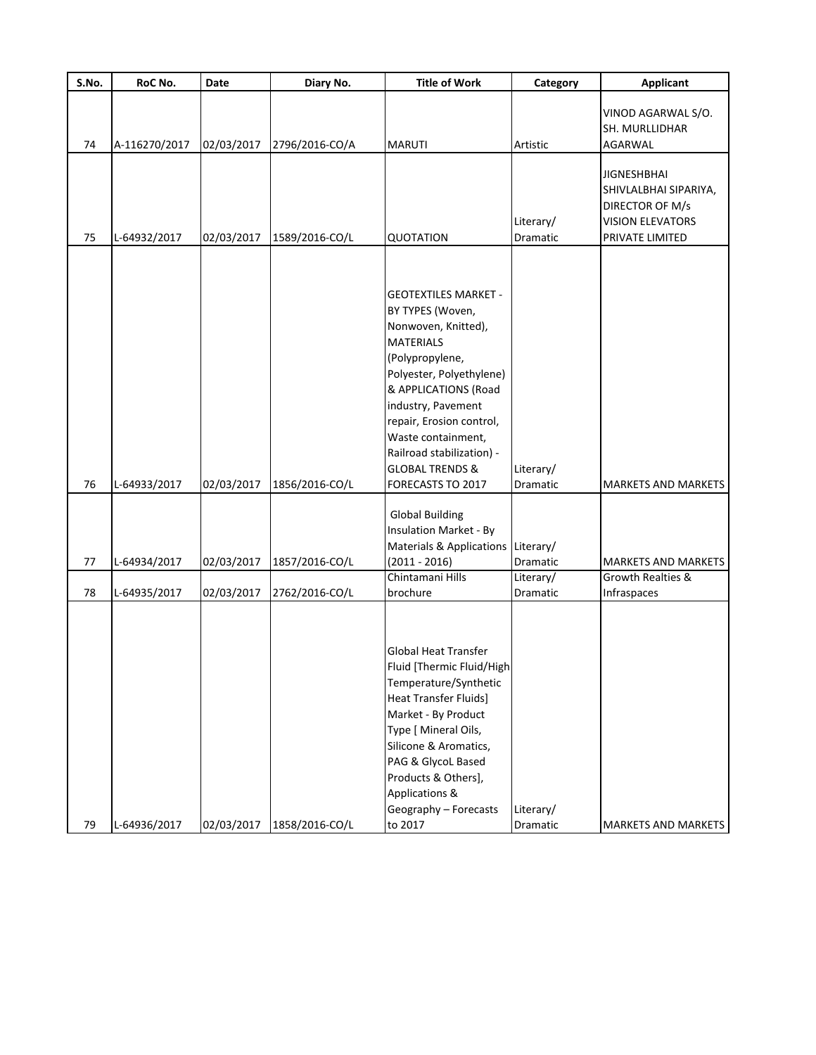| S.No.    | RoC No.                      | Date                     | Diary No.                        | <b>Title of Work</b>                                                                                                                                                                                                                                                                                                      | Category                                              | <b>Applicant</b>                                                                                             |
|----------|------------------------------|--------------------------|----------------------------------|---------------------------------------------------------------------------------------------------------------------------------------------------------------------------------------------------------------------------------------------------------------------------------------------------------------------------|-------------------------------------------------------|--------------------------------------------------------------------------------------------------------------|
| 74       | A-116270/2017                | 02/03/2017               | 2796/2016-CO/A                   | <b>MARUTI</b>                                                                                                                                                                                                                                                                                                             | Artistic                                              | VINOD AGARWAL S/O.<br>SH. MURLLIDHAR<br>AGARWAL                                                              |
| 75       | L-64932/2017                 | 02/03/2017               | 1589/2016-CO/L                   | <b>QUOTATION</b>                                                                                                                                                                                                                                                                                                          | Literary/<br>Dramatic                                 | <b>JIGNESHBHAI</b><br>SHIVLALBHAI SIPARIYA,<br>DIRECTOR OF M/s<br><b>VISION ELEVATORS</b><br>PRIVATE LIMITED |
| 76       | L-64933/2017                 | 02/03/2017               | 1856/2016-CO/L                   | <b>GEOTEXTILES MARKET -</b><br>BY TYPES (Woven,<br>Nonwoven, Knitted),<br><b>MATERIALS</b><br>(Polypropylene,<br>Polyester, Polyethylene)<br>& APPLICATIONS (Road<br>industry, Pavement<br>repair, Erosion control,<br>Waste containment,<br>Railroad stabilization) -<br><b>GLOBAL TRENDS &amp;</b><br>FORECASTS TO 2017 | Literary/<br>Dramatic                                 | <b>MARKETS AND MARKETS</b>                                                                                   |
| 77<br>78 | L-64934/2017<br>L-64935/2017 | 02/03/2017<br>02/03/2017 | 1857/2016-CO/L<br>2762/2016-CO/L | <b>Global Building</b><br><b>Insulation Market - By</b><br><b>Materials &amp; Applications</b><br>$(2011 - 2016)$<br>Chintamani Hills<br>brochure                                                                                                                                                                         | Literary/<br>Dramatic<br>Literary/<br><b>Dramatic</b> | <b>MARKETS AND MARKETS</b><br>Growth Realties &<br>Infraspaces                                               |
| 79       | L-64936/2017                 | 02/03/2017               | 1858/2016-CO/L                   | <b>Global Heat Transfer</b><br>Fluid [Thermic Fluid/High]<br>Temperature/Synthetic<br><b>Heat Transfer Fluids]</b><br>Market - By Product<br>Type [ Mineral Oils,<br>Silicone & Aromatics,<br>PAG & GlycoL Based<br>Products & Others],<br>Applications &<br>Geography - Forecasts<br>to 2017                             | Literary/<br>Dramatic                                 | MARKETS AND MARKETS                                                                                          |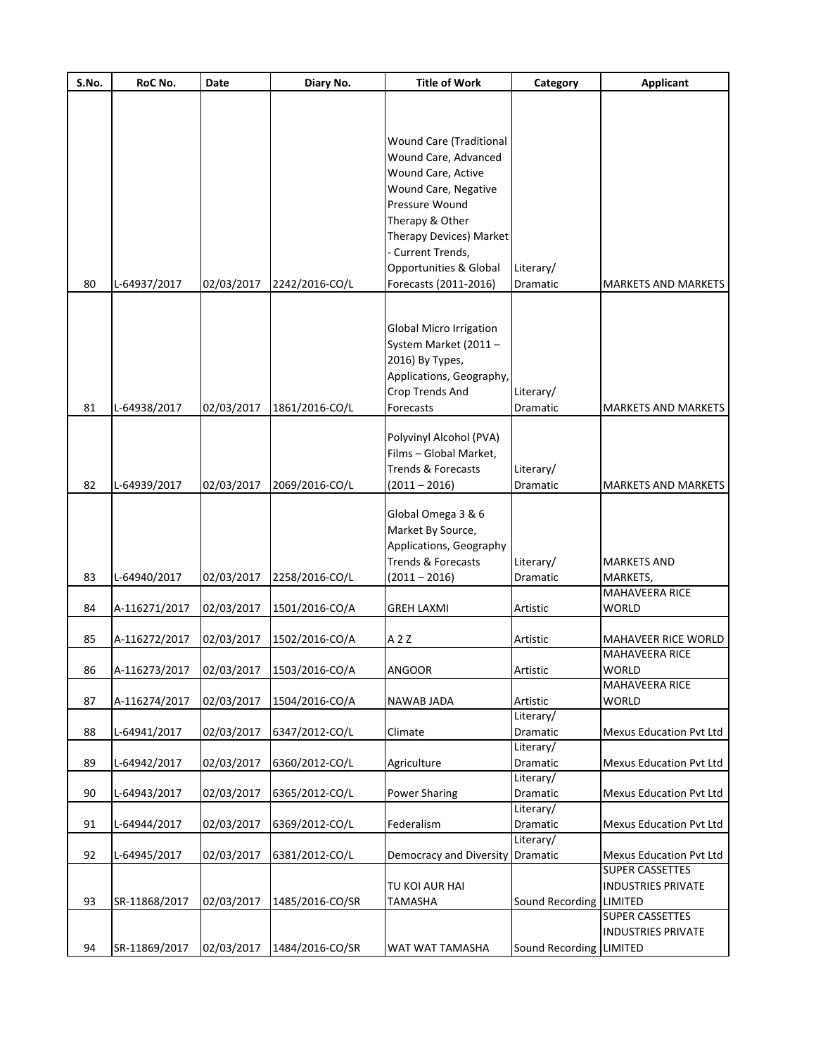| S.No. | RoC No.       | Date       | Diary No.                               | <b>Title of Work</b>     | Category              | <b>Applicant</b>                  |
|-------|---------------|------------|-----------------------------------------|--------------------------|-----------------------|-----------------------------------|
|       |               |            |                                         |                          |                       |                                   |
|       |               |            |                                         |                          |                       |                                   |
|       |               |            |                                         |                          |                       |                                   |
|       |               |            |                                         | Wound Care (Traditional  |                       |                                   |
|       |               |            |                                         | Wound Care, Advanced     |                       |                                   |
|       |               |            |                                         | Wound Care, Active       |                       |                                   |
|       |               |            |                                         | Wound Care, Negative     |                       |                                   |
|       |               |            |                                         | Pressure Wound           |                       |                                   |
|       |               |            |                                         | Therapy & Other          |                       |                                   |
|       |               |            |                                         | Therapy Devices) Market  |                       |                                   |
|       |               |            |                                         | - Current Trends,        |                       |                                   |
|       |               |            |                                         | Opportunities & Global   | Literary/             |                                   |
| 80    | L-64937/2017  | 02/03/2017 | 2242/2016-CO/L                          | Forecasts (2011-2016)    | Dramatic              | <b>MARKETS AND MARKETS</b>        |
|       |               |            |                                         |                          |                       |                                   |
|       |               |            |                                         | Global Micro Irrigation  |                       |                                   |
|       |               |            |                                         | System Market (2011-     |                       |                                   |
|       |               |            |                                         |                          |                       |                                   |
|       |               |            |                                         | 2016) By Types,          |                       |                                   |
|       |               |            |                                         | Applications, Geography, |                       |                                   |
|       |               |            |                                         | Crop Trends And          | Literary/             |                                   |
| 81    | L-64938/2017  | 02/03/2017 | 1861/2016-CO/L                          | Forecasts                | Dramatic              | <b>MARKETS AND MARKETS</b>        |
|       |               |            |                                         | Polyvinyl Alcohol (PVA)  |                       |                                   |
|       |               |            |                                         | Films - Global Market,   |                       |                                   |
|       |               |            |                                         | Trends & Forecasts       | Literary/             |                                   |
| 82    | L-64939/2017  | 02/03/2017 | 2069/2016-CO/L                          | $(2011 - 2016)$          | Dramatic              | <b>MARKETS AND MARKETS</b>        |
|       |               |            |                                         |                          |                       |                                   |
|       |               |            |                                         | Global Omega 3 & 6       |                       |                                   |
|       |               |            |                                         | Market By Source,        |                       |                                   |
|       |               |            |                                         | Applications, Geography  |                       |                                   |
|       |               |            |                                         | Trends & Forecasts       | Literary/             | <b>MARKETS AND</b>                |
| 83    | L-64940/2017  | 02/03/2017 | 2258/2016-CO/L                          | $(2011 - 2016)$          | Dramatic              | MARKETS,                          |
|       |               |            |                                         |                          |                       | MAHAVEERA RICE                    |
| 84    | A-116271/2017 | 02/03/2017 | 1501/2016-CO/A                          | <b>GREH LAXMI</b>        | Artistic              | <b>WORLD</b>                      |
|       |               |            |                                         |                          |                       |                                   |
| 85    | A-116272/2017 | 02/03/2017 | 1502/2016-CO/A                          | A 2 Z                    | Artistic              | <b>MAHAVEER RICE WORLD</b>        |
|       |               |            |                                         |                          |                       | <b>MAHAVEERA RICE</b>             |
| 86    |               |            | A-116273/2017 02/03/2017 1503/2016-CO/A | <b>ANGOOR</b>            | Artistic              | <b>WORLD</b>                      |
|       |               |            |                                         |                          |                       | MAHAVEERA RICE                    |
| 87    | A-116274/2017 | 02/03/2017 | 1504/2016-CO/A                          | NAWAB JADA               | Artistic              | <b>WORLD</b>                      |
|       |               |            |                                         |                          | Literary/             |                                   |
| 88    | L-64941/2017  | 02/03/2017 | 6347/2012-CO/L                          | Climate                  | Dramatic              | <b>Mexus Education Pvt Ltd</b>    |
|       |               |            |                                         |                          | Literary/             |                                   |
| 89    | L-64942/2017  | 02/03/2017 | 6360/2012-CO/L                          | Agriculture              | Dramatic              | <b>Mexus Education Pvt Ltd</b>    |
|       |               |            |                                         |                          | Literary/             |                                   |
| 90    | L-64943/2017  | 02/03/2017 | 6365/2012-CO/L                          | <b>Power Sharing</b>     | Dramatic              | Mexus Education Pvt Ltd           |
|       |               |            |                                         | Federalism               | Literary/             |                                   |
| 91    | L-64944/2017  | 02/03/2017 | 6369/2012-CO/L                          |                          | Dramatic<br>Literary/ | Mexus Education Pvt Ltd           |
| 92    | L-64945/2017  | 02/03/2017 | 6381/2012-CO/L                          | Democracy and Diversity  | Dramatic              | <b>Mexus Education Pvt Ltd</b>    |
|       |               |            |                                         |                          |                       | <b>SUPER CASSETTES</b>            |
|       |               |            |                                         | TU KOI AUR HAI           |                       | <b>INDUSTRIES PRIVATE</b>         |
|       |               |            |                                         |                          |                       |                                   |
| 93    | SR-11868/2017 | 02/03/2017 | 1485/2016-CO/SR                         | TAMASHA                  | Sound Recording       | LIMITED<br><b>SUPER CASSETTES</b> |
|       |               |            |                                         |                          |                       |                                   |
|       |               |            |                                         |                          |                       | <b>INDUSTRIES PRIVATE</b>         |
| 94    | SR-11869/2017 | 02/03/2017 | 1484/2016-CO/SR                         | WAT WAT TAMASHA          | Sound Recording       | LIMITED                           |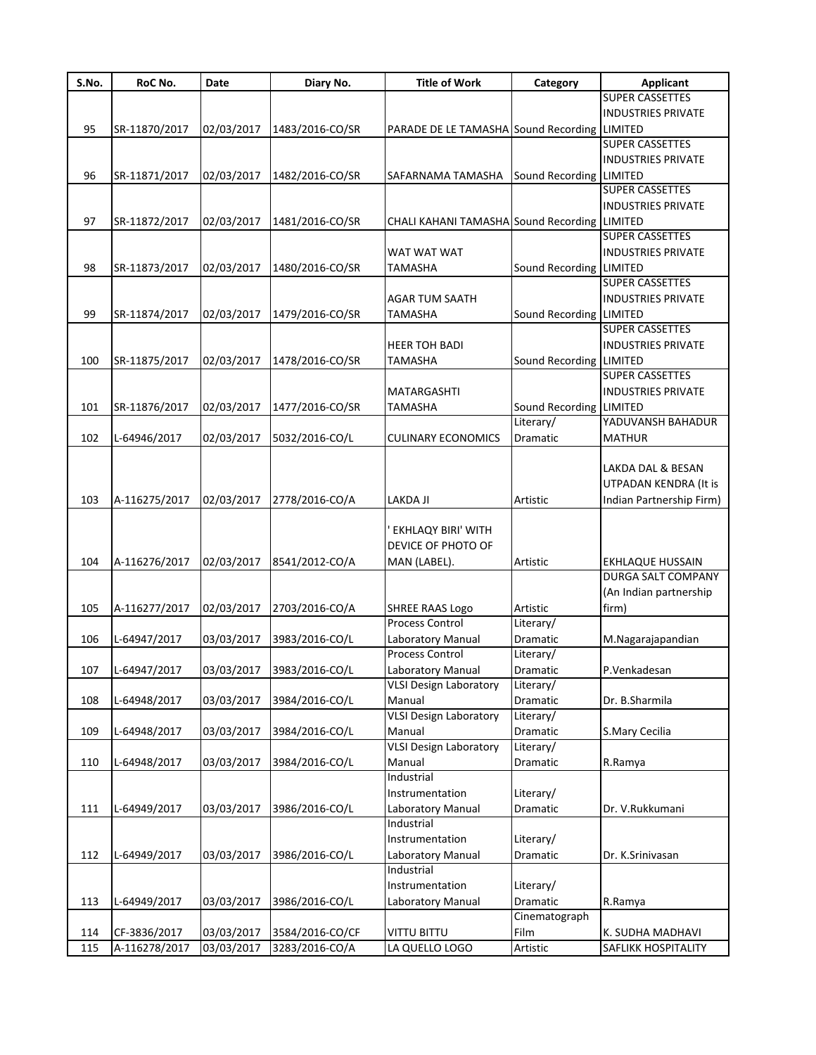| S.No. | RoC No.          | Date       | Diary No.                 | <b>Title of Work</b>                         | Category                | <b>Applicant</b>          |
|-------|------------------|------------|---------------------------|----------------------------------------------|-------------------------|---------------------------|
|       |                  |            |                           |                                              |                         | <b>SUPER CASSETTES</b>    |
|       |                  |            |                           |                                              |                         | <b>INDUSTRIES PRIVATE</b> |
| 95    | SR-11870/2017    | 02/03/2017 | 1483/2016-CO/SR           | PARADE DE LE TAMASHA Sound Recording LIMITED |                         |                           |
|       |                  |            |                           |                                              |                         | <b>SUPER CASSETTES</b>    |
|       |                  |            |                           |                                              |                         | <b>INDUSTRIES PRIVATE</b> |
| 96    | SR-11871/2017    | 02/03/2017 | 1482/2016-CO/SR           | SAFARNAMA TAMASHA                            | Sound Recording LIMITED |                           |
|       |                  |            |                           |                                              |                         | <b>SUPER CASSETTES</b>    |
|       |                  |            |                           |                                              |                         | <b>INDUSTRIES PRIVATE</b> |
| 97    | SR-11872/2017    | 02/03/2017 | 1481/2016-CO/SR           | CHALI KAHANI TAMASHA Sound Recording LIMITED |                         |                           |
|       |                  |            |                           |                                              |                         | <b>SUPER CASSETTES</b>    |
|       |                  |            |                           | WAT WAT WAT                                  |                         | <b>INDUSTRIES PRIVATE</b> |
| 98    | SR-11873/2017    | 02/03/2017 | 1480/2016-CO/SR           | TAMASHA                                      | Sound Recording LIMITED |                           |
|       |                  |            |                           |                                              |                         | <b>SUPER CASSETTES</b>    |
|       |                  |            |                           | <b>AGAR TUM SAATH</b>                        |                         | <b>INDUSTRIES PRIVATE</b> |
|       |                  |            |                           |                                              |                         |                           |
| 99    | SR-11874/2017    | 02/03/2017 | 1479/2016-CO/SR           | <b>TAMASHA</b>                               | Sound Recording LIMITED |                           |
|       |                  |            |                           |                                              |                         | <b>SUPER CASSETTES</b>    |
|       |                  |            |                           | <b>HEER TOH BADI</b>                         |                         | <b>INDUSTRIES PRIVATE</b> |
| 100   | SR-11875/2017    | 02/03/2017 | 1478/2016-CO/SR           | TAMASHA                                      | Sound Recording LIMITED |                           |
|       |                  |            |                           |                                              |                         | <b>SUPER CASSETTES</b>    |
|       |                  |            |                           | MATARGASHTI                                  |                         | <b>INDUSTRIES PRIVATE</b> |
| 101   | SR-11876/2017    | 02/03/2017 | 1477/2016-CO/SR           | <b>TAMASHA</b>                               | Sound Recording LIMITED |                           |
|       |                  |            |                           |                                              | Literary/               | YADUVANSH BAHADUR         |
| 102   | L-64946/2017     | 02/03/2017 | 5032/2016-CO/L            | <b>CULINARY ECONOMICS</b>                    | Dramatic                | <b>MATHUR</b>             |
|       |                  |            |                           |                                              |                         |                           |
|       |                  |            |                           |                                              |                         | LAKDA DAL & BESAN         |
|       |                  |            |                           |                                              |                         | UTPADAN KENDRA (It is     |
| 103   | A-116275/2017    | 02/03/2017 | 2778/2016-CO/A            | LAKDA JI                                     | Artistic                | Indian Partnership Firm)  |
|       |                  |            |                           |                                              |                         |                           |
|       |                  |            |                           | <b>EKHLAQY BIRI' WITH</b>                    |                         |                           |
|       |                  |            |                           | DEVICE OF PHOTO OF                           |                         |                           |
| 104   | A-116276/2017    | 02/03/2017 | 8541/2012-CO/A            | MAN (LABEL).                                 | Artistic                | <b>EKHLAQUE HUSSAIN</b>   |
|       |                  |            |                           |                                              |                         | DURGA SALT COMPANY        |
|       |                  |            |                           |                                              |                         | (An Indian partnership    |
|       |                  |            |                           |                                              |                         |                           |
| 105   | A-116277/2017    | 02/03/2017 | 2703/2016-CO/A            | <b>SHREE RAAS Logo</b><br>Process Control    | Artistic                | firm)                     |
|       |                  |            |                           |                                              | Literary/               |                           |
| 106   | L-64947/2017     | 03/03/2017 | 3983/2016-CO/L            | Laboratory Manual                            | Dramatic                | M.Nagarajapandian         |
|       |                  |            |                           | Process Control                              | Literary/               |                           |
|       | 107 L-64947/2017 |            | 03/03/2017 3983/2016-CO/L | Laboratory Manual                            | Dramatic                | P.Venkadesan              |
|       |                  |            |                           | <b>VLSI Design Laboratory</b>                | Literary/               |                           |
| 108   | L-64948/2017     | 03/03/2017 | 3984/2016-CO/L            | Manual                                       | Dramatic                | Dr. B.Sharmila            |
|       |                  |            |                           | <b>VLSI Design Laboratory</b>                | Literary/               |                           |
| 109   | L-64948/2017     | 03/03/2017 | 3984/2016-CO/L            | Manual                                       | Dramatic                | S.Mary Cecilia            |
|       |                  |            |                           | <b>VLSI Design Laboratory</b>                | Literary/               |                           |
| 110   | L-64948/2017     | 03/03/2017 | 3984/2016-CO/L            | Manual                                       | Dramatic                | R.Ramya                   |
|       |                  |            |                           | Industrial                                   |                         |                           |
|       |                  |            |                           | Instrumentation                              | Literary/               |                           |
| 111   | L-64949/2017     | 03/03/2017 | 3986/2016-CO/L            | Laboratory Manual                            | Dramatic                | Dr. V.Rukkumani           |
|       |                  |            |                           | Industrial                                   |                         |                           |
|       |                  |            |                           | Instrumentation                              | Literary/               |                           |
| 112   | L-64949/2017     | 03/03/2017 | 3986/2016-CO/L            |                                              | Dramatic                | Dr. K.Srinivasan          |
|       |                  |            |                           | Laboratory Manual<br>Industrial              |                         |                           |
|       |                  |            |                           |                                              |                         |                           |
|       |                  |            |                           | Instrumentation                              | Literary/               |                           |
| 113   | L-64949/2017     | 03/03/2017 | 3986/2016-CO/L            | Laboratory Manual                            | Dramatic                | R.Ramya                   |
|       |                  |            |                           |                                              | Cinematograph           |                           |
| 114   | CF-3836/2017     | 03/03/2017 | 3584/2016-CO/CF           | <b>VITTU BITTU</b>                           | Film                    | K. SUDHA MADHAVI          |
| 115   | A-116278/2017    | 03/03/2017 | 3283/2016-CO/A            | LA QUELLO LOGO                               | Artistic                | SAFLIKK HOSPITALITY       |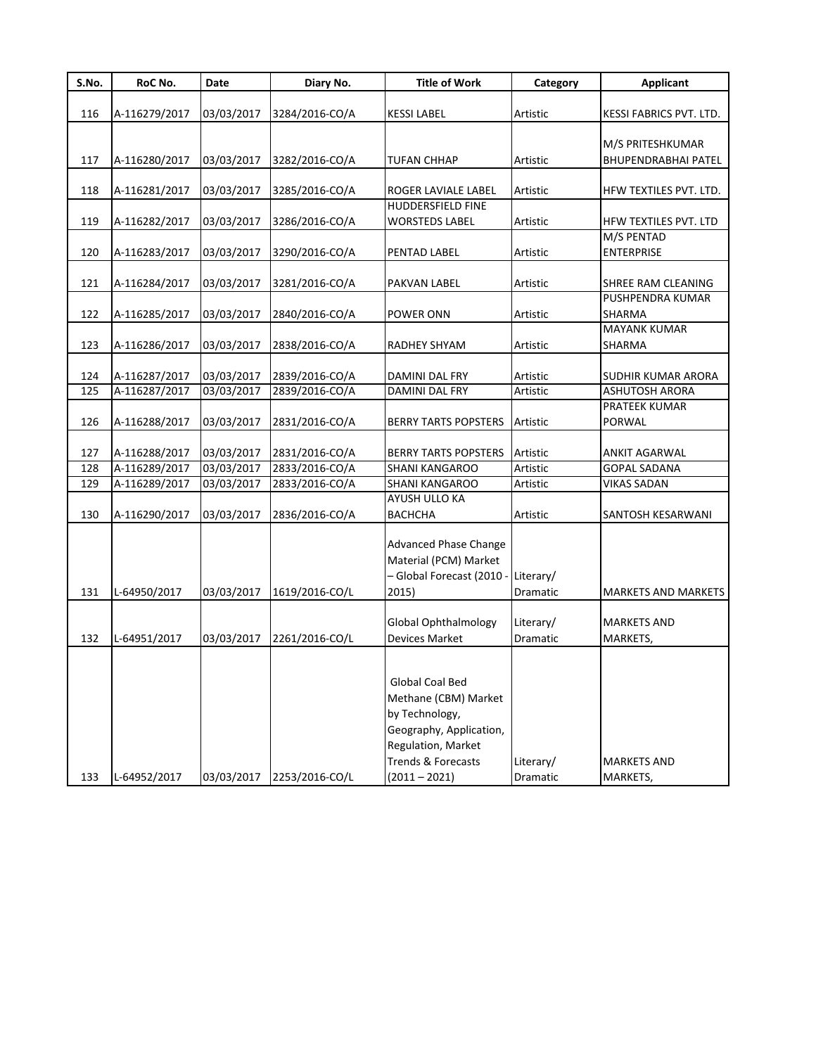| S.No. | RoC No.       | Date       | Diary No.      | <b>Title of Work</b>         | Category  | <b>Applicant</b>           |
|-------|---------------|------------|----------------|------------------------------|-----------|----------------------------|
| 116   | A-116279/2017 | 03/03/2017 | 3284/2016-CO/A | <b>KESSI LABEL</b>           | Artistic  | KESSI FABRICS PVT. LTD.    |
|       |               |            |                |                              |           |                            |
|       |               |            |                |                              |           | M/S PRITESHKUMAR           |
| 117   | A-116280/2017 | 03/03/2017 | 3282/2016-CO/A | <b>TUFAN CHHAP</b>           | Artistic  | <b>BHUPENDRABHAI PATEL</b> |
|       |               |            |                |                              |           |                            |
| 118   | A-116281/2017 | 03/03/2017 | 3285/2016-CO/A | ROGER LAVIALE LABEL          | Artistic  | HFW TEXTILES PVT. LTD.     |
|       |               |            |                | <b>HUDDERSFIELD FINE</b>     |           |                            |
| 119   | A-116282/2017 | 03/03/2017 | 3286/2016-CO/A | <b>WORSTEDS LABEL</b>        | Artistic  | HFW TEXTILES PVT. LTD      |
|       |               |            |                |                              |           | M/S PENTAD                 |
| 120   | A-116283/2017 | 03/03/2017 | 3290/2016-CO/A | PENTAD LABEL                 | Artistic  | <b>ENTERPRISE</b>          |
|       |               |            |                |                              |           |                            |
| 121   | A-116284/2017 | 03/03/2017 | 3281/2016-CO/A | PAKVAN LABEL                 | Artistic  | SHREE RAM CLEANING         |
|       |               |            |                |                              |           | PUSHPENDRA KUMAR           |
| 122   | A-116285/2017 | 03/03/2017 | 2840/2016-CO/A | POWER ONN                    | Artistic  | SHARMA                     |
|       |               |            |                |                              |           | <b>MAYANK KUMAR</b>        |
| 123   | A-116286/2017 | 03/03/2017 | 2838/2016-CO/A | RADHEY SHYAM                 | Artistic  | SHARMA                     |
|       |               |            |                |                              |           |                            |
| 124   | A-116287/2017 | 03/03/2017 | 2839/2016-CO/A | DAMINI DAL FRY               | Artistic  | SUDHIR KUMAR ARORA         |
| 125   | A-116287/2017 | 03/03/2017 | 2839/2016-CO/A | DAMINI DAL FRY               | Artistic  | ASHUTOSH ARORA             |
|       |               |            |                |                              |           | PRATEEK KUMAR              |
| 126   | A-116288/2017 | 03/03/2017 | 2831/2016-CO/A | <b>BERRY TARTS POPSTERS</b>  | Artistic  | PORWAL                     |
|       |               |            |                |                              |           |                            |
| 127   | A-116288/2017 | 03/03/2017 | 2831/2016-CO/A | <b>BERRY TARTS POPSTERS</b>  | Artistic  | <b>ANKIT AGARWAL</b>       |
| 128   | A-116289/2017 | 03/03/2017 | 2833/2016-CO/A | <b>SHANI KANGAROO</b>        | Artistic  | <b>GOPAL SADANA</b>        |
| 129   | A-116289/2017 | 03/03/2017 | 2833/2016-CO/A | <b>SHANI KANGAROO</b>        | Artistic  | <b>VIKAS SADAN</b>         |
|       |               |            |                | <b>AYUSH ULLO KA</b>         |           |                            |
| 130   | A-116290/2017 | 03/03/2017 | 2836/2016-CO/A | <b>BACHCHA</b>               | Artistic  | SANTOSH KESARWANI          |
|       |               |            |                |                              |           |                            |
|       |               |            |                | <b>Advanced Phase Change</b> |           |                            |
|       |               |            |                | Material (PCM) Market        |           |                            |
|       |               |            |                | - Global Forecast (2010 -    | Literary/ |                            |
| 131   | L-64950/2017  | 03/03/2017 | 1619/2016-CO/L | 2015)                        | Dramatic  | <b>MARKETS AND MARKETS</b> |
|       |               |            |                |                              |           |                            |
|       |               |            |                | Global Ophthalmology         | Literary/ | <b>MARKETS AND</b>         |
| 132   | L-64951/2017  | 03/03/2017 | 2261/2016-CO/L | <b>Devices Market</b>        | Dramatic  | MARKETS,                   |
|       |               |            |                |                              |           |                            |
|       |               |            |                | Global Coal Bed              |           |                            |
|       |               |            |                |                              |           |                            |
|       |               |            |                | Methane (CBM) Market         |           |                            |
|       |               |            |                | by Technology,               |           |                            |
|       |               |            |                | Geography, Application,      |           |                            |
|       |               |            |                | Regulation, Market           |           |                            |
|       |               |            |                | Trends & Forecasts           | Literary/ | <b>MARKETS AND</b>         |
| 133   | L-64952/2017  | 03/03/2017 | 2253/2016-CO/L | $(2011 - 2021)$              | Dramatic  | MARKETS,                   |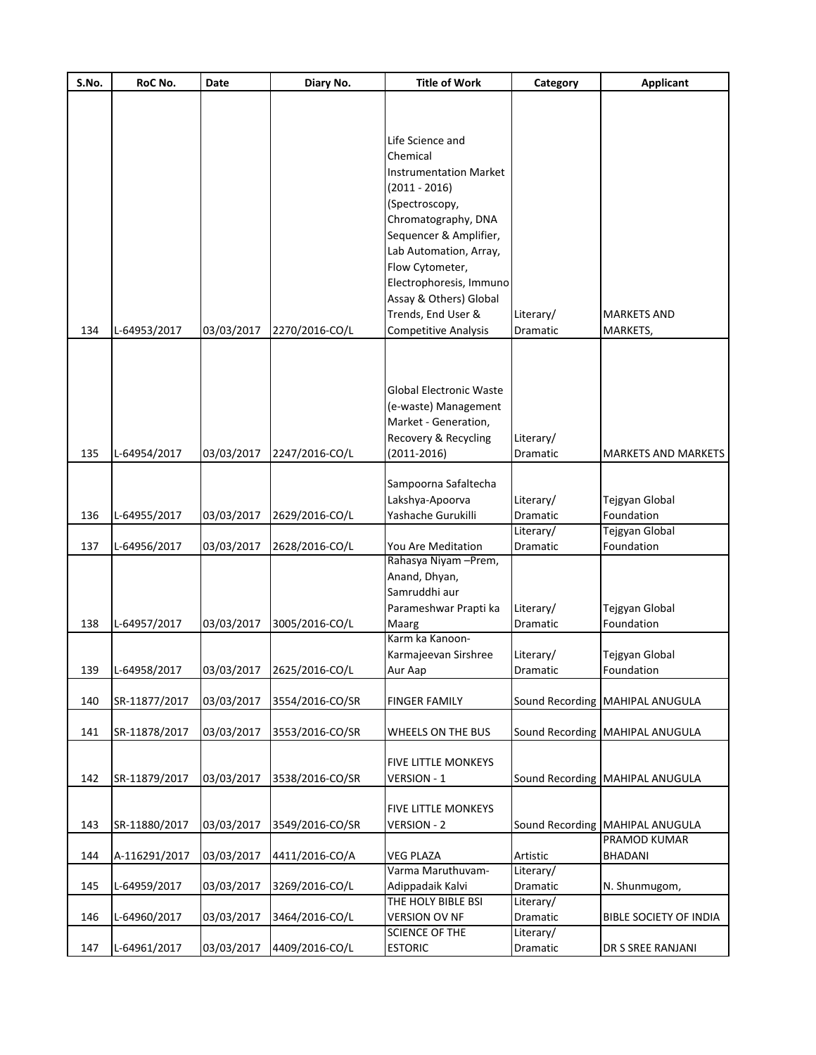| S.No. | RoC No.       | <b>Date</b> | Diary No.                 | <b>Title of Work</b>           | Category  | <b>Applicant</b>                |
|-------|---------------|-------------|---------------------------|--------------------------------|-----------|---------------------------------|
|       |               |             |                           |                                |           |                                 |
|       |               |             |                           |                                |           |                                 |
|       |               |             |                           | Life Science and               |           |                                 |
|       |               |             |                           | Chemical                       |           |                                 |
|       |               |             |                           | <b>Instrumentation Market</b>  |           |                                 |
|       |               |             |                           | $(2011 - 2016)$                |           |                                 |
|       |               |             |                           |                                |           |                                 |
|       |               |             |                           | (Spectroscopy,                 |           |                                 |
|       |               |             |                           | Chromatography, DNA            |           |                                 |
|       |               |             |                           | Sequencer & Amplifier,         |           |                                 |
|       |               |             |                           | Lab Automation, Array,         |           |                                 |
|       |               |             |                           | Flow Cytometer,                |           |                                 |
|       |               |             |                           | Electrophoresis, Immuno        |           |                                 |
|       |               |             |                           | Assay & Others) Global         |           |                                 |
|       |               |             |                           | Trends, End User &             | Literary/ | <b>MARKETS AND</b>              |
| 134   | L-64953/2017  | 03/03/2017  | 2270/2016-CO/L            | <b>Competitive Analysis</b>    | Dramatic  | MARKETS,                        |
|       |               |             |                           |                                |           |                                 |
|       |               |             |                           |                                |           |                                 |
|       |               |             |                           |                                |           |                                 |
|       |               |             |                           | <b>Global Electronic Waste</b> |           |                                 |
|       |               |             |                           | (e-waste) Management           |           |                                 |
|       |               |             |                           | Market - Generation,           |           |                                 |
|       |               |             |                           | Recovery & Recycling           | Literary/ |                                 |
| 135   | L-64954/2017  | 03/03/2017  | 2247/2016-CO/L            | $(2011 - 2016)$                | Dramatic  | <b>MARKETS AND MARKETS</b>      |
|       |               |             |                           |                                |           |                                 |
|       |               |             |                           | Sampoorna Safaltecha           |           |                                 |
|       |               |             |                           | Lakshya-Apoorva                | Literary/ | Tejgyan Global                  |
| 136   | L-64955/2017  | 03/03/2017  | 2629/2016-CO/L            | Yashache Gurukilli             | Dramatic  | Foundation                      |
|       |               |             |                           |                                | Literary/ | Tejgyan Global                  |
| 137   | L-64956/2017  | 03/03/2017  | 2628/2016-CO/L            | You Are Meditation             | Dramatic  | Foundation                      |
|       |               |             |                           | Rahasya Niyam - Prem,          |           |                                 |
|       |               |             |                           | Anand, Dhyan,                  |           |                                 |
|       |               |             |                           | Samruddhi aur                  |           |                                 |
|       |               |             |                           | Parameshwar Prapti ka          | Literary/ | Tejgyan Global                  |
| 138   | L-64957/2017  | 03/03/2017  | 3005/2016-CO/L            | Maarg                          | Dramatic  | Foundation                      |
|       |               |             |                           | Karm ka Kanoon-                |           |                                 |
|       |               |             |                           | Karmajeevan Sirshree           | Literary/ | Tejgyan Global                  |
| 139   | L-64958/2017  |             | 03/03/2017 2625/2016-CO/L | Aur Aap                        | Dramatic  | Foundation                      |
|       |               |             |                           |                                |           |                                 |
| 140   | SR-11877/2017 | 03/03/2017  | 3554/2016-CO/SR           | <b>FINGER FAMILY</b>           |           | Sound Recording MAHIPAL ANUGULA |
| 141   | SR-11878/2017 | 03/03/2017  | 3553/2016-CO/SR           | WHEELS ON THE BUS              |           | Sound Recording MAHIPAL ANUGULA |
|       |               |             |                           |                                |           |                                 |
|       |               |             |                           | <b>FIVE LITTLE MONKEYS</b>     |           |                                 |
| 142   | SR-11879/2017 | 03/03/2017  | 3538/2016-CO/SR           | VERSION - 1                    |           | Sound Recording MAHIPAL ANUGULA |
|       |               |             |                           |                                |           |                                 |
|       |               |             |                           | <b>FIVE LITTLE MONKEYS</b>     |           |                                 |
| 143   | SR-11880/2017 | 03/03/2017  | 3549/2016-CO/SR           | <b>VERSION - 2</b>             |           | Sound Recording MAHIPAL ANUGULA |
|       |               |             |                           |                                |           | PRAMOD KUMAR                    |
| 144   | A-116291/2017 | 03/03/2017  | 4411/2016-CO/A            | <b>VEG PLAZA</b>               | Artistic  | <b>BHADANI</b>                  |
|       |               |             |                           | Varma Maruthuvam-              | Literary/ |                                 |
| 145   | L-64959/2017  | 03/03/2017  | 3269/2016-CO/L            | Adippadaik Kalvi               | Dramatic  | N. Shunmugom,                   |
|       |               |             |                           | THE HOLY BIBLE BSI             | Literary/ |                                 |
| 146   | L-64960/2017  | 03/03/2017  | 3464/2016-CO/L            | <b>VERSION OV NF</b>           | Dramatic  | <b>BIBLE SOCIETY OF INDIA</b>   |
|       |               |             |                           | SCIENCE OF THE                 | Literary/ |                                 |
| 147   | L-64961/2017  | 03/03/2017  | 4409/2016-CO/L            | <b>ESTORIC</b>                 | Dramatic  | DR S SREE RANJANI               |
|       |               |             |                           |                                |           |                                 |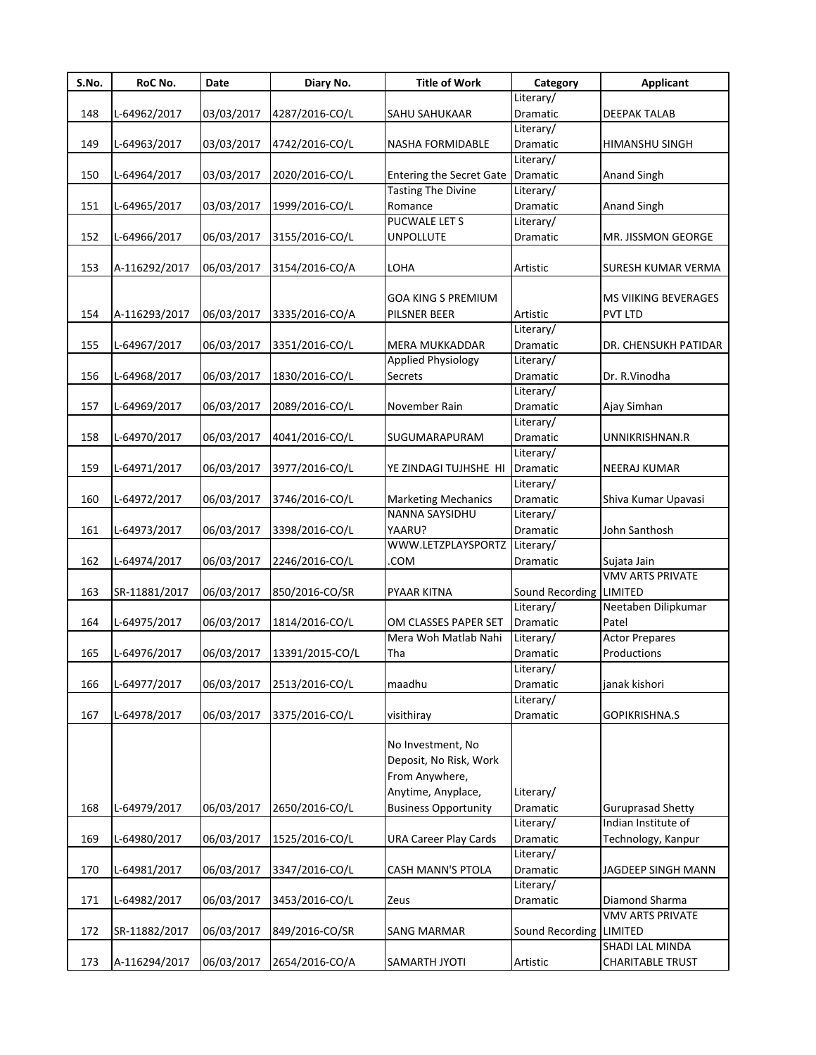| S.No. | RoC No.       | Date       | Diary No.       | <b>Title of Work</b>            | Category        | <b>Applicant</b>         |
|-------|---------------|------------|-----------------|---------------------------------|-----------------|--------------------------|
|       |               |            |                 |                                 | Literary/       |                          |
| 148   | L-64962/2017  | 03/03/2017 | 4287/2016-CO/L  | SAHU SAHUKAAR                   | Dramatic        | DEEPAK TALAB             |
|       |               |            |                 |                                 | Literary/       |                          |
| 149   | L-64963/2017  | 03/03/2017 | 4742/2016-CO/L  | NASHA FORMIDABLE                | Dramatic        | HIMANSHU SINGH           |
|       |               |            |                 |                                 | Literary/       |                          |
| 150   | L-64964/2017  | 03/03/2017 | 2020/2016-CO/L  | <b>Entering the Secret Gate</b> | Dramatic        | Anand Singh              |
|       |               |            |                 | <b>Tasting The Divine</b>       | Literary/       |                          |
| 151   | L-64965/2017  | 03/03/2017 | 1999/2016-CO/L  | Romance                         | Dramatic        | Anand Singh              |
|       |               |            |                 | PUCWALE LET S                   | Literary/       |                          |
| 152   | L-64966/2017  | 06/03/2017 | 3155/2016-CO/L  | <b>UNPOLLUTE</b>                | Dramatic        | MR. JISSMON GEORGE       |
|       |               |            |                 |                                 |                 |                          |
| 153   | A-116292/2017 | 06/03/2017 | 3154/2016-CO/A  | LOHA                            | Artistic        | SURESH KUMAR VERMA       |
|       |               |            |                 |                                 |                 |                          |
|       |               |            |                 | GOA KING S PREMIUM              |                 | MS VIIKING BEVERAGES     |
| 154   | A-116293/2017 | 06/03/2017 | 3335/2016-CO/A  | PILSNER BEER                    | Artistic        | PVT LTD                  |
|       |               |            |                 |                                 | Literary/       |                          |
| 155   | L-64967/2017  | 06/03/2017 | 3351/2016-CO/L  | MERA MUKKADDAR                  | Dramatic        | DR. CHENSUKH PATIDAR     |
|       |               |            |                 | Applied Physiology              | Literary/       |                          |
| 156   | L-64968/2017  | 06/03/2017 | 1830/2016-CO/L  | Secrets                         | Dramatic        | Dr. R.Vinodha            |
|       |               |            |                 |                                 | Literary/       |                          |
| 157   | L-64969/2017  | 06/03/2017 | 2089/2016-CO/L  | November Rain                   | Dramatic        | Ajay Simhan              |
|       |               |            |                 |                                 | Literary/       |                          |
| 158   | L-64970/2017  | 06/03/2017 | 4041/2016-CO/L  | SUGUMARAPURAM                   | Dramatic        | UNNIKRISHNAN.R           |
|       |               |            |                 |                                 | Literary/       |                          |
| 159   | L-64971/2017  | 06/03/2017 | 3977/2016-CO/L  | YE ZINDAGI TUJHSHE HI           | Dramatic        | <b>NEERAJ KUMAR</b>      |
|       |               |            |                 |                                 | Literary/       |                          |
| 160   | L-64972/2017  | 06/03/2017 | 3746/2016-CO/L  | <b>Marketing Mechanics</b>      | Dramatic        | Shiva Kumar Upavasi      |
|       |               |            |                 | NANNA SAYSIDHU                  | Literary/       |                          |
| 161   | L-64973/2017  | 06/03/2017 | 3398/2016-CO/L  | YAARU?                          | Dramatic        | John Santhosh            |
|       |               |            |                 | WWW.LETZPLAYSPORTZ              | Literary/       |                          |
| 162   | L-64974/2017  | 06/03/2017 | 2246/2016-CO/L  | <b>COM</b>                      | Dramatic        | Sujata Jain              |
|       |               |            |                 |                                 |                 | <b>VMV ARTS PRIVATE</b>  |
| 163   | SR-11881/2017 | 06/03/2017 | 850/2016-CO/SR  | PYAAR KITNA                     | Sound Recording | <b>LIMITED</b>           |
|       |               |            |                 |                                 | Literary/       | Neetaben Dilipkumar      |
| 164   | L-64975/2017  | 06/03/2017 | 1814/2016-CO/L  | OM CLASSES PAPER SET            | Dramatic        | Patel                    |
|       |               |            |                 | Mera Woh Matlab Nahi            | Literary/       | <b>Actor Prepares</b>    |
| 165   | L-64976/2017  | 06/03/2017 | 13391/2015-CO/L | Tha                             | Dramatic        | Productions              |
|       |               |            |                 |                                 | Literary/       |                          |
| 166   | L-64977/2017  | 06/03/2017 | 2513/2016-CO/L  | maadhu                          | Dramatic        | janak kishori            |
|       |               |            |                 |                                 | Literary/       |                          |
| 167   | L-64978/2017  | 06/03/2017 | 3375/2016-CO/L  | visithiray                      | Dramatic        | GOPIKRISHNA.S            |
|       |               |            |                 |                                 |                 |                          |
|       |               |            |                 | No Investment, No               |                 |                          |
|       |               |            |                 | Deposit, No Risk, Work          |                 |                          |
|       |               |            |                 |                                 |                 |                          |
|       |               |            |                 | From Anywhere,                  |                 |                          |
|       |               |            |                 | Anytime, Anyplace,              | Literary/       |                          |
| 168   | L-64979/2017  | 06/03/2017 | 2650/2016-CO/L  | <b>Business Opportunity</b>     | Dramatic        | <b>Guruprasad Shetty</b> |
|       |               |            |                 |                                 | Literary/       | Indian Institute of      |
| 169   | L-64980/2017  | 06/03/2017 | 1525/2016-CO/L  | <b>URA Career Play Cards</b>    | Dramatic        | Technology, Kanpur       |
|       |               |            |                 |                                 | Literary/       |                          |
| 170   | L-64981/2017  | 06/03/2017 | 3347/2016-CO/L  | CASH MANN'S PTOLA               | Dramatic        | JAGDEEP SINGH MANN       |
|       |               |            |                 |                                 | Literary/       |                          |
| 171   | L-64982/2017  | 06/03/2017 | 3453/2016-CO/L  | Zeus                            | Dramatic        | Diamond Sharma           |
|       |               |            |                 |                                 |                 | VMV ARTS PRIVATE         |
| 172   | SR-11882/2017 | 06/03/2017 | 849/2016-CO/SR  | <b>SANG MARMAR</b>              | Sound Recording | LIMITED                  |
|       |               |            |                 |                                 |                 | SHADI LAL MINDA          |
| 173   | A-116294/2017 | 06/03/2017 | 2654/2016-CO/A  | SAMARTH JYOTI                   | Artistic        | <b>CHARITABLE TRUST</b>  |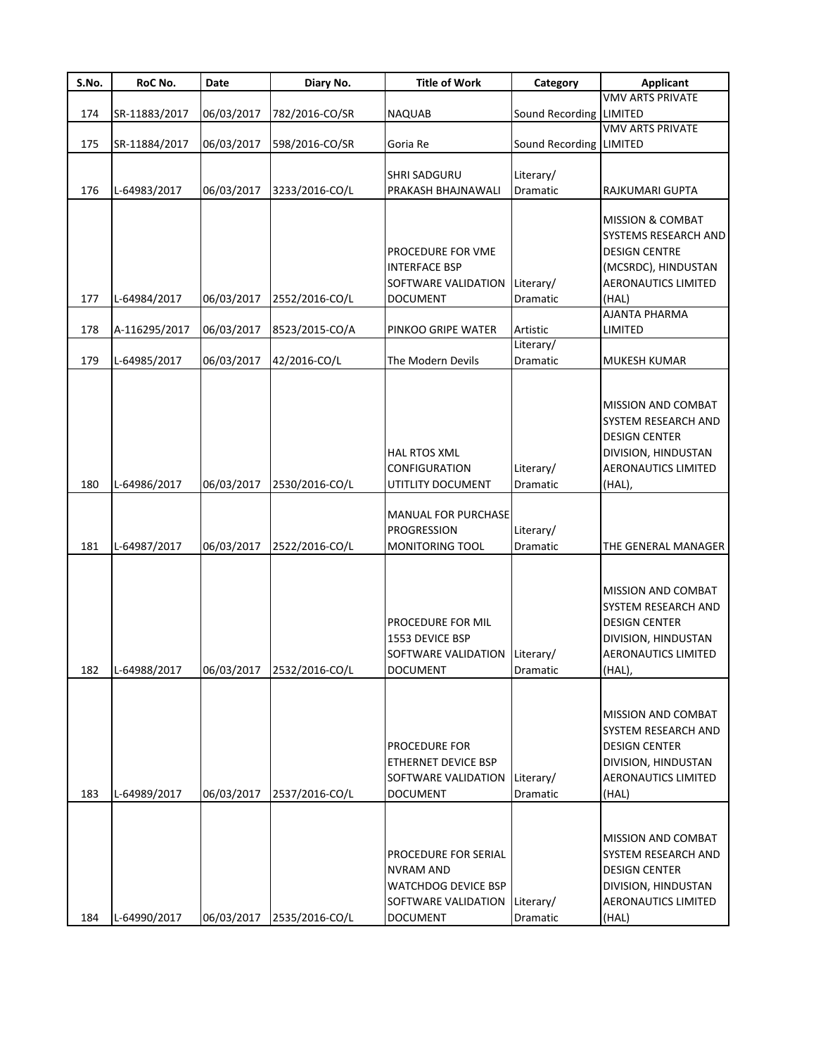| S.No. | RoC No.       | Date       | Diary No.                 | <b>Title of Work</b>          | Category                | <b>Applicant</b>                          |
|-------|---------------|------------|---------------------------|-------------------------------|-------------------------|-------------------------------------------|
|       |               |            |                           |                               |                         | <b>VMV ARTS PRIVATE</b>                   |
| 174   | SR-11883/2017 | 06/03/2017 | 782/2016-CO/SR            | <b>NAQUAB</b>                 | Sound Recording LIMITED |                                           |
|       |               |            |                           |                               |                         | <b>VMV ARTS PRIVATE</b>                   |
| 175   | SR-11884/2017 | 06/03/2017 | 598/2016-CO/SR            | Goria Re                      | Sound Recording LIMITED |                                           |
|       |               |            |                           | <b>SHRI SADGURU</b>           | Literary/               |                                           |
| 176   | L-64983/2017  | 06/03/2017 | 3233/2016-CO/L            | PRAKASH BHAJNAWALI            | Dramatic                | RAJKUMARI GUPTA                           |
|       |               |            |                           |                               |                         |                                           |
|       |               |            |                           |                               |                         | <b>MISSION &amp; COMBAT</b>               |
|       |               |            |                           |                               |                         | SYSTEMS RESEARCH AND                      |
|       |               |            |                           | PROCEDURE FOR VME             |                         | <b>DESIGN CENTRE</b>                      |
|       |               |            |                           | <b>INTERFACE BSP</b>          |                         | (MCSRDC), HINDUSTAN                       |
|       |               |            |                           | SOFTWARE VALIDATION           | Literary/               | AERONAUTICS LIMITED                       |
| 177   | L-64984/2017  | 06/03/2017 | 2552/2016-CO/L            | <b>DOCUMENT</b>               | Dramatic                | (HAL)                                     |
|       |               |            |                           |                               |                         | AJANTA PHARMA                             |
| 178   | A-116295/2017 | 06/03/2017 | 8523/2015-CO/A            | PINKOO GRIPE WATER            | Artistic<br>Literary/   | LIMITED                                   |
| 179   | L-64985/2017  | 06/03/2017 | 42/2016-CO/L              | The Modern Devils             | Dramatic                | <b>MUKESH KUMAR</b>                       |
|       |               |            |                           |                               |                         |                                           |
|       |               |            |                           |                               |                         |                                           |
|       |               |            |                           |                               |                         | MISSION AND COMBAT                        |
|       |               |            |                           |                               |                         | SYSTEM RESEARCH AND                       |
|       |               |            |                           |                               |                         | <b>DESIGN CENTER</b>                      |
|       |               |            |                           | HAL RTOS XML                  |                         | DIVISION, HINDUSTAN                       |
|       |               |            |                           | <b>CONFIGURATION</b>          | Literary/               | <b>AERONAUTICS LIMITED</b>                |
| 180   | L-64986/2017  | 06/03/2017 | 2530/2016-CO/L            | UTITLITY DOCUMENT             | Dramatic                | (HAL),                                    |
|       |               |            |                           | <b>MANUAL FOR PURCHASE</b>    |                         |                                           |
|       |               |            |                           | <b>PROGRESSION</b>            | Literary/               |                                           |
| 181   | L-64987/2017  | 06/03/2017 | 2522/2016-CO/L            | <b>MONITORING TOOL</b>        | Dramatic                | THE GENERAL MANAGER                       |
|       |               |            |                           |                               |                         |                                           |
|       |               |            |                           |                               |                         |                                           |
|       |               |            |                           |                               |                         | MISSION AND COMBAT                        |
|       |               |            |                           |                               |                         | SYSTEM RESEARCH AND                       |
|       |               |            |                           | PROCEDURE FOR MIL             |                         | <b>DESIGN CENTER</b>                      |
|       |               |            |                           | 1553 DEVICE BSP               |                         | DIVISION, HINDUSTAN                       |
|       |               |            |                           | SOFTWARE VALIDATION Literary/ |                         | AERONAUTICS LIMITED                       |
| 182   | L-64988/2017  |            | 06/03/2017 2532/2016-CO/L | DOCUMENT                      | Dramatıc                | (HAL),                                    |
|       |               |            |                           |                               |                         |                                           |
|       |               |            |                           |                               |                         | MISSION AND COMBAT                        |
|       |               |            |                           |                               |                         | <b>SYSTEM RESEARCH AND</b>                |
|       |               |            |                           | PROCEDURE FOR                 |                         | <b>DESIGN CENTER</b>                      |
|       |               |            |                           | ETHERNET DEVICE BSP           |                         | DIVISION, HINDUSTAN                       |
|       |               |            |                           | SOFTWARE VALIDATION           | Literary/               | AERONAUTICS LIMITED                       |
| 183   | L-64989/2017  | 06/03/2017 | 2537/2016-CO/L            | <b>DOCUMENT</b>               | Dramatic                | (HAL)                                     |
|       |               |            |                           |                               |                         |                                           |
|       |               |            |                           |                               |                         |                                           |
|       |               |            |                           | PROCEDURE FOR SERIAL          |                         | MISSION AND COMBAT<br>SYSTEM RESEARCH AND |
|       |               |            |                           | <b>NVRAM AND</b>              |                         | <b>DESIGN CENTER</b>                      |
|       |               |            |                           | <b>WATCHDOG DEVICE BSP</b>    |                         | DIVISION, HINDUSTAN                       |
|       |               |            |                           | SOFTWARE VALIDATION           | Literary/               | <b>AERONAUTICS LIMITED</b>                |
| 184   | L-64990/2017  |            | 06/03/2017 2535/2016-CO/L | <b>DOCUMENT</b>               | Dramatic                | (HAL)                                     |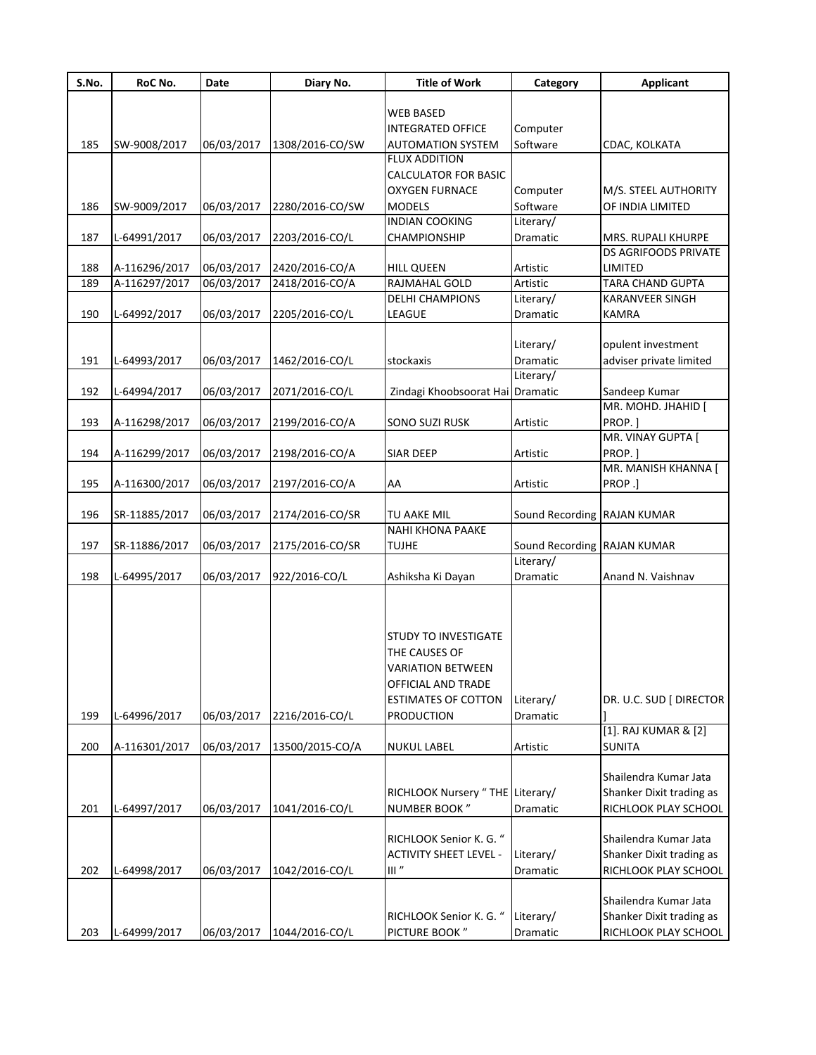| S.No. | RoC No.       | Date       | Diary No.       | <b>Title of Work</b>            | Category                    | <b>Applicant</b>            |
|-------|---------------|------------|-----------------|---------------------------------|-----------------------------|-----------------------------|
|       |               |            |                 |                                 |                             |                             |
|       |               |            |                 | <b>WEB BASED</b>                |                             |                             |
|       |               |            |                 | <b>INTEGRATED OFFICE</b>        | Computer                    |                             |
| 185   | SW-9008/2017  | 06/03/2017 | 1308/2016-CO/SW | <b>AUTOMATION SYSTEM</b>        | Software                    | CDAC, KOLKATA               |
|       |               |            |                 | <b>FLUX ADDITION</b>            |                             |                             |
|       |               |            |                 | <b>CALCULATOR FOR BASIC</b>     |                             |                             |
|       |               |            |                 | <b>OXYGEN FURNACE</b>           | Computer                    | M/S. STEEL AUTHORITY        |
| 186   | SW-9009/2017  | 06/03/2017 | 2280/2016-CO/SW | <b>MODELS</b>                   | Software                    | OF INDIA LIMITED            |
|       |               |            |                 | <b>INDIAN COOKING</b>           | Literary/                   |                             |
| 187   | L-64991/2017  | 06/03/2017 | 2203/2016-CO/L  | CHAMPIONSHIP                    | Dramatic                    | MRS. RUPALI KHURPE          |
|       |               |            |                 |                                 |                             | <b>DS AGRIFOODS PRIVATE</b> |
| 188   | A-116296/2017 | 06/03/2017 | 2420/2016-CO/A  | <b>HILL QUEEN</b>               | Artistic                    | <b>LIMITED</b>              |
| 189   | A-116297/2017 | 06/03/2017 | 2418/2016-CO/A  | RAJMAHAL GOLD                   | Artistic                    | <b>TARA CHAND GUPTA</b>     |
|       |               |            |                 | <b>DELHI CHAMPIONS</b>          | Literary/                   | <b>KARANVEER SINGH</b>      |
| 190   | L-64992/2017  | 06/03/2017 | 2205/2016-CO/L  | LEAGUE                          | Dramatic                    | <b>KAMRA</b>                |
|       |               |            |                 |                                 |                             |                             |
|       |               |            |                 |                                 | Literary/                   | opulent investment          |
| 191   | L-64993/2017  | 06/03/2017 | 1462/2016-CO/L  | stockaxis                       | Dramatic                    | adviser private limited     |
|       |               |            |                 |                                 | Literary/                   |                             |
| 192   | L-64994/2017  | 06/03/2017 | 2071/2016-CO/L  | Zindagi Khoobsoorat Hai         | Dramatic                    | Sandeep Kumar               |
|       |               |            |                 |                                 |                             | MR. MOHD. JHAHID [          |
| 193   | A-116298/2017 | 06/03/2017 | 2199/2016-CO/A  | <b>SONO SUZI RUSK</b>           | Artistic                    | PROP.]                      |
|       |               |            |                 |                                 |                             | MR. VINAY GUPTA [           |
| 194   | A-116299/2017 | 06/03/2017 | 2198/2016-CO/A  | <b>SIAR DEEP</b>                | Artistic                    | PROP.]                      |
|       |               |            |                 |                                 |                             | MR. MANISH KHANNA [         |
| 195   | A-116300/2017 | 06/03/2017 | 2197/2016-CO/A  | AA                              | Artistic                    | PROP.]                      |
|       |               |            |                 |                                 |                             |                             |
| 196   | SR-11885/2017 | 06/03/2017 | 2174/2016-CO/SR | TU AAKE MIL                     | Sound Recording             | <b>RAJAN KUMAR</b>          |
|       |               |            |                 | <b>NAHI KHONA PAAKE</b>         |                             |                             |
| 197   | SR-11886/2017 | 06/03/2017 | 2175/2016-CO/SR | <b>TUJHE</b>                    | Sound Recording RAJAN KUMAR |                             |
|       |               |            |                 |                                 | Literary/                   |                             |
| 198   | L-64995/2017  | 06/03/2017 | 922/2016-CO/L   | Ashiksha Ki Dayan               | Dramatic                    | Anand N. Vaishnav           |
|       |               |            |                 |                                 |                             |                             |
|       |               |            |                 |                                 |                             |                             |
|       |               |            |                 | <b>STUDY TO INVESTIGATE</b>     |                             |                             |
|       |               |            |                 | THE CAUSES OF                   |                             |                             |
|       |               |            |                 | <b>VARIATION BETWEEN</b>        |                             |                             |
|       |               |            |                 |                                 |                             |                             |
|       |               |            |                 | OFFICIAL AND TRADE              |                             |                             |
|       |               |            |                 | <b>ESTIMATES OF COTTON</b>      | Literary/                   | DR. U.C. SUD [ DIRECTOR     |
| 199   | L-64996/2017  | 06/03/2017 | 2216/2016-CO/L  | <b>PRODUCTION</b>               | Dramatic                    | [1]. RAJ KUMAR & [2]        |
|       |               |            |                 |                                 |                             |                             |
| 200   | A-116301/2017 | 06/03/2017 | 13500/2015-CO/A | <b>NUKUL LABEL</b>              | Artistic                    | <b>SUNITA</b>               |
|       |               |            |                 |                                 |                             |                             |
|       |               |            |                 |                                 |                             | Shailendra Kumar Jata       |
|       |               |            |                 | RICHLOOK Nursery "THE Literary/ |                             | Shanker Dixit trading as    |
| 201   | L-64997/2017  | 06/03/2017 | 1041/2016-CO/L  | NUMBER BOOK"                    | Dramatic                    | RICHLOOK PLAY SCHOOL        |
|       |               |            |                 |                                 |                             |                             |
|       |               |            |                 | RICHLOOK Senior K. G. "         |                             | Shailendra Kumar Jata       |
|       |               |            |                 | <b>ACTIVITY SHEET LEVEL -</b>   | Literary/                   | Shanker Dixit trading as    |
| 202   | L-64998/2017  | 06/03/2017 | 1042/2016-CO/L  | III''                           | Dramatic                    | RICHLOOK PLAY SCHOOL        |
|       |               |            |                 |                                 |                             |                             |
|       |               |            |                 |                                 |                             | Shailendra Kumar Jata       |
|       |               |            |                 | RICHLOOK Senior K. G. "         | Literary/                   | Shanker Dixit trading as    |
| 203   | L-64999/2017  | 06/03/2017 | 1044/2016-CO/L  | PICTURE BOOK"                   | Dramatic                    | RICHLOOK PLAY SCHOOL        |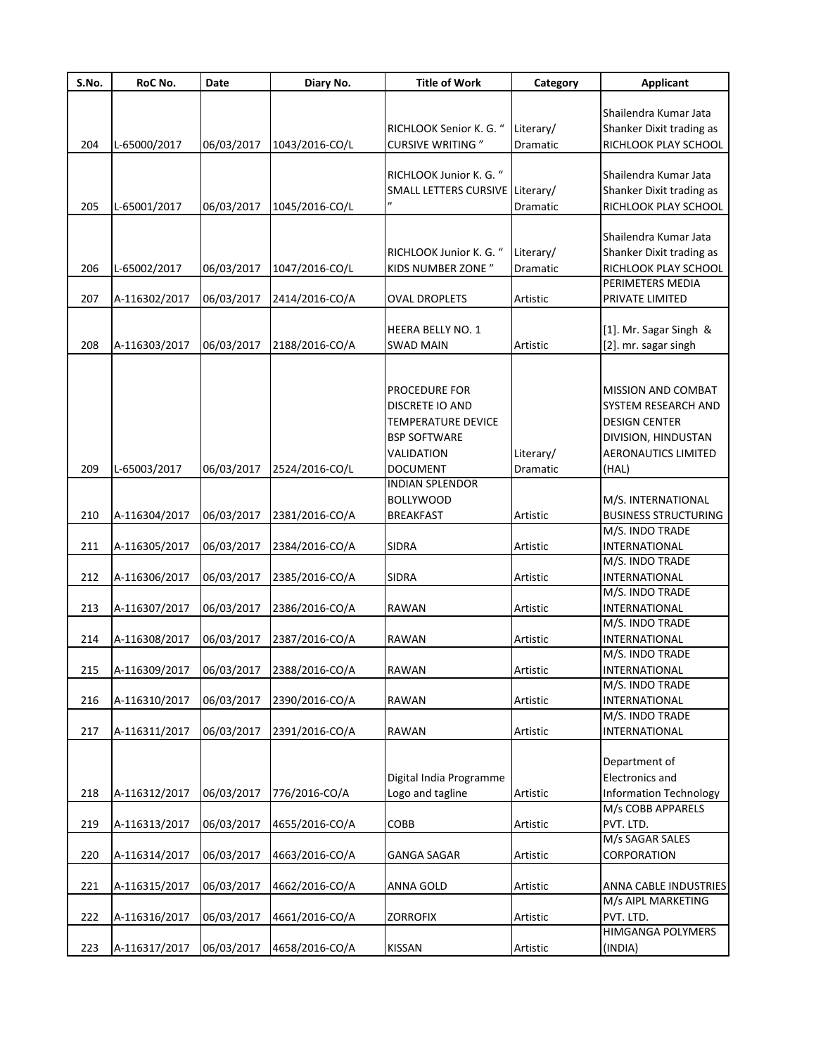| S.No. | RoC No.           | Date       | Diary No.                 | <b>Title of Work</b>            | Category  | <b>Applicant</b>              |
|-------|-------------------|------------|---------------------------|---------------------------------|-----------|-------------------------------|
|       |                   |            |                           |                                 |           |                               |
|       |                   |            |                           |                                 |           | Shailendra Kumar Jata         |
|       |                   |            |                           | RICHLOOK Senior K. G. "         | Literary/ | Shanker Dixit trading as      |
| 204   | L-65000/2017      | 06/03/2017 | 1043/2016-CO/L            | <b>CURSIVE WRITING</b> "        | Dramatic  | RICHLOOK PLAY SCHOOL          |
|       |                   |            |                           |                                 |           |                               |
|       |                   |            |                           | RICHLOOK Junior K. G. "         |           | Shailendra Kumar Jata         |
|       |                   |            |                           | SMALL LETTERS CURSIVE Literary/ |           | Shanker Dixit trading as      |
| 205   | L-65001/2017      | 06/03/2017 | 1045/2016-CO/L            |                                 | Dramatic  | RICHLOOK PLAY SCHOOL          |
|       |                   |            |                           |                                 |           |                               |
|       |                   |            |                           |                                 |           | Shailendra Kumar Jata         |
|       |                   |            |                           | RICHLOOK Junior K. G. "         | Literary/ | Shanker Dixit trading as      |
| 206   | L-65002/2017      | 06/03/2017 | 1047/2016-CO/L            | <b>KIDS NUMBER ZONE "</b>       | Dramatic  | RICHLOOK PLAY SCHOOL          |
|       |                   |            |                           |                                 |           | PERIMETERS MEDIA              |
| 207   | A-116302/2017     | 06/03/2017 | 2414/2016-CO/A            | <b>OVAL DROPLETS</b>            | Artistic  | PRIVATE LIMITED               |
|       |                   |            |                           |                                 |           |                               |
|       |                   |            |                           | <b>HEERA BELLY NO. 1</b>        |           | [1]. Mr. Sagar Singh &        |
| 208   | A-116303/2017     | 06/03/2017 | 2188/2016-CO/A            | <b>SWAD MAIN</b>                | Artistic  | [2]. mr. sagar singh          |
|       |                   |            |                           |                                 |           |                               |
|       |                   |            |                           | PROCEDURE FOR                   |           | MISSION AND COMBAT            |
|       |                   |            |                           | DISCRETE IO AND                 |           | SYSTEM RESEARCH AND           |
|       |                   |            |                           | <b>TEMPERATURE DEVICE</b>       |           | <b>DESIGN CENTER</b>          |
|       |                   |            |                           | <b>BSP SOFTWARE</b>             |           | DIVISION, HINDUSTAN           |
|       |                   |            |                           | VALIDATION                      | Literary/ | <b>AERONAUTICS LIMITED</b>    |
| 209   | L-65003/2017      | 06/03/2017 | 2524/2016-CO/L            | <b>DOCUMENT</b>                 | Dramatic  | (HAL)                         |
|       |                   |            |                           | <b>INDIAN SPLENDOR</b>          |           |                               |
|       |                   |            |                           | <b>BOLLYWOOD</b>                |           | M/S. INTERNATIONAL            |
|       |                   |            |                           |                                 |           |                               |
| 210   | A-116304/2017     | 06/03/2017 | 2381/2016-CO/A            | <b>BREAKFAST</b>                | Artistic  | <b>BUSINESS STRUCTURING</b>   |
|       |                   |            |                           |                                 |           | M/S. INDO TRADE               |
| 211   | A-116305/2017     | 06/03/2017 | 2384/2016-CO/A            | <b>SIDRA</b>                    | Artistic  | <b>INTERNATIONAL</b>          |
|       |                   |            |                           |                                 |           | M/S. INDO TRADE               |
| 212   | A-116306/2017     | 06/03/2017 | 2385/2016-CO/A            | <b>SIDRA</b>                    | Artistic  | INTERNATIONAL                 |
|       |                   |            |                           |                                 |           | M/S. INDO TRADE               |
| 213   | A-116307/2017     | 06/03/2017 | 2386/2016-CO/A            | <b>RAWAN</b>                    | Artistic  | INTERNATIONAL                 |
|       |                   |            |                           |                                 |           | M/S. INDO TRADE               |
| 214   | A-116308/2017     | 06/03/2017 | 2387/2016-CO/A            | <b>RAWAN</b>                    | Artistic  | INTERNATIONAL                 |
|       |                   |            |                           |                                 |           | M/S. INDO TRADE               |
|       | 215 A-116309/2017 |            | 06/03/2017 2388/2016-CO/A | RAWAN                           | Artistic  | INTERNATIONAL                 |
|       |                   |            |                           |                                 |           | M/S. INDO TRADE               |
| 216   | A-116310/2017     | 06/03/2017 | 2390/2016-CO/A            | <b>RAWAN</b>                    | Artistic  | INTERNATIONAL                 |
|       |                   |            |                           |                                 |           | M/S. INDO TRADE               |
| 217   | A-116311/2017     | 06/03/2017 | 2391/2016-CO/A            | <b>RAWAN</b>                    | Artistic  | INTERNATIONAL                 |
|       |                   |            |                           |                                 |           | Department of                 |
|       |                   |            |                           | Digital India Programme         |           | Electronics and               |
| 218   | A-116312/2017     | 06/03/2017 | 776/2016-CO/A             | Logo and tagline                |           | <b>Information Technology</b> |
|       |                   |            |                           |                                 | Artistic  | M/s COBB APPARELS             |
| 219   | A-116313/2017     | 06/03/2017 | 4655/2016-CO/A            | COBB                            | Artistic  | PVT. LTD.                     |
|       |                   |            |                           |                                 |           | M/s SAGAR SALES               |
| 220   | A-116314/2017     | 06/03/2017 | 4663/2016-CO/A            | GANGA SAGAR                     | Artistic  | CORPORATION                   |
|       |                   |            |                           |                                 |           |                               |
| 221   | A-116315/2017     | 06/03/2017 | 4662/2016-CO/A            | <b>ANNA GOLD</b>                | Artistic  | ANNA CABLE INDUSTRIES         |
|       |                   |            |                           |                                 |           | M/s AIPL MARKETING            |
| 222   | A-116316/2017     | 06/03/2017 | 4661/2016-CO/A            | <b>ZORROFIX</b>                 | Artistic  | PVT. LTD.                     |
|       |                   |            |                           |                                 |           | HIMGANGA POLYMERS             |
| 223   | A-116317/2017     | 06/03/2017 | 4658/2016-CO/A            | KISSAN                          | Artistic  | (INDIA)                       |
|       |                   |            |                           |                                 |           |                               |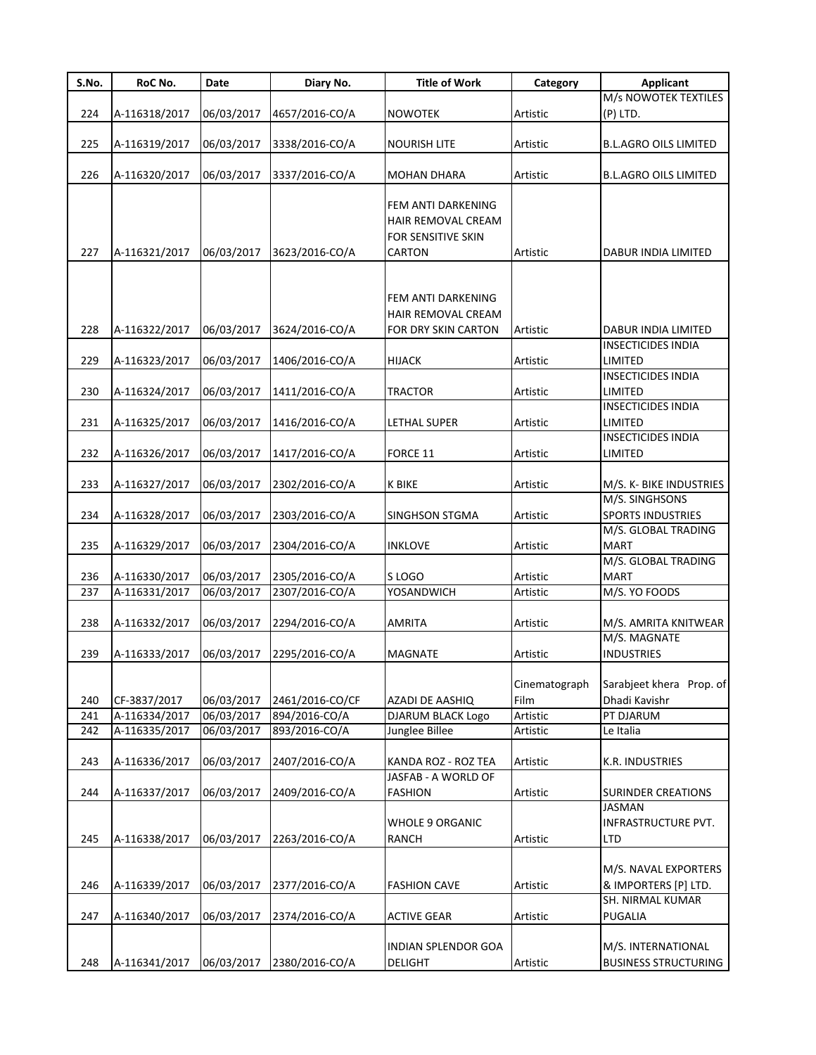| S.No. | RoC No.       | Date       | Diary No.       | <b>Title of Work</b>                     | Category      | <b>Applicant</b>             |
|-------|---------------|------------|-----------------|------------------------------------------|---------------|------------------------------|
|       |               |            |                 |                                          |               | M/s NOWOTEK TEXTILES         |
| 224   | A-116318/2017 | 06/03/2017 | 4657/2016-CO/A  | <b>NOWOTEK</b>                           | Artistic      | $(P)$ LTD.                   |
|       |               |            |                 |                                          |               |                              |
| 225   | A-116319/2017 | 06/03/2017 | 3338/2016-CO/A  | NOURISH LITE                             | Artistic      | <b>B.L.AGRO OILS LIMITED</b> |
|       |               |            |                 |                                          |               |                              |
| 226   | A-116320/2017 | 06/03/2017 | 3337/2016-CO/A  | <b>MOHAN DHARA</b>                       | Artistic      | <b>B.L.AGRO OILS LIMITED</b> |
|       |               |            |                 |                                          |               |                              |
|       |               |            |                 | FEM ANTI DARKENING<br>HAIR REMOVAL CREAM |               |                              |
|       |               |            |                 |                                          |               |                              |
|       |               |            |                 | FOR SENSITIVE SKIN                       |               |                              |
| 227   | A-116321/2017 | 06/03/2017 | 3623/2016-CO/A  | CARTON                                   | Artistic      | <b>DABUR INDIA LIMITED</b>   |
|       |               |            |                 |                                          |               |                              |
|       |               |            |                 |                                          |               |                              |
|       |               |            |                 | FEM ANTI DARKENING                       |               |                              |
|       |               |            |                 | HAIR REMOVAL CREAM                       |               |                              |
| 228   | A-116322/2017 | 06/03/2017 | 3624/2016-CO/A  | FOR DRY SKIN CARTON                      | Artistic      | DABUR INDIA LIMITED          |
|       |               |            |                 |                                          |               | <b>INSECTICIDES INDIA</b>    |
| 229   | A-116323/2017 | 06/03/2017 | 1406/2016-CO/A  | <b>HIJACK</b>                            | Artistic      | LIMITED                      |
|       |               |            |                 |                                          |               | <b>INSECTICIDES INDIA</b>    |
| 230   | A-116324/2017 | 06/03/2017 | 1411/2016-CO/A  | <b>TRACTOR</b>                           | Artistic      | LIMITED                      |
|       |               |            |                 |                                          |               | <b>INSECTICIDES INDIA</b>    |
| 231   | A-116325/2017 | 06/03/2017 | 1416/2016-CO/A  | LETHAL SUPER                             | Artistic      | LIMITED                      |
|       |               |            |                 |                                          |               | <b>INSECTICIDES INDIA</b>    |
| 232   | A-116326/2017 | 06/03/2017 | 1417/2016-CO/A  | FORCE 11                                 | Artistic      | LIMITED                      |
|       |               |            |                 |                                          |               |                              |
| 233   | A-116327/2017 | 06/03/2017 | 2302/2016-CO/A  | K BIKE                                   | Artistic      | M/S. K- BIKE INDUSTRIES      |
|       |               |            |                 |                                          |               | M/S. SINGHSONS               |
| 234   | A-116328/2017 | 06/03/2017 | 2303/2016-CO/A  | SINGHSON STGMA                           | Artistic      | <b>SPORTS INDUSTRIES</b>     |
|       |               |            |                 |                                          |               | M/S. GLOBAL TRADING          |
| 235   | A-116329/2017 | 06/03/2017 | 2304/2016-CO/A  | <b>INKLOVE</b>                           | Artistic      | <b>MART</b>                  |
|       |               |            |                 |                                          |               | M/S. GLOBAL TRADING          |
| 236   | A-116330/2017 | 06/03/2017 | 2305/2016-CO/A  | S LOGO                                   | Artistic      | <b>MART</b>                  |
| 237   | A-116331/2017 | 06/03/2017 | 2307/2016-CO/A  | YOSANDWICH                               | Artistic      | M/S. YO FOODS                |
|       |               |            |                 |                                          |               |                              |
| 238   | A-116332/2017 | 06/03/2017 | 2294/2016-CO/A  | AMRITA                                   | Artistic      | M/S. AMRITA KNITWEAR         |
|       |               |            |                 |                                          |               | M/S. MAGNATE                 |
| 239   | A-116333/2017 | 06/03/2017 | 2295/2016-CO/A  | MAGNATE                                  | Artistic      | <b>INDUSTRIES</b>            |
|       |               |            |                 |                                          |               |                              |
|       |               |            |                 |                                          | Cinematograph | Sarabjeet khera Prop. of     |
| 240   | CF-3837/2017  | 06/03/2017 | 2461/2016-CO/CF | AZADI DE AASHIQ                          | Film          | Dhadi Kavishr                |
| 241   | A-116334/2017 | 06/03/2017 | 894/2016-CO/A   | DJARUM BLACK Logo                        | Artistic      | PT DJARUM                    |
| 242   | A-116335/2017 | 06/03/2017 | 893/2016-CO/A   | Junglee Billee                           | Artistic      | Le Italia                    |
|       |               |            |                 |                                          |               |                              |
| 243   | A-116336/2017 | 06/03/2017 | 2407/2016-CO/A  | KANDA ROZ - ROZ TEA                      | Artistic      | K.R. INDUSTRIES              |
|       |               |            |                 | JASFAB - A WORLD OF                      |               |                              |
| 244   | A-116337/2017 | 06/03/2017 | 2409/2016-CO/A  | <b>FASHION</b>                           | Artistic      | SURINDER CREATIONS           |
|       |               |            |                 |                                          |               | JASMAN                       |
|       |               |            |                 | <b>WHOLE 9 ORGANIC</b>                   |               | INFRASTRUCTURE PVT.          |
| 245   | A-116338/2017 | 06/03/2017 | 2263/2016-CO/A  | <b>RANCH</b>                             | Artistic      | LTD                          |
|       |               |            |                 |                                          |               |                              |
|       |               |            |                 |                                          |               | M/S. NAVAL EXPORTERS         |
| 246   | A-116339/2017 | 06/03/2017 | 2377/2016-CO/A  | <b>FASHION CAVE</b>                      | Artistic      | & IMPORTERS [P] LTD.         |
|       |               |            |                 |                                          |               | SH. NIRMAL KUMAR             |
| 247   | A-116340/2017 | 06/03/2017 | 2374/2016-CO/A  | <b>ACTIVE GEAR</b>                       | Artistic      | <b>PUGALIA</b>               |
|       |               |            |                 |                                          |               |                              |
|       |               |            |                 | INDIAN SPLENDOR GOA                      |               | M/S. INTERNATIONAL           |
| 248   | A-116341/2017 | 06/03/2017 | 2380/2016-CO/A  | <b>DELIGHT</b>                           | Artistic      | <b>BUSINESS STRUCTURING</b>  |
|       |               |            |                 |                                          |               |                              |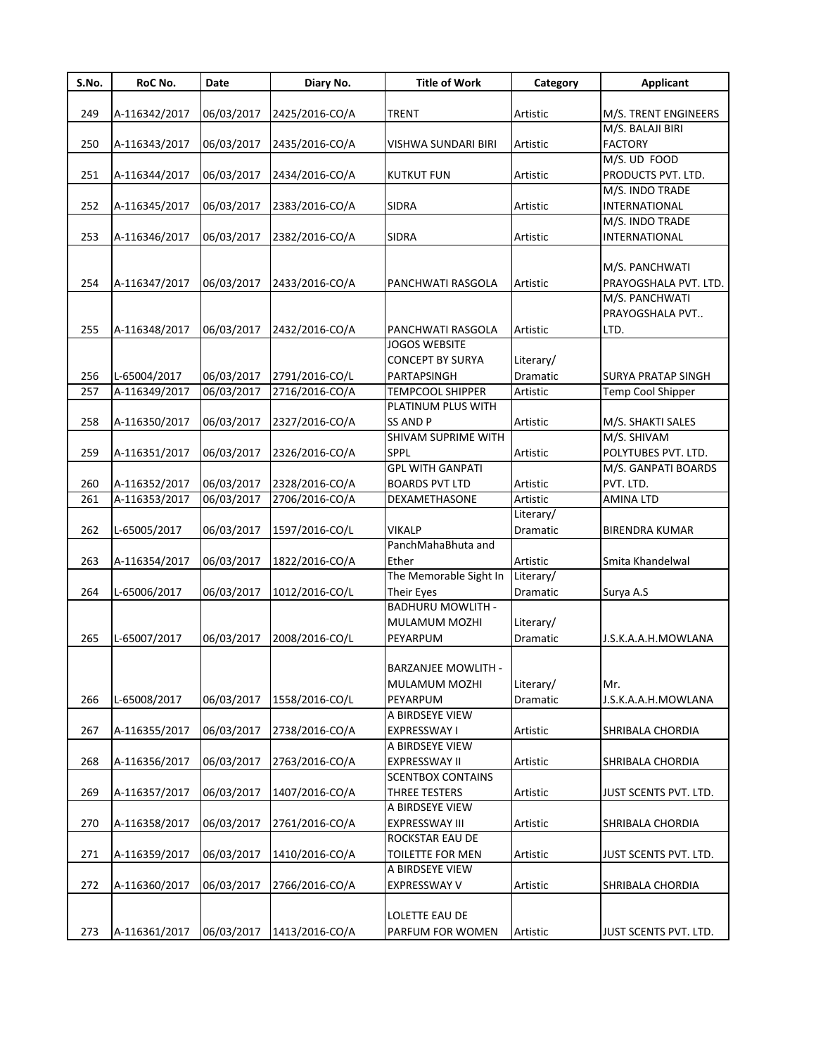| S.No. | RoC No.       | Date       | Diary No.      | <b>Title of Work</b>             | Category        | <b>Applicant</b>          |
|-------|---------------|------------|----------------|----------------------------------|-----------------|---------------------------|
|       |               |            |                |                                  |                 |                           |
| 249   | A-116342/2017 | 06/03/2017 | 2425/2016-CO/A | <b>TRENT</b>                     | Artistic        | M/S. TRENT ENGINEERS      |
|       |               |            |                |                                  |                 | M/S. BALAJI BIRI          |
| 250   | A-116343/2017 | 06/03/2017 | 2435/2016-CO/A | VISHWA SUNDARI BIRI              | Artistic        | <b>FACTORY</b>            |
|       |               |            |                |                                  |                 | M/S. UD FOOD              |
| 251   | A-116344/2017 | 06/03/2017 | 2434/2016-CO/A | <b>KUTKUT FUN</b>                | Artistic        | PRODUCTS PVT. LTD.        |
|       |               |            |                |                                  |                 | M/S. INDO TRADE           |
| 252   | A-116345/2017 | 06/03/2017 | 2383/2016-CO/A | <b>SIDRA</b>                     | Artistic        | INTERNATIONAL             |
|       |               |            |                |                                  |                 | M/S. INDO TRADE           |
| 253   | A-116346/2017 | 06/03/2017 | 2382/2016-CO/A | <b>SIDRA</b>                     | Artistic        | INTERNATIONAL             |
|       |               |            |                |                                  |                 |                           |
|       |               |            |                |                                  |                 | M/S. PANCHWATI            |
| 254   | A-116347/2017 | 06/03/2017 | 2433/2016-CO/A | PANCHWATI RASGOLA                | Artistic        | PRAYOGSHALA PVT. LTD.     |
|       |               |            |                |                                  |                 | M/S. PANCHWATI            |
|       |               |            |                |                                  |                 | PRAYOGSHALA PVT           |
| 255   | A-116348/2017 | 06/03/2017 | 2432/2016-CO/A | PANCHWATI RASGOLA                | Artistic        | LTD.                      |
|       |               |            |                | <b>JOGOS WEBSITE</b>             |                 |                           |
|       |               |            |                | <b>CONCEPT BY SURYA</b>          | Literary/       |                           |
| 256   | L-65004/2017  | 06/03/2017 | 2791/2016-CO/L | PARTAPSINGH                      | <b>Dramatic</b> | <b>SURYA PRATAP SINGH</b> |
| 257   | A-116349/2017 | 06/03/2017 | 2716/2016-CO/A | <b>TEMPCOOL SHIPPER</b>          | Artistic        | Temp Cool Shipper         |
|       |               |            |                | PLATINUM PLUS WITH               |                 |                           |
| 258   | A-116350/2017 | 06/03/2017 | 2327/2016-CO/A | <b>SS AND P</b>                  | Artistic        | M/S. SHAKTI SALES         |
|       |               |            |                | <b>SHIVAM SUPRIME WITH</b>       |                 | M/S. SHIVAM               |
| 259   | A-116351/2017 | 06/03/2017 | 2326/2016-CO/A | SPPL                             | Artistic        | POLYTUBES PVT. LTD.       |
|       |               |            |                | <b>GPL WITH GANPATI</b>          |                 | M/S. GANPATI BOARDS       |
| 260   | A-116352/2017 | 06/03/2017 | 2328/2016-CO/A | <b>BOARDS PVT LTD</b>            | Artistic        | PVT. LTD.                 |
| 261   | A-116353/2017 | 06/03/2017 | 2706/2016-CO/A | DEXAMETHASONE                    | Artistic        | <b>AMINA LTD</b>          |
|       |               |            |                |                                  | Literary/       |                           |
| 262   | L-65005/2017  | 06/03/2017 | 1597/2016-CO/L | <b>VIKALP</b>                    | Dramatic        | <b>BIRENDRA KUMAR</b>     |
|       |               |            |                | PanchMahaBhuta and               |                 |                           |
| 263   | A-116354/2017 | 06/03/2017 | 1822/2016-CO/A | Ether                            | Artistic        | Smita Khandelwal          |
|       |               |            |                | The Memorable Sight In           | Literary/       |                           |
| 264   | L-65006/2017  | 06/03/2017 | 1012/2016-CO/L | Their Eyes                       | Dramatic        | Surya A.S                 |
|       |               |            |                | <b>BADHURU MOWLITH -</b>         |                 |                           |
|       |               |            |                | MULAMUM MOZHI                    | Literary/       |                           |
| 265   | L-65007/2017  | 06/03/2017 | 2008/2016-CO/L | PEYARPUM                         | Dramatic        | J.S.K.A.A.H.MOWLANA       |
|       |               |            |                |                                  |                 |                           |
|       |               |            |                | <b>BARZANJEE MOWLITH -</b>       |                 |                           |
|       |               |            |                | MULAMUM MOZHI                    | Literary/       | Mr.                       |
| 266   | L-65008/2017  | 06/03/2017 | 1558/2016-CO/L | PEYARPUM                         | Dramatic        | J.S.K.A.A.H.MOWLANA       |
|       |               |            |                | A BIRDSEYE VIEW                  |                 |                           |
| 267   | A-116355/2017 | 06/03/2017 | 2738/2016-CO/A | EXPRESSWAY I                     | Artistic        | SHRIBALA CHORDIA          |
|       |               |            |                | A BIRDSEYE VIEW                  |                 |                           |
| 268   | A-116356/2017 | 06/03/2017 | 2763/2016-CO/A | <b>EXPRESSWAY II</b>             | Artistic        | SHRIBALA CHORDIA          |
|       |               |            |                | <b>SCENTBOX CONTAINS</b>         |                 |                           |
| 269   |               |            | 1407/2016-CO/A |                                  |                 |                           |
|       | A-116357/2017 | 06/03/2017 |                | THREE TESTERS<br>A BIRDSEYE VIEW | Artistic        | JUST SCENTS PVT. LTD.     |
| 270   |               | 06/03/2017 |                | <b>EXPRESSWAY III</b>            |                 |                           |
|       | A-116358/2017 |            | 2761/2016-CO/A |                                  | Artistic        | SHRIBALA CHORDIA          |
|       |               |            |                | ROCKSTAR EAU DE                  |                 |                           |
| 271   | A-116359/2017 | 06/03/2017 | 1410/2016-CO/A | TOILETTE FOR MEN                 | Artistic        | JUST SCENTS PVT. LTD.     |
|       |               |            |                | A BIRDSEYE VIEW                  |                 |                           |
| 272   | A-116360/2017 | 06/03/2017 | 2766/2016-CO/A | EXPRESSWAY V                     | Artistic        | <b>SHRIBALA CHORDIA</b>   |
|       |               |            |                |                                  |                 |                           |
|       |               |            |                | LOLETTE EAU DE                   |                 |                           |
| 273   | A-116361/2017 | 06/03/2017 | 1413/2016-CO/A | PARFUM FOR WOMEN                 | Artistic        | JUST SCENTS PVT. LTD.     |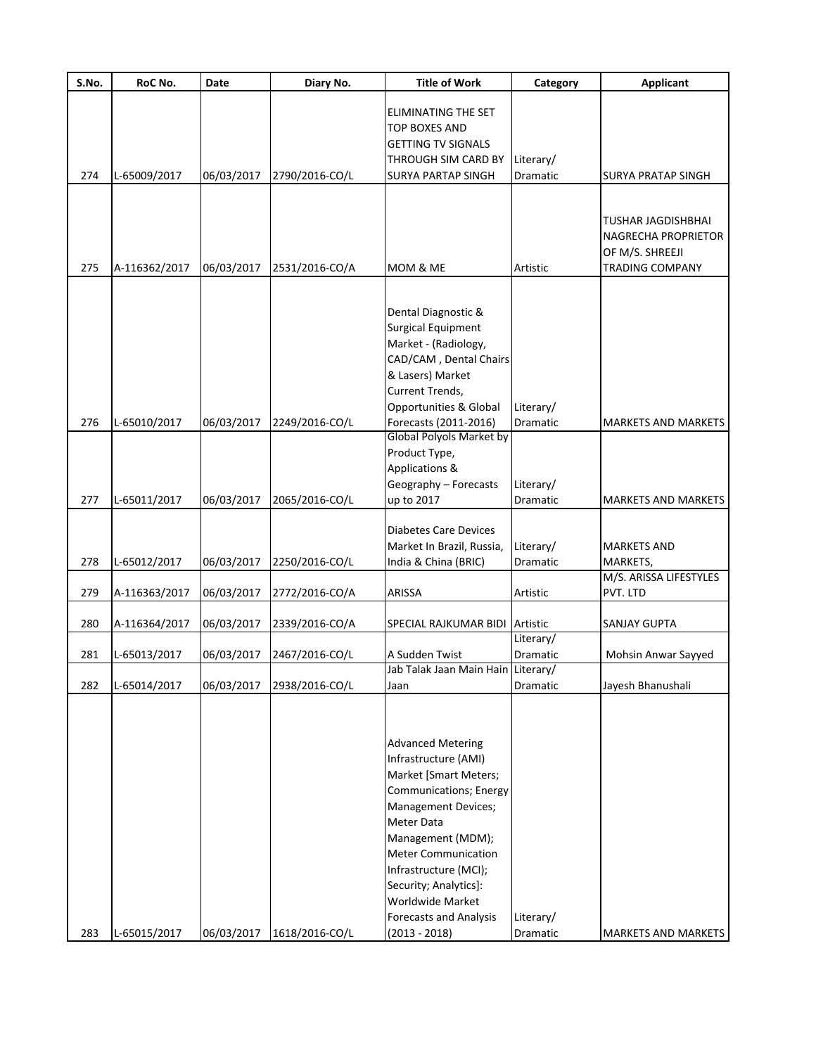| S.No. | RoC No.       | Date       | Diary No.      | <b>Title of Work</b>                              | Category              | <b>Applicant</b>           |
|-------|---------------|------------|----------------|---------------------------------------------------|-----------------------|----------------------------|
|       |               |            |                | ELIMINATING THE SET                               |                       |                            |
|       |               |            |                | TOP BOXES AND                                     |                       |                            |
|       |               |            |                | <b>GETTING TV SIGNALS</b>                         |                       |                            |
|       |               |            |                | THROUGH SIM CARD BY                               | Literary/             |                            |
| 274   | L-65009/2017  | 06/03/2017 | 2790/2016-CO/L | <b>SURYA PARTAP SINGH</b>                         | Dramatic              | <b>SURYA PRATAP SINGH</b>  |
|       |               |            |                |                                                   |                       |                            |
|       |               |            |                |                                                   |                       | <b>TUSHAR JAGDISHBHAI</b>  |
|       |               |            |                |                                                   |                       | NAGRECHA PROPRIETOR        |
|       |               |            |                |                                                   |                       | OF M/S. SHREEJI            |
| 275   | A-116362/2017 | 06/03/2017 | 2531/2016-CO/A | MOM & ME                                          | Artistic              | <b>TRADING COMPANY</b>     |
|       |               |            |                |                                                   |                       |                            |
|       |               |            |                | Dental Diagnostic &                               |                       |                            |
|       |               |            |                | <b>Surgical Equipment</b>                         |                       |                            |
|       |               |            |                | Market - (Radiology,                              |                       |                            |
|       |               |            |                | CAD/CAM, Dental Chairs                            |                       |                            |
|       |               |            |                | & Lasers) Market                                  |                       |                            |
|       |               |            |                | Current Trends,                                   |                       |                            |
|       |               |            |                | <b>Opportunities &amp; Global</b>                 | Literary/             |                            |
| 276   | L-65010/2017  | 06/03/2017 | 2249/2016-CO/L | Forecasts (2011-2016)                             | Dramatic              | <b>MARKETS AND MARKETS</b> |
|       |               |            |                | Global Polyols Market by                          |                       |                            |
|       |               |            |                | Product Type,                                     |                       |                            |
|       |               |            |                | Applications &                                    |                       |                            |
|       |               |            |                | Geography - Forecasts                             | Literary/             |                            |
| 277   | L-65011/2017  | 06/03/2017 | 2065/2016-CO/L | up to 2017                                        | Dramatic              | <b>MARKETS AND MARKETS</b> |
|       |               |            |                |                                                   |                       |                            |
|       |               |            |                | <b>Diabetes Care Devices</b>                      |                       | <b>MARKETS AND</b>         |
| 278   |               |            |                | Market In Brazil, Russia,<br>India & China (BRIC) | Literary/<br>Dramatic | MARKETS,                   |
|       | L-65012/2017  | 06/03/2017 | 2250/2016-CO/L |                                                   |                       | M/S. ARISSA LIFESTYLES     |
| 279   | A-116363/2017 | 06/03/2017 | 2772/2016-CO/A | ARISSA                                            | Artistic              | PVT. LTD                   |
|       |               |            |                |                                                   |                       |                            |
| 280   | A-116364/2017 | 06/03/2017 | 2339/2016-CO/A | SPECIAL RAJKUMAR BIDI                             | Artistic              | <b>SANJAY GUPTA</b>        |
|       |               |            |                |                                                   | Literary/             |                            |
| 281   | L-65013/2017  | 06/03/2017 | 2467/2016-CO/L | A Sudden Twist                                    | Dramatic              | Mohsin Anwar Sayyed        |
|       |               |            |                | Jab Talak Jaan Main Hain Literary/                |                       |                            |
| 282   | L-65014/2017  | 06/03/2017 | 2938/2016-CO/L | Jaan                                              | Dramatic              | Jayesh Bhanushali          |
|       |               |            |                |                                                   |                       |                            |
|       |               |            |                |                                                   |                       |                            |
|       |               |            |                | <b>Advanced Metering</b>                          |                       |                            |
|       |               |            |                | Infrastructure (AMI)<br>Market [Smart Meters;     |                       |                            |
|       |               |            |                | Communications; Energy                            |                       |                            |
|       |               |            |                | <b>Management Devices;</b>                        |                       |                            |
|       |               |            |                | Meter Data                                        |                       |                            |
|       |               |            |                | Management (MDM);                                 |                       |                            |
|       |               |            |                | <b>Meter Communication</b>                        |                       |                            |
|       |               |            |                | Infrastructure (MCI);                             |                       |                            |
|       |               |            |                | Security; Analytics]:                             |                       |                            |
|       |               |            |                | Worldwide Market                                  |                       |                            |
|       |               |            |                | <b>Forecasts and Analysis</b>                     | Literary/             |                            |
| 283   | L-65015/2017  | 06/03/2017 | 1618/2016-CO/L | $(2013 - 2018)$                                   | Dramatic              | MARKETS AND MARKETS        |
|       |               |            |                |                                                   |                       |                            |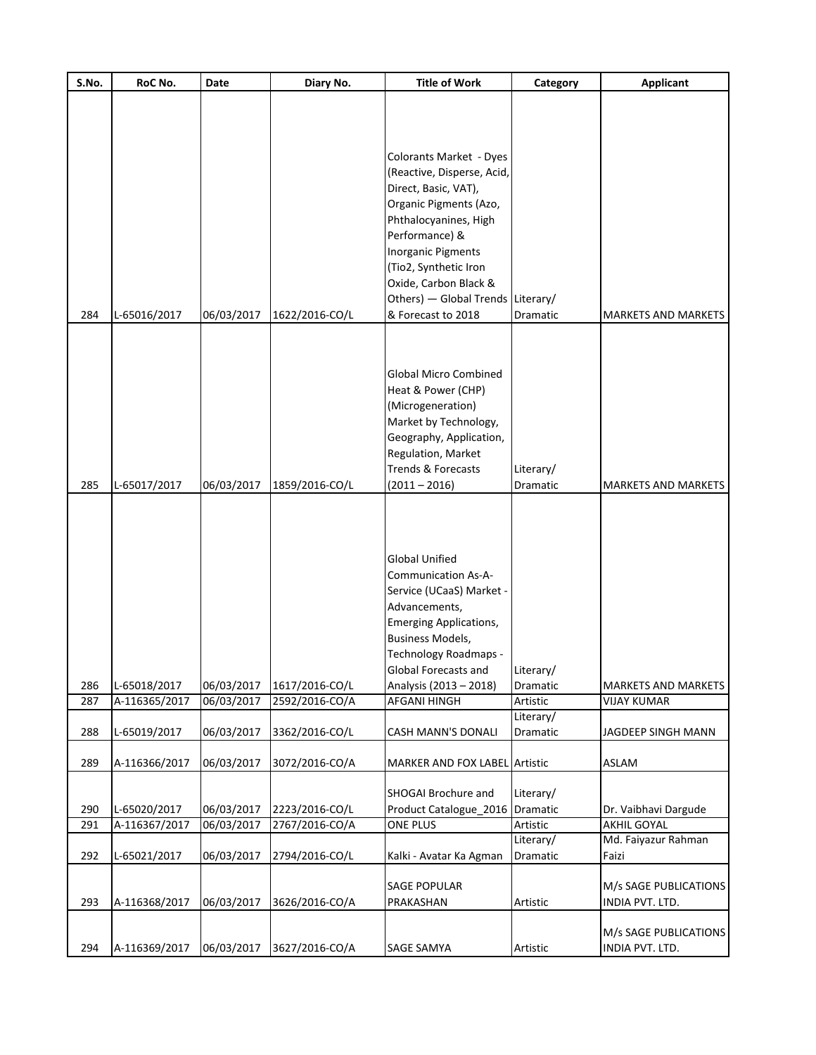| S.No. | RoC No.       | Date       | Diary No.      | <b>Title of Work</b>                       | Category              | <b>Applicant</b>                         |
|-------|---------------|------------|----------------|--------------------------------------------|-----------------------|------------------------------------------|
|       |               |            |                |                                            |                       |                                          |
|       |               |            |                |                                            |                       |                                          |
|       |               |            |                |                                            |                       |                                          |
|       |               |            |                | Colorants Market - Dyes                    |                       |                                          |
|       |               |            |                | (Reactive, Disperse, Acid,                 |                       |                                          |
|       |               |            |                | Direct, Basic, VAT),                       |                       |                                          |
|       |               |            |                | Organic Pigments (Azo,                     |                       |                                          |
|       |               |            |                | Phthalocyanines, High                      |                       |                                          |
|       |               |            |                | Performance) &                             |                       |                                          |
|       |               |            |                | <b>Inorganic Pigments</b>                  |                       |                                          |
|       |               |            |                | (Tio2, Synthetic Iron                      |                       |                                          |
|       |               |            |                | Oxide, Carbon Black &                      |                       |                                          |
|       |               |            |                | Others) - Global Trends Literary/          |                       |                                          |
| 284   | L-65016/2017  | 06/03/2017 | 1622/2016-CO/L | & Forecast to 2018                         | Dramatic              | <b>MARKETS AND MARKETS</b>               |
|       |               |            |                |                                            |                       |                                          |
|       |               |            |                |                                            |                       |                                          |
|       |               |            |                |                                            |                       |                                          |
|       |               |            |                | <b>Global Micro Combined</b>               |                       |                                          |
|       |               |            |                | Heat & Power (CHP)                         |                       |                                          |
|       |               |            |                | (Microgeneration)<br>Market by Technology, |                       |                                          |
|       |               |            |                | Geography, Application,                    |                       |                                          |
|       |               |            |                | Regulation, Market                         |                       |                                          |
|       |               |            |                | <b>Trends &amp; Forecasts</b>              | Literary/             |                                          |
| 285   | L-65017/2017  | 06/03/2017 | 1859/2016-CO/L | $(2011 - 2016)$                            | Dramatic              | <b>MARKETS AND MARKETS</b>               |
|       |               |            |                |                                            |                       |                                          |
|       |               |            |                |                                            |                       |                                          |
|       |               |            |                |                                            |                       |                                          |
|       |               |            |                |                                            |                       |                                          |
|       |               |            |                | <b>Global Unified</b>                      |                       |                                          |
|       |               |            |                | <b>Communication As-A-</b>                 |                       |                                          |
|       |               |            |                | Service (UCaaS) Market -                   |                       |                                          |
|       |               |            |                | Advancements,                              |                       |                                          |
|       |               |            |                | <b>Emerging Applications,</b>              |                       |                                          |
|       |               |            |                | <b>Business Models,</b>                    |                       |                                          |
|       |               |            |                | Technology Roadmaps -                      |                       |                                          |
|       |               |            |                | Global Forecasts and                       | Literary/             |                                          |
| 286   | L-65018/2017  | 06/03/2017 | 1617/2016-CO/L | Analysis (2013 - 2018)                     | Dramatic              | <b>MARKETS AND MARKETS</b>               |
| 287   | A-116365/2017 | 06/03/2017 | 2592/2016-CO/A | AFGANI HINGH                               | Artistic<br>Literary/ | <b>VIJAY KUMAR</b>                       |
| 288   | L-65019/2017  | 06/03/2017 | 3362/2016-CO/L | <b>CASH MANN'S DONALI</b>                  | Dramatic              | JAGDEEP SINGH MANN                       |
|       |               |            |                |                                            |                       |                                          |
| 289   | A-116366/2017 | 06/03/2017 | 3072/2016-CO/A | <b>MARKER AND FOX LABEL Artistic</b>       |                       | ASLAM                                    |
|       |               |            |                |                                            |                       |                                          |
|       |               |            |                | SHOGAI Brochure and                        | Literary/             |                                          |
| 290   | L-65020/2017  | 06/03/2017 | 2223/2016-CO/L | Product Catalogue_2016 Dramatic            |                       | Dr. Vaibhavi Dargude                     |
| 291   | A-116367/2017 | 06/03/2017 | 2767/2016-CO/A | ONE PLUS                                   | Artistic              | <b>AKHIL GOYAL</b>                       |
|       |               |            |                |                                            | Literary/             | Md. Faiyazur Rahman                      |
| 292   | L-65021/2017  | 06/03/2017 | 2794/2016-CO/L | Kalki - Avatar Ka Agman                    | Dramatic              | Faizi                                    |
|       |               |            |                |                                            |                       |                                          |
|       |               |            |                | <b>SAGE POPULAR</b>                        |                       | M/s SAGE PUBLICATIONS                    |
| 293   | A-116368/2017 | 06/03/2017 | 3626/2016-CO/A | PRAKASHAN                                  | Artistic              | INDIA PVT. LTD.                          |
|       |               |            |                |                                            |                       |                                          |
| 294   | A-116369/2017 |            | 3627/2016-CO/A | SAGE SAMYA                                 |                       | M/s SAGE PUBLICATIONS<br>INDIA PVT. LTD. |
|       |               | 06/03/2017 |                |                                            | Artistic              |                                          |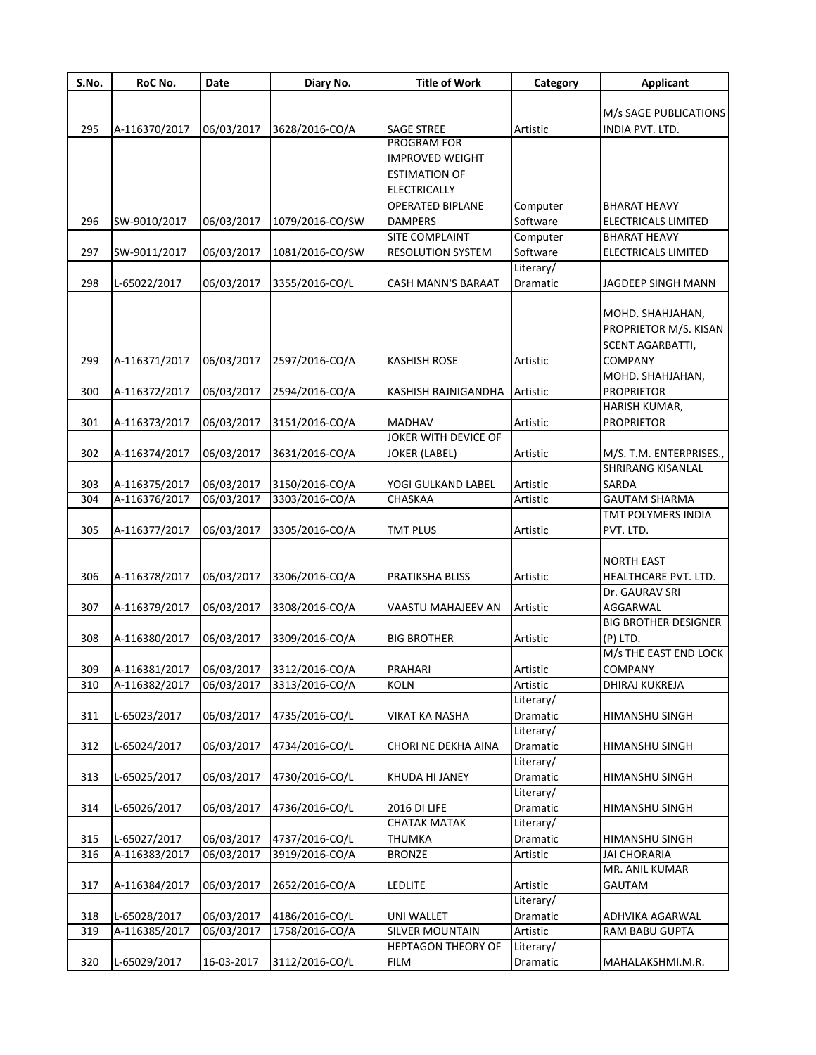| S.No. | RoC No.       | Date       | Diary No.                               | <b>Title of Work</b>      | Category              | <b>Applicant</b>            |
|-------|---------------|------------|-----------------------------------------|---------------------------|-----------------------|-----------------------------|
|       |               |            |                                         |                           |                       |                             |
|       |               |            |                                         |                           |                       | M/s SAGE PUBLICATIONS       |
| 295   | A-116370/2017 | 06/03/2017 | 3628/2016-CO/A                          | <b>SAGE STREE</b>         | Artistic              | INDIA PVT. LTD.             |
|       |               |            |                                         | PROGRAM FOR               |                       |                             |
|       |               |            |                                         | <b>IMPROVED WEIGHT</b>    |                       |                             |
|       |               |            |                                         | <b>ESTIMATION OF</b>      |                       |                             |
|       |               |            |                                         | <b>ELECTRICALLY</b>       |                       |                             |
|       |               |            |                                         | <b>OPERATED BIPLANE</b>   | Computer              | BHARAT HEAVY                |
| 296   | SW-9010/2017  | 06/03/2017 | 1079/2016-CO/SW                         | <b>DAMPERS</b>            | Software              | ELECTRICALS LIMITED         |
|       |               |            |                                         | <b>SITE COMPLAINT</b>     | Computer              | <b>BHARAT HEAVY</b>         |
| 297   | SW-9011/2017  | 06/03/2017 | 1081/2016-CO/SW                         | <b>RESOLUTION SYSTEM</b>  | Software              | <b>ELECTRICALS LIMITED</b>  |
|       |               |            |                                         |                           | Literary/             |                             |
| 298   | L-65022/2017  | 06/03/2017 | 3355/2016-CO/L                          | CASH MANN'S BARAAT        | Dramatic              | JAGDEEP SINGH MANN          |
|       |               |            |                                         |                           |                       |                             |
|       |               |            |                                         |                           |                       | MOHD. SHAHJAHAN,            |
|       |               |            |                                         |                           |                       | PROPRIETOR M/S. KISAN       |
|       |               |            |                                         |                           |                       |                             |
|       |               |            |                                         |                           |                       | <b>SCENT AGARBATTI,</b>     |
| 299   | A-116371/2017 | 06/03/2017 | 2597/2016-CO/A                          | <b>KASHISH ROSE</b>       | Artistic              | COMPANY                     |
|       |               |            |                                         |                           |                       | MOHD. SHAHJAHAN,            |
| 300   | A-116372/2017 | 06/03/2017 | 2594/2016-CO/A                          | KASHISH RAJNIGANDHA       | Artistic              | <b>PROPRIETOR</b>           |
|       |               |            |                                         |                           |                       | HARISH KUMAR,               |
| 301   | A-116373/2017 | 06/03/2017 | 3151/2016-CO/A                          | <b>MADHAV</b>             | Artistic              | PROPRIETOR                  |
|       |               |            |                                         | JOKER WITH DEVICE OF      |                       |                             |
| 302   | A-116374/2017 | 06/03/2017 | 3631/2016-CO/A                          | <b>JOKER (LABEL)</b>      | Artistic              | M/S. T.M. ENTERPRISES.,     |
|       |               |            |                                         |                           |                       | <b>SHRIRANG KISANLAL</b>    |
| 303   | A-116375/2017 | 06/03/2017 | 3150/2016-CO/A                          | YOGI GULKAND LABEL        | Artistic              | SARDA                       |
| 304   | A-116376/2017 | 06/03/2017 | 3303/2016-CO/A                          | CHASKAA                   | Artistic              | <b>GAUTAM SHARMA</b>        |
|       |               |            |                                         |                           |                       | TMT POLYMERS INDIA          |
| 305   | A-116377/2017 | 06/03/2017 | 3305/2016-CO/A                          | <b>TMT PLUS</b>           | Artistic              | pvt. Ltd.                   |
|       |               |            |                                         |                           |                       |                             |
|       |               |            |                                         |                           |                       | NORTH EAST                  |
| 306   | A-116378/2017 | 06/03/2017 | 3306/2016-CO/A                          | PRATIKSHA BLISS           | Artistic              | HEALTHCARE PVT. LTD.        |
|       |               |            |                                         |                           |                       | Dr. GAURAV SRI              |
| 307   | A-116379/2017 | 06/03/2017 | 3308/2016-CO/A                          | VAASTU MAHAJEEV AN        | Artistic              | AGGARWAL                    |
|       |               |            |                                         |                           |                       | <b>BIG BROTHER DESIGNER</b> |
| 308   | A-116380/2017 | 06/03/2017 | 3309/2016-CO/A                          | <b>BIG BROTHER</b>        | Artistic              | (P) LTD.                    |
|       |               |            |                                         |                           |                       | M/s THE EAST END LOCK       |
| 309   |               |            | A-116381/2017 06/03/2017 3312/2016-CO/A | PRAHARI                   |                       | COMPANY                     |
|       |               |            |                                         |                           | Artistic              |                             |
| 310   | A-116382/2017 | 06/03/2017 | 3313/2016-CO/A                          | <b>KOLN</b>               | Artistic<br>Literary/ | DHIRAJ KUKREJA              |
|       |               |            | 4735/2016-CO/L                          |                           |                       |                             |
| 311   | L-65023/2017  | 06/03/2017 |                                         | VIKAT KA NASHA            | Dramatic              | HIMANSHU SINGH              |
|       |               |            |                                         |                           | Literary/             |                             |
| 312   | L-65024/2017  | 06/03/2017 | 4734/2016-CO/L                          | CHORI NE DEKHA AINA       | Dramatic              | HIMANSHU SINGH              |
|       |               |            |                                         |                           | Literary/             |                             |
| 313   | L-65025/2017  | 06/03/2017 | 4730/2016-CO/L                          | KHUDA HI JANEY            | Dramatic              | HIMANSHU SINGH              |
|       |               |            |                                         |                           | Literary/             |                             |
| 314   | L-65026/2017  | 06/03/2017 | 4736/2016-CO/L                          | <b>2016 DI LIFE</b>       | Dramatic              | HIMANSHU SINGH              |
|       |               |            |                                         | <b>CHATAK MATAK</b>       | Literary/             |                             |
| 315   | L-65027/2017  | 06/03/2017 | 4737/2016-CO/L                          | THUMKA                    | Dramatic              | HIMANSHU SINGH              |
| 316   | A-116383/2017 | 06/03/2017 | 3919/2016-CO/A                          | <b>BRONZE</b>             | Artistic              | <b>JAI CHORARIA</b>         |
|       |               |            |                                         |                           |                       | MR. ANIL KUMAR              |
| 317   | A-116384/2017 | 06/03/2017 | 2652/2016-CO/A                          | <b>LEDLITE</b>            | Artistic              | GAUTAM                      |
|       |               |            |                                         |                           | Literary/             |                             |
| 318   | L-65028/2017  | 06/03/2017 | 4186/2016-CO/L                          | <b>UNI WALLET</b>         | Dramatic              | ADHVIKA AGARWAL             |
| 319   | A-116385/2017 | 06/03/2017 | 1758/2016-CO/A                          | <b>SILVER MOUNTAIN</b>    | Artistic              | RAM BABU GUPTA              |
|       |               |            |                                         | <b>HEPTAGON THEORY OF</b> | Literary/             |                             |
| 320   | L-65029/2017  | 16-03-2017 | 3112/2016-CO/L                          | FILM                      | Dramatic              | MAHALAKSHMI.M.R.            |
|       |               |            |                                         |                           |                       |                             |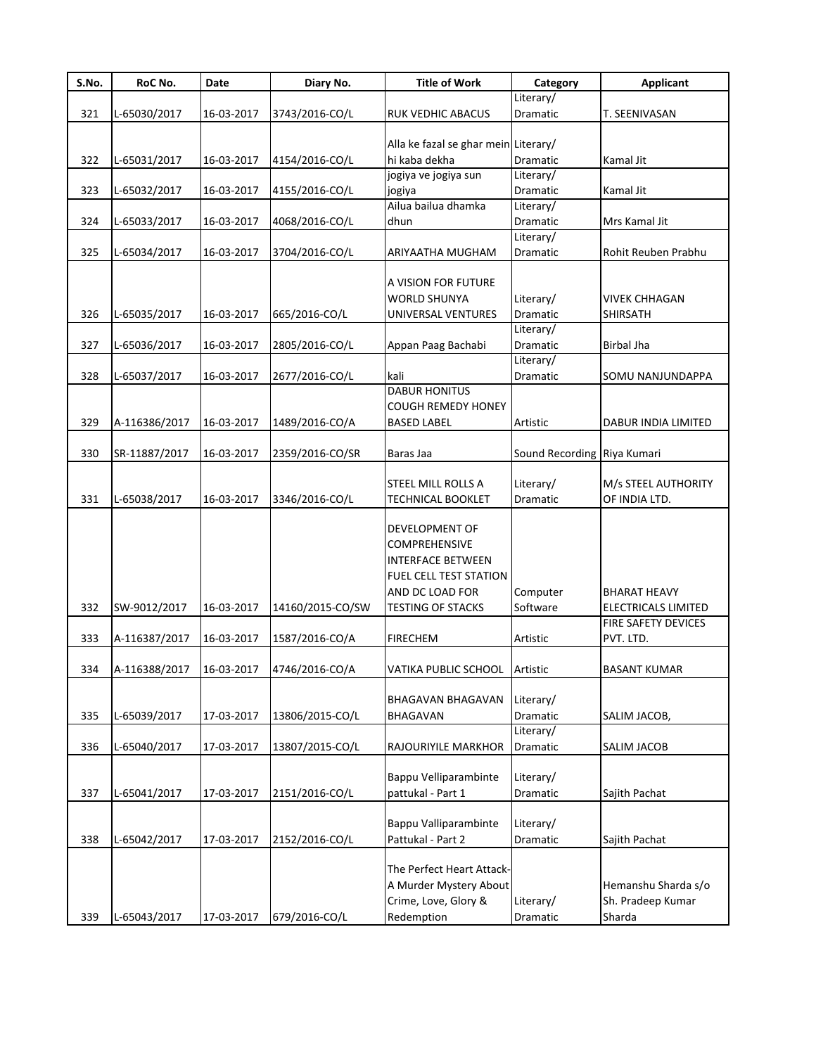| S.No. | RoC No.       | Date       | Diary No.        | <b>Title of Work</b>                   | Category                    | <b>Applicant</b>     |
|-------|---------------|------------|------------------|----------------------------------------|-----------------------------|----------------------|
|       |               |            |                  |                                        | Literary/                   |                      |
| 321   | L-65030/2017  | 16-03-2017 | 3743/2016-CO/L   | RUK VEDHIC ABACUS                      | Dramatic                    | T. SEENIVASAN        |
|       |               |            |                  | Alla ke fazal se ghar mein Literary/   |                             |                      |
| 322   | L-65031/2017  | 16-03-2017 | 4154/2016-CO/L   | hi kaba dekha                          | Dramatic                    | Kamal Jit            |
|       |               |            |                  | jogiya ve jogiya sun                   | Literary/                   |                      |
| 323   | L-65032/2017  | 16-03-2017 | 4155/2016-CO/L   | jogiya                                 | Dramatic                    | Kamal Jit            |
|       |               |            |                  | Ailua bailua dhamka                    | Literary/                   |                      |
| 324   | L-65033/2017  | 16-03-2017 | 4068/2016-CO/L   | dhun                                   | Dramatic                    | Mrs Kamal Jit        |
|       |               |            |                  |                                        | Literary/                   |                      |
| 325   | L-65034/2017  | 16-03-2017 | 3704/2016-CO/L   | ARIYAATHA MUGHAM                       | Dramatic                    | Rohit Reuben Prabhu  |
|       |               |            |                  |                                        |                             |                      |
|       |               |            |                  | A VISION FOR FUTURE                    |                             |                      |
|       |               |            |                  | <b>WORLD SHUNYA</b>                    | Literary/                   | <b>VIVEK CHHAGAN</b> |
| 326   | L-65035/2017  | 16-03-2017 | 665/2016-CO/L    | UNIVERSAL VENTURES                     | Dramatic<br>Literary/       | <b>SHIRSATH</b>      |
| 327   | L-65036/2017  | 16-03-2017 | 2805/2016-CO/L   | Appan Paag Bachabi                     | Dramatic                    | <b>Birbal Jha</b>    |
|       |               |            |                  |                                        | Literary/                   |                      |
| 328   | L-65037/2017  | 16-03-2017 | 2677/2016-CO/L   | kali                                   | Dramatic                    | SOMU NANJUNDAPPA     |
|       |               |            |                  | <b>DABUR HONITUS</b>                   |                             |                      |
|       |               |            |                  | <b>COUGH REMEDY HONEY</b>              |                             |                      |
| 329   | A-116386/2017 | 16-03-2017 | 1489/2016-CO/A   | <b>BASED LABEL</b>                     | Artistic                    | DABUR INDIA LIMITED  |
|       |               |            |                  |                                        |                             |                      |
| 330   | SR-11887/2017 | 16-03-2017 | 2359/2016-CO/SR  | Baras Jaa                              | Sound Recording Riya Kumari |                      |
|       |               |            |                  |                                        |                             |                      |
|       |               |            |                  | STEEL MILL ROLLS A                     | Literary/                   | M/s STEEL AUTHORITY  |
| 331   | L-65038/2017  | 16-03-2017 | 3346/2016-CO/L   | <b>TECHNICAL BOOKLET</b>               | Dramatic                    | OF INDIA LTD.        |
|       |               |            |                  | DEVELOPMENT OF<br><b>COMPREHENSIVE</b> |                             |                      |
|       |               |            |                  | <b>INTERFACE BETWEEN</b>               |                             |                      |
|       |               |            |                  | <b>FUEL CELL TEST STATION</b>          |                             |                      |
|       |               |            |                  | AND DC LOAD FOR                        | Computer                    | <b>BHARAT HEAVY</b>  |
| 332   | SW-9012/2017  | 16-03-2017 | 14160/2015-CO/SW | <b>TESTING OF STACKS</b>               | Software                    | ELECTRICALS LIMITED  |
|       |               |            |                  |                                        |                             | FIRE SAFETY DEVICES  |
| 333   | A-116387/2017 | 16-03-2017 | 1587/2016-CO/A   | <b>FIRECHEM</b>                        | Artistic                    | PVT. LTD.            |
|       |               |            |                  |                                        |                             |                      |
| 334   | A-116388/2017 | 16-03-2017 | 4746/2016-CO/A   | VATIKA PUBLIC SCHOOL                   | Artistic                    | <b>BASANT KUMAR</b>  |
|       |               |            |                  |                                        |                             |                      |
|       |               |            |                  | BHAGAVAN BHAGAVAN                      | Literary/                   |                      |
| 335   | L-65039/2017  | 17-03-2017 | 13806/2015-CO/L  | BHAGAVAN                               | <b>Dramatic</b>             | SALIM JACOB,         |
|       |               |            | 13807/2015-CO/L  | RAJOURIYILE MARKHOR                    | Literary/<br>Dramatic       |                      |
| 336   | L-65040/2017  | 17-03-2017 |                  |                                        |                             | SALIM JACOB          |
|       |               |            |                  | Bappu Velliparambinte                  | Literary/                   |                      |
| 337   | L-65041/2017  | 17-03-2017 | 2151/2016-CO/L   | pattukal - Part 1                      | Dramatic                    | Sajith Pachat        |
|       |               |            |                  |                                        |                             |                      |
|       |               |            |                  | Bappu Valliparambinte                  | Literary/                   |                      |
| 338   | L-65042/2017  | 17-03-2017 | 2152/2016-CO/L   | Pattukal - Part 2                      | Dramatic                    | Sajith Pachat        |
|       |               |            |                  |                                        |                             |                      |
|       |               |            |                  | The Perfect Heart Attack-              |                             |                      |
|       |               |            |                  | A Murder Mystery About                 |                             | Hemanshu Sharda s/o  |
|       |               |            |                  | Crime, Love, Glory &                   | Literary/                   | Sh. Pradeep Kumar    |
| 339   | L-65043/2017  | 17-03-2017 | 679/2016-CO/L    | Redemption                             | Dramatic                    | Sharda               |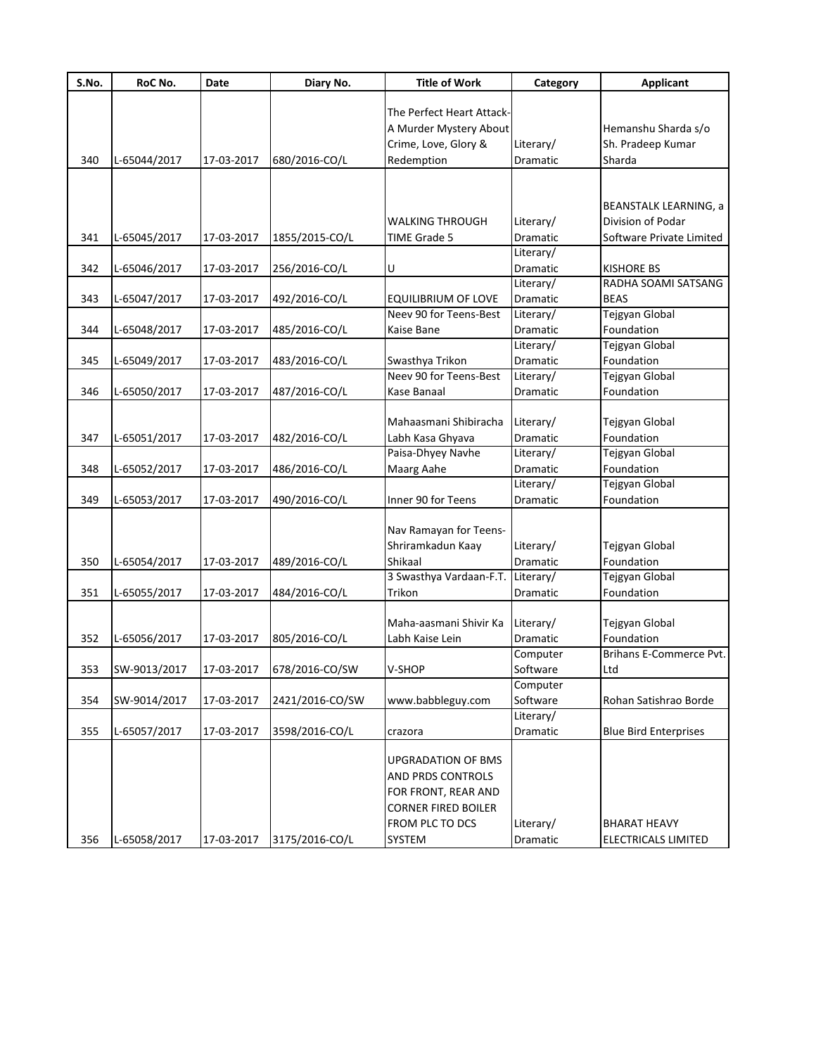| S.No. | RoC No.      | Date       | Diary No.       | <b>Title of Work</b>       | Category  | <b>Applicant</b>             |
|-------|--------------|------------|-----------------|----------------------------|-----------|------------------------------|
|       |              |            |                 | The Perfect Heart Attack-  |           |                              |
|       |              |            |                 |                            |           |                              |
|       |              |            |                 | A Murder Mystery About     |           | Hemanshu Sharda s/o          |
|       |              |            |                 | Crime, Love, Glory &       | Literary/ | Sh. Pradeep Kumar            |
| 340   | L-65044/2017 | 17-03-2017 | 680/2016-CO/L   | Redemption                 | Dramatic  | Sharda                       |
|       |              |            |                 |                            |           |                              |
|       |              |            |                 |                            |           | <b>BEANSTALK LEARNING, a</b> |
|       |              |            |                 | WALKING THROUGH            | Literary/ | Division of Podar            |
| 341   | L-65045/2017 | 17-03-2017 | 1855/2015-CO/L  | <b>TIME Grade 5</b>        | Dramatic  | Software Private Limited     |
|       |              |            |                 |                            | Literary/ |                              |
| 342   | L-65046/2017 | 17-03-2017 | 256/2016-CO/L   | U                          | Dramatic  | <b>KISHORE BS</b>            |
|       |              |            |                 |                            | Literary/ | RADHA SOAMI SATSANG          |
| 343   | L-65047/2017 | 17-03-2017 | 492/2016-CO/L   | <b>EQUILIBRIUM OF LOVE</b> | Dramatic  | <b>BEAS</b>                  |
|       |              |            |                 | Neev 90 for Teens-Best     | Literary/ | Tejgyan Global               |
| 344   | L-65048/2017 | 17-03-2017 | 485/2016-CO/L   | Kaise Bane                 | Dramatic  | Foundation                   |
|       |              |            |                 |                            | Literary/ | Tejgyan Global               |
| 345   | L-65049/2017 | 17-03-2017 | 483/2016-CO/L   | Swasthya Trikon            | Dramatic  | Foundation                   |
|       |              |            |                 | Neev 90 for Teens-Best     | Literary/ | Tejgyan Global               |
| 346   | L-65050/2017 | 17-03-2017 | 487/2016-CO/L   | Kase Banaal                | Dramatic  | Foundation                   |
|       |              |            |                 |                            |           |                              |
|       |              |            |                 | Mahaasmani Shibiracha      | Literary/ | Tejgyan Global               |
| 347   | L-65051/2017 | 17-03-2017 | 482/2016-CO/L   | Labh Kasa Ghyava           | Dramatic  | Foundation                   |
|       |              |            |                 | Paisa-Dhyey Navhe          | Literary/ | Tejgyan Global               |
| 348   | L-65052/2017 | 17-03-2017 | 486/2016-CO/L   | Maarg Aahe                 | Dramatic  | Foundation                   |
|       |              |            |                 |                            | Literary/ | Tejgyan Global               |
| 349   | L-65053/2017 | 17-03-2017 | 490/2016-CO/L   | Inner 90 for Teens         | Dramatic  | Foundation                   |
|       |              |            |                 |                            |           |                              |
|       |              |            |                 | Nav Ramayan for Teens-     |           |                              |
|       |              |            |                 | Shriramkadun Kaay          | Literary/ | Tejgyan Global               |
| 350   | L-65054/2017 | 17-03-2017 | 489/2016-CO/L   | Shikaal                    | Dramatic  | Foundation                   |
|       |              |            |                 | 3 Swasthya Vardaan-F.T.    | Literary/ | Tejgyan Global               |
| 351   | L-65055/2017 | 17-03-2017 | 484/2016-CO/L   | Trikon                     | Dramatic  | Foundation                   |
|       |              |            |                 | Maha-aasmani Shivir Ka     | Literary/ | Tejgyan Global               |
| 352   | L-65056/2017 | 17-03-2017 | 805/2016-CO/L   | Labh Kaise Lein            | Dramatic  | Foundation                   |
|       |              |            |                 |                            | Computer  | Brihans E-Commerce Pvt.      |
| 353   | SW-9013/2017 | 17-03-2017 | 678/2016-CO/SW  | V-SHOP                     | Software  | Ltd                          |
|       |              |            |                 |                            | Computer  |                              |
| 354   | SW-9014/2017 | 17-03-2017 | 2421/2016-CO/SW | www.babbleguy.com          | Software  | Rohan Satishrao Borde        |
|       |              |            |                 |                            | Literary/ |                              |
| 355   | L-65057/2017 | 17-03-2017 | 3598/2016-CO/L  | crazora                    | Dramatic  | <b>Blue Bird Enterprises</b> |
|       |              |            |                 |                            |           |                              |
|       |              |            |                 | <b>UPGRADATION OF BMS</b>  |           |                              |
|       |              |            |                 | AND PRDS CONTROLS          |           |                              |
|       |              |            |                 | FOR FRONT, REAR AND        |           |                              |
|       |              |            |                 | <b>CORNER FIRED BOILER</b> |           |                              |
|       |              |            |                 | FROM PLC TO DCS            | Literary/ | <b>BHARAT HEAVY</b>          |
| 356   | L-65058/2017 | 17-03-2017 | 3175/2016-CO/L  | SYSTEM                     | Dramatic  | ELECTRICALS LIMITED          |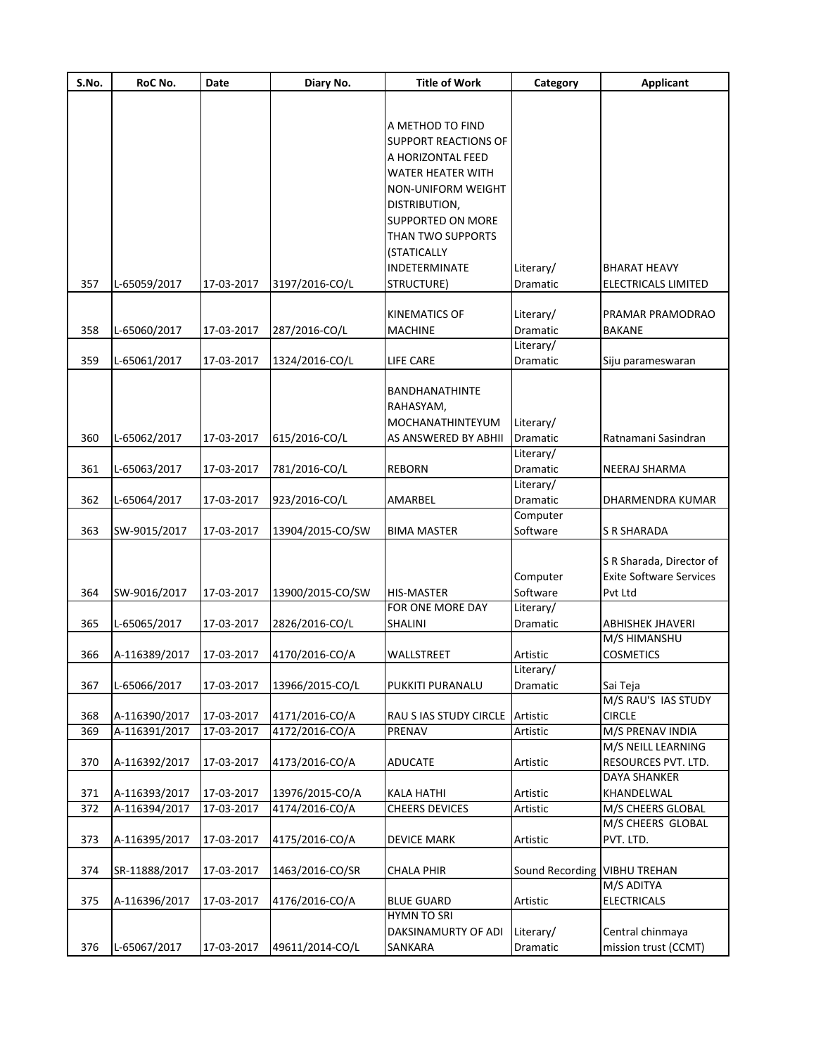| S.No.      | RoC No.                        | Date                     | Diary No.                        | <b>Title of Work</b>                    | Category              | Applicant                         |
|------------|--------------------------------|--------------------------|----------------------------------|-----------------------------------------|-----------------------|-----------------------------------|
|            |                                |                          |                                  |                                         |                       |                                   |
|            |                                |                          |                                  |                                         |                       |                                   |
|            |                                |                          |                                  | A METHOD TO FIND                        |                       |                                   |
|            |                                |                          |                                  | <b>SUPPORT REACTIONS OF</b>             |                       |                                   |
|            |                                |                          |                                  | A HORIZONTAL FEED                       |                       |                                   |
|            |                                |                          |                                  | <b>WATER HEATER WITH</b>                |                       |                                   |
|            |                                |                          |                                  | NON-UNIFORM WEIGHT                      |                       |                                   |
|            |                                |                          |                                  | DISTRIBUTION,                           |                       |                                   |
|            |                                |                          |                                  | <b>SUPPORTED ON MORE</b>                |                       |                                   |
|            |                                |                          |                                  | THAN TWO SUPPORTS                       |                       |                                   |
|            |                                |                          |                                  | (STATICALLY                             |                       |                                   |
|            |                                |                          |                                  | INDETERMINATE                           | Literary/             | BHARAT HEAVY                      |
| 357        | L-65059/2017                   | 17-03-2017               | 3197/2016-CO/L                   | STRUCTURE)                              | Dramatic              | ELECTRICALS LIMITED               |
|            |                                |                          |                                  |                                         |                       |                                   |
|            |                                |                          |                                  | <b>KINEMATICS OF</b>                    | Literary/             | PRAMAR PRAMODRAO                  |
| 358        | L-65060/2017                   | 17-03-2017               | 287/2016-CO/L                    | <b>MACHINE</b>                          | Dramatic              | <b>BAKANE</b>                     |
|            |                                |                          |                                  |                                         | Literary/             |                                   |
| 359        | L-65061/2017                   | 17-03-2017               | 1324/2016-CO/L                   | LIFE CARE                               | Dramatic              | Siju parameswaran                 |
|            |                                |                          |                                  | <b>BANDHANATHINTE</b>                   |                       |                                   |
|            |                                |                          |                                  | RAHASYAM,                               |                       |                                   |
|            |                                |                          |                                  | MOCHANATHINTEYUM                        | Literary/             |                                   |
| 360        | L-65062/2017                   | 17-03-2017               | 615/2016-CO/L                    | AS ANSWERED BY ABHII                    | Dramatic              | Ratnamani Sasindran               |
|            |                                |                          |                                  |                                         | Literary/             |                                   |
| 361        | L-65063/2017                   | 17-03-2017               | 781/2016-CO/L                    | <b>REBORN</b>                           | Dramatic              | NEERAJ SHARMA                     |
|            |                                |                          |                                  |                                         | Literary/             |                                   |
| 362        | L-65064/2017                   | 17-03-2017               | 923/2016-CO/L                    | AMARBEL                                 | Dramatic              | DHARMENDRA KUMAR                  |
|            |                                |                          |                                  |                                         | Computer              |                                   |
| 363        | SW-9015/2017                   | 17-03-2017               | 13904/2015-CO/SW                 | <b>BIMA MASTER</b>                      | Software              | <b>S R SHARADA</b>                |
|            |                                |                          |                                  |                                         |                       |                                   |
|            |                                |                          |                                  |                                         |                       | S R Sharada, Director of          |
|            |                                |                          |                                  |                                         | Computer              | <b>Exite Software Services</b>    |
| 364        | SW-9016/2017                   | 17-03-2017               | 13900/2015-CO/SW                 | HIS-MASTER                              | Software              | Pvt Ltd                           |
|            |                                |                          |                                  | FOR ONE MORE DAY                        | Literary/             |                                   |
| 365        | L-65065/2017                   | 17-03-2017               | 2826/2016-CO/L                   | SHALINI                                 | Dramatic              | ABHISHEK JHAVERI                  |
|            |                                |                          |                                  |                                         |                       | M/S HIMANSHU                      |
| 366        | A-116389/2017                  | 17-03-2017               | 4170/2016-CO/A                   | WALLSTREET                              | Artistic              | <b>COSMETICS</b>                  |
|            |                                |                          |                                  |                                         | Literary/             |                                   |
| 367        | L-65066/2017                   | 17-03-2017               | 13966/2015-CO/L                  | PUKKITI PURANALU                        | Dramatic              | Sai Teja                          |
|            |                                |                          |                                  |                                         |                       | M/S RAU'S IAS STUDY               |
| 368<br>369 | A-116390/2017<br>A-116391/2017 | 17-03-2017<br>17-03-2017 | 4171/2016-CO/A<br>4172/2016-CO/A | RAU S IAS STUDY CIRCLE<br>PRENAV        | Artistic<br>Artistic  | <b>CIRCLE</b><br>M/S PRENAV INDIA |
|            |                                |                          |                                  |                                         |                       | M/S NEILL LEARNING                |
| 370        | A-116392/2017                  | 17-03-2017               | 4173/2016-CO/A                   | <b>ADUCATE</b>                          | Artistic              | RESOURCES PVT. LTD.               |
|            |                                |                          |                                  |                                         |                       | DAYA SHANKER                      |
| 371        | A-116393/2017                  | 17-03-2017               | 13976/2015-CO/A                  | <b>KALA HATHI</b>                       | Artistic              | KHANDELWAL                        |
| 372        | A-116394/2017                  | 17-03-2017               | 4174/2016-CO/A                   | CHEERS DEVICES                          | Artistic              | M/S CHEERS GLOBAL                 |
|            |                                |                          |                                  |                                         |                       | M/S CHEERS GLOBAL                 |
| 373        | A-116395/2017                  | 17-03-2017               | 4175/2016-CO/A                   | <b>DEVICE MARK</b>                      | Artistic              | PVT. LTD.                         |
|            |                                |                          |                                  |                                         |                       |                                   |
| 374        | SR-11888/2017                  | 17-03-2017               | 1463/2016-CO/SR                  | <b>CHALA PHIR</b>                       | Sound Recording       | <b>VIBHU TREHAN</b>               |
|            |                                |                          |                                  |                                         |                       | M/S ADITYA                        |
| 375        | A-116396/2017                  | 17-03-2017               | 4176/2016-CO/A                   | <b>BLUE GUARD</b><br><b>HYMN TO SRI</b> | Artistic              | <b>ELECTRICALS</b>                |
|            |                                |                          |                                  | DAKSINAMURTY OF ADI                     |                       | Central chinmaya                  |
| 376        | L-65067/2017                   | 17-03-2017               | 49611/2014-CO/L                  | SANKARA                                 | Literary/<br>Dramatic | mission trust (CCMT)              |
|            |                                |                          |                                  |                                         |                       |                                   |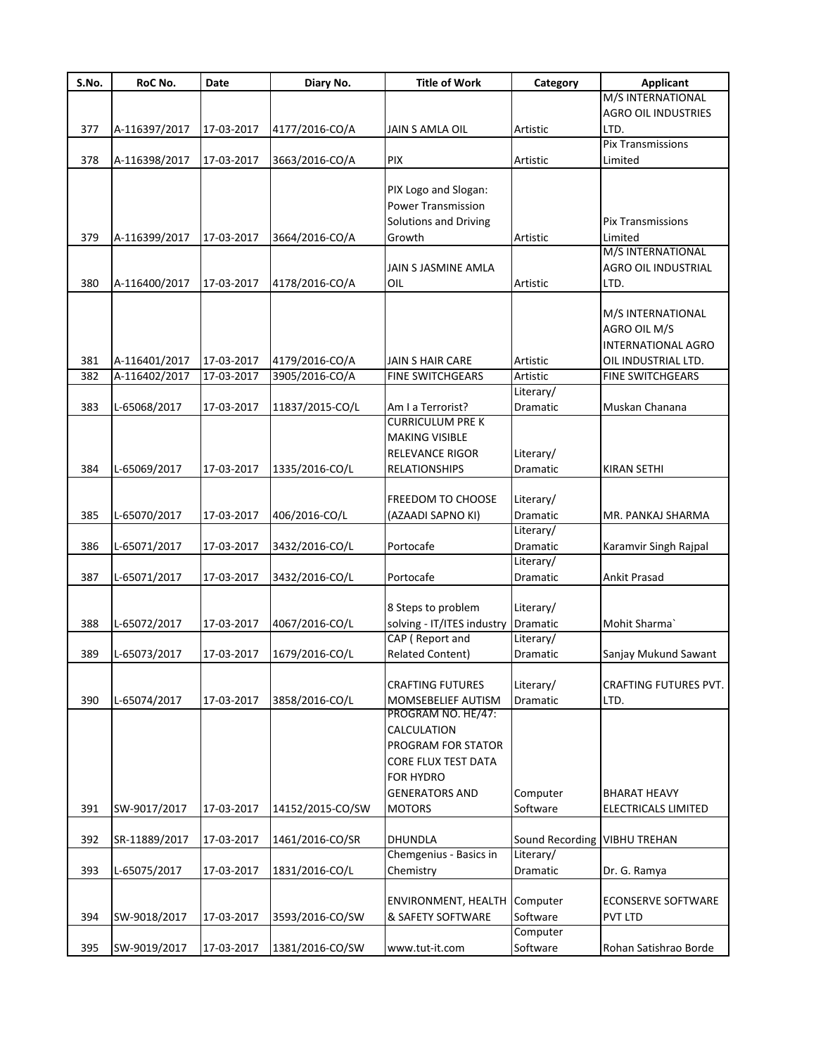| S.No. | RoC No.       | <b>Date</b> | Diary No.        | <b>Title of Work</b>                          | Category              | <b>Applicant</b>              |
|-------|---------------|-------------|------------------|-----------------------------------------------|-----------------------|-------------------------------|
|       |               |             |                  |                                               |                       | M/S INTERNATIONAL             |
|       |               |             |                  |                                               |                       | <b>AGRO OIL INDUSTRIES</b>    |
| 377   | A-116397/2017 | 17-03-2017  | 4177/2016-CO/A   | JAIN S AMLA OIL                               | Artistic              | LTD.                          |
|       |               |             |                  |                                               |                       | <b>Pix Transmissions</b>      |
| 378   | A-116398/2017 | 17-03-2017  | 3663/2016-CO/A   | <b>PIX</b>                                    | Artistic              | Limited                       |
|       |               |             |                  |                                               |                       |                               |
|       |               |             |                  | PIX Logo and Slogan:                          |                       |                               |
|       |               |             |                  | <b>Power Transmission</b>                     |                       |                               |
|       |               |             |                  | Solutions and Driving                         |                       | <b>Pix Transmissions</b>      |
| 379   | A-116399/2017 | 17-03-2017  | 3664/2016-CO/A   | Growth                                        | Artistic              | Limited<br>M/S INTERNATIONAL  |
|       |               |             |                  |                                               |                       | AGRO OIL INDUSTRIAL           |
| 380   | A-116400/2017 | 17-03-2017  | 4178/2016-CO/A   | JAIN S JASMINE AMLA<br>OIL                    | Artistic              | LTD.                          |
|       |               |             |                  |                                               |                       |                               |
|       |               |             |                  |                                               |                       | M/S INTERNATIONAL             |
|       |               |             |                  |                                               |                       | AGRO OIL M/S                  |
|       |               |             |                  |                                               |                       | <b>INTERNATIONAL AGRO</b>     |
| 381   | A-116401/2017 | 17-03-2017  | 4179/2016-CO/A   | JAIN S HAIR CARE                              | Artistic              | OIL INDUSTRIAL LTD.           |
| 382   | A-116402/2017 | 17-03-2017  | 3905/2016-CO/A   | <b>FINE SWITCHGEARS</b>                       | Artistic              | <b>FINE SWITCHGEARS</b>       |
|       |               |             |                  |                                               | Literary/             |                               |
| 383   | L-65068/2017  | 17-03-2017  | 11837/2015-CO/L  | Am I a Terrorist?                             | Dramatic              | Muskan Chanana                |
|       |               |             |                  | <b>CURRICULUM PRE K</b>                       |                       |                               |
|       |               |             |                  | <b>MAKING VISIBLE</b>                         |                       |                               |
|       |               |             |                  | RELEVANCE RIGOR                               | Literary/             |                               |
| 384   | L-65069/2017  | 17-03-2017  | 1335/2016-CO/L   | <b>RELATIONSHIPS</b>                          | Dramatic              | <b>KIRAN SETHI</b>            |
|       |               |             |                  |                                               |                       |                               |
|       |               |             |                  | <b>FREEDOM TO CHOOSE</b>                      | Literary/             |                               |
| 385   | L-65070/2017  | 17-03-2017  | 406/2016-CO/L    | (AZAADI SAPNO KI)                             | Dramatic              | MR. PANKAJ SHARMA             |
|       |               |             |                  |                                               | Literary/             |                               |
| 386   | L-65071/2017  | 17-03-2017  | 3432/2016-CO/L   | Portocafe                                     | Dramatic              | Karamvir Singh Rajpal         |
|       |               |             |                  |                                               | Literary/             |                               |
| 387   | L-65071/2017  | 17-03-2017  | 3432/2016-CO/L   | Portocafe                                     | Dramatic              | Ankit Prasad                  |
|       |               |             |                  |                                               |                       |                               |
|       |               |             |                  | 8 Steps to problem                            | Literary/             |                               |
| 388   | L-65072/2017  | 17-03-2017  | 4067/2016-CO/L   | solving - IT/ITES industry                    | Dramatic              | Mohit Sharma`                 |
|       |               |             |                  | CAP (Report and                               | Literary/             |                               |
| 389   | L-65073/2017  | 17-03-2017  | 1679/2016-CO/L   | <b>Related Content)</b>                       | Dramatic              | Sanjay Mukund Sawant          |
|       |               |             |                  |                                               |                       |                               |
| 390   | L-65074/2017  | 17-03-2017  | 3858/2016-CO/L   | <b>CRAFTING FUTURES</b><br>MOMSEBELIEF AUTISM | Literary/<br>Dramatic | CRAFTING FUTURES PVT.<br>LTD. |
|       |               |             |                  | PROGRAM NO. HE/47:                            |                       |                               |
|       |               |             |                  | CALCULATION                                   |                       |                               |
|       |               |             |                  | PROGRAM FOR STATOR                            |                       |                               |
|       |               |             |                  | CORE FLUX TEST DATA                           |                       |                               |
|       |               |             |                  | FOR HYDRO                                     |                       |                               |
|       |               |             |                  | <b>GENERATORS AND</b>                         | Computer              | BHARAT HEAVY                  |
| 391   | SW-9017/2017  | 17-03-2017  | 14152/2015-CO/SW | <b>MOTORS</b>                                 | Software              | ELECTRICALS LIMITED           |
|       |               |             |                  |                                               |                       |                               |
| 392   | SR-11889/2017 | 17-03-2017  | 1461/2016-CO/SR  | <b>DHUNDLA</b>                                | Sound Recording       | <b>VIBHU TREHAN</b>           |
|       |               |             |                  | Chemgenius - Basics in                        | Literary/             |                               |
| 393   | L-65075/2017  | 17-03-2017  | 1831/2016-CO/L   | Chemistry                                     | Dramatic              | Dr. G. Ramya                  |
|       |               |             |                  |                                               |                       |                               |
|       |               |             |                  | ENVIRONMENT, HEALTH                           | Computer              | <b>ECONSERVE SOFTWARE</b>     |
| 394   | SW-9018/2017  | 17-03-2017  | 3593/2016-CO/SW  | & SAFETY SOFTWARE                             | Software              | PVT LTD                       |
|       |               |             |                  |                                               | Computer              |                               |
| 395   | SW-9019/2017  | 17-03-2017  | 1381/2016-CO/SW  | www.tut-it.com                                | Software              | Rohan Satishrao Borde         |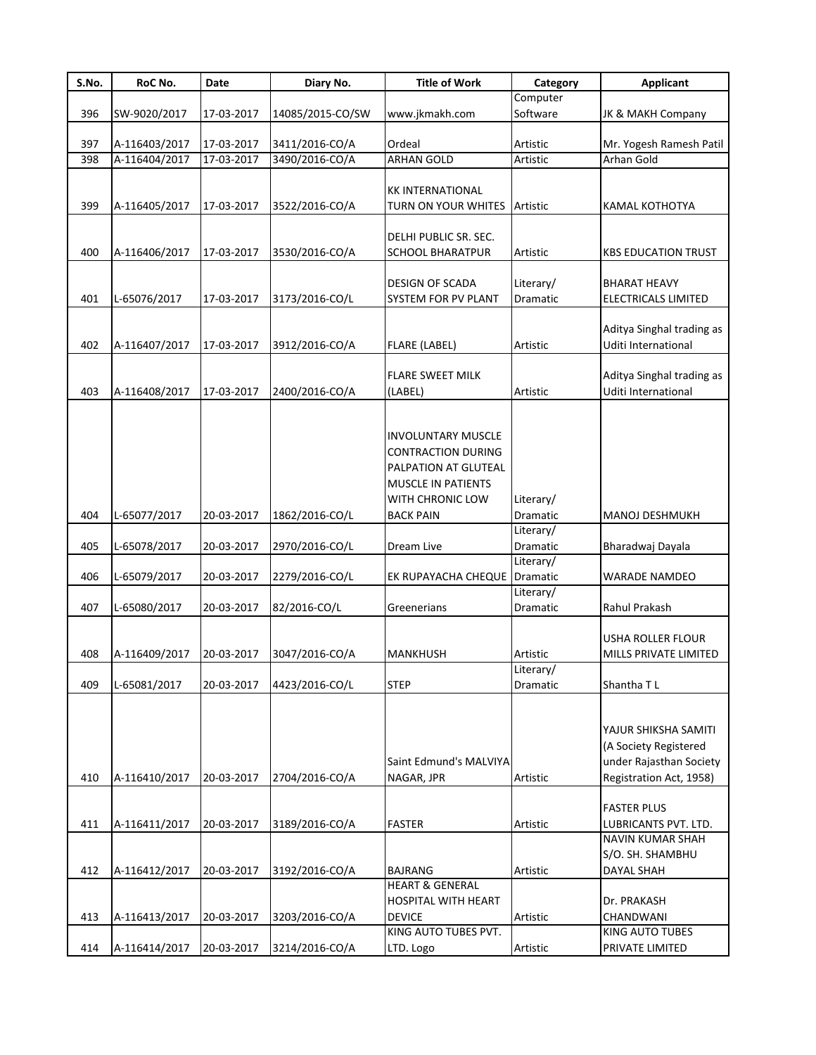| Computer<br>Software<br>SW-9020/2017<br>www.jkmakh.com<br>JK & MAKH Company<br>17-03-2017<br>14085/2015-CO/SW<br>397<br>17-03-2017<br>3411/2016-CO/A<br>Ordeal<br>A-116403/2017<br>Mr. Yogesh Ramesh Patil<br>Artistic<br>A-116404/2017<br>3490/2016-CO/A<br><b>ARHAN GOLD</b><br>Arhan Gold<br>398<br>17-03-2017<br>Artistic<br><b>KK INTERNATIONAL</b><br>399<br>A-116405/2017<br>17-03-2017<br>3522/2016-CO/A<br>TURN ON YOUR WHITES<br>Artistic<br>KAMAL KOTHOTYA<br>DELHI PUBLIC SR. SEC.<br>400<br>A-116406/2017<br>17-03-2017<br>3530/2016-CO/A<br><b>SCHOOL BHARATPUR</b><br>Artistic<br><b>KBS EDUCATION TRUST</b><br><b>DESIGN OF SCADA</b><br>Literary/<br><b>BHARAT HEAVY</b><br>L-65076/2017<br>ELECTRICALS LIMITED<br>17-03-2017<br>3173/2016-CO/L<br>SYSTEM FOR PV PLANT<br>Dramatic<br>Aditya Singhal trading as<br>Uditi International<br>A-116407/2017<br>17-03-2017<br>3912/2016-CO/A<br><b>FLARE (LABEL)</b><br>Artistic<br>Aditya Singhal trading as<br><b>FLARE SWEET MILK</b><br>Uditi International<br>A-116408/2017<br>17-03-2017<br>2400/2016-CO/A<br>(LABEL)<br>Artistic<br><b>INVOLUNTARY MUSCLE</b><br><b>CONTRACTION DURING</b><br>PALPATION AT GLUTEAL<br><b>MUSCLE IN PATIENTS</b><br>WITH CHRONIC LOW<br>Literary/<br>L-65077/2017<br>20-03-2017<br>1862/2016-CO/L<br><b>BACK PAIN</b><br>Dramatic<br><b>MANOJ DESHMUKH</b><br>Literary/<br>L-65078/2017<br>20-03-2017<br>2970/2016-CO/L<br>Dream Live<br>Dramatic<br>Bharadwaj Dayala<br>Literary/<br>L-65079/2017<br>20-03-2017<br>2279/2016-CO/L<br>Dramatic<br>EK RUPAYACHA CHEQUE<br><b>WARADE NAMDEO</b><br>Literary/<br>407<br>L-65080/2017<br>20-03-2017<br>82/2016-CO/L<br>Dramatic<br>Rahul Prakash<br>Greenerians<br>USHA ROLLER FLOUR<br>408<br>A-116409/2017<br>20-03-2017<br>3047/2016-CO/A<br>MILLS PRIVATE LIMITED<br>MANKHUSH<br>Artistic<br>Literary/<br>409<br><b>STEP</b><br>L-65081/2017<br>20-03-2017<br>4423/2016-CO/L<br>Dramatic<br>Shantha TL<br>YAJUR SHIKSHA SAMITI<br>(A Society Registered<br>under Rajasthan Society<br>Saint Edmund's MALVIYA<br>A-116410/2017<br>2704/2016-CO/A<br>Artistic<br>20-03-2017<br>NAGAR, JPR<br>Registration Act, 1958)<br><b>FASTER PLUS</b><br>A-116411/2017<br><b>FASTER</b><br>20-03-2017<br>3189/2016-CO/A<br>Artistic<br>LUBRICANTS PVT. LTD.<br>NAVIN KUMAR SHAH<br>S/O. SH. SHAMBHU<br>A-116412/2017<br>20-03-2017<br>3192/2016-CO/A<br><b>BAJRANG</b><br>Artistic<br>DAYAL SHAH<br><b>HEART &amp; GENERAL</b><br>HOSPITAL WITH HEART<br>Dr. PRAKASH<br><b>DEVICE</b><br>A-116413/2017<br>20-03-2017<br>3203/2016-CO/A<br>Artistic<br>CHANDWANI<br>KING AUTO TUBES PVT.<br>KING AUTO TUBES<br>A-116414/2017<br>20-03-2017<br>3214/2016-CO/A<br>Artistic<br>PRIVATE LIMITED<br>LTD. Logo | S.No. | RoC No. | Date | Diary No. | <b>Title of Work</b> | Category | <b>Applicant</b> |
|----------------------------------------------------------------------------------------------------------------------------------------------------------------------------------------------------------------------------------------------------------------------------------------------------------------------------------------------------------------------------------------------------------------------------------------------------------------------------------------------------------------------------------------------------------------------------------------------------------------------------------------------------------------------------------------------------------------------------------------------------------------------------------------------------------------------------------------------------------------------------------------------------------------------------------------------------------------------------------------------------------------------------------------------------------------------------------------------------------------------------------------------------------------------------------------------------------------------------------------------------------------------------------------------------------------------------------------------------------------------------------------------------------------------------------------------------------------------------------------------------------------------------------------------------------------------------------------------------------------------------------------------------------------------------------------------------------------------------------------------------------------------------------------------------------------------------------------------------------------------------------------------------------------------------------------------------------------------------------------------------------------------------------------------------------------------------------------------------------------------------------------------------------------------------------------------------------------------------------------------------------------------------------------------------------------------------------------------------------------------------------------------------------------------------------------------------------------------------------------------------------------------------------------------------------------------------------------------------------------------------------------------------------------------------------------------------------------------------------------------|-------|---------|------|-----------|----------------------|----------|------------------|
|                                                                                                                                                                                                                                                                                                                                                                                                                                                                                                                                                                                                                                                                                                                                                                                                                                                                                                                                                                                                                                                                                                                                                                                                                                                                                                                                                                                                                                                                                                                                                                                                                                                                                                                                                                                                                                                                                                                                                                                                                                                                                                                                                                                                                                                                                                                                                                                                                                                                                                                                                                                                                                                                                                                                              |       |         |      |           |                      |          |                  |
|                                                                                                                                                                                                                                                                                                                                                                                                                                                                                                                                                                                                                                                                                                                                                                                                                                                                                                                                                                                                                                                                                                                                                                                                                                                                                                                                                                                                                                                                                                                                                                                                                                                                                                                                                                                                                                                                                                                                                                                                                                                                                                                                                                                                                                                                                                                                                                                                                                                                                                                                                                                                                                                                                                                                              | 396   |         |      |           |                      |          |                  |
|                                                                                                                                                                                                                                                                                                                                                                                                                                                                                                                                                                                                                                                                                                                                                                                                                                                                                                                                                                                                                                                                                                                                                                                                                                                                                                                                                                                                                                                                                                                                                                                                                                                                                                                                                                                                                                                                                                                                                                                                                                                                                                                                                                                                                                                                                                                                                                                                                                                                                                                                                                                                                                                                                                                                              |       |         |      |           |                      |          |                  |
|                                                                                                                                                                                                                                                                                                                                                                                                                                                                                                                                                                                                                                                                                                                                                                                                                                                                                                                                                                                                                                                                                                                                                                                                                                                                                                                                                                                                                                                                                                                                                                                                                                                                                                                                                                                                                                                                                                                                                                                                                                                                                                                                                                                                                                                                                                                                                                                                                                                                                                                                                                                                                                                                                                                                              |       |         |      |           |                      |          |                  |
|                                                                                                                                                                                                                                                                                                                                                                                                                                                                                                                                                                                                                                                                                                                                                                                                                                                                                                                                                                                                                                                                                                                                                                                                                                                                                                                                                                                                                                                                                                                                                                                                                                                                                                                                                                                                                                                                                                                                                                                                                                                                                                                                                                                                                                                                                                                                                                                                                                                                                                                                                                                                                                                                                                                                              |       |         |      |           |                      |          |                  |
|                                                                                                                                                                                                                                                                                                                                                                                                                                                                                                                                                                                                                                                                                                                                                                                                                                                                                                                                                                                                                                                                                                                                                                                                                                                                                                                                                                                                                                                                                                                                                                                                                                                                                                                                                                                                                                                                                                                                                                                                                                                                                                                                                                                                                                                                                                                                                                                                                                                                                                                                                                                                                                                                                                                                              |       |         |      |           |                      |          |                  |
|                                                                                                                                                                                                                                                                                                                                                                                                                                                                                                                                                                                                                                                                                                                                                                                                                                                                                                                                                                                                                                                                                                                                                                                                                                                                                                                                                                                                                                                                                                                                                                                                                                                                                                                                                                                                                                                                                                                                                                                                                                                                                                                                                                                                                                                                                                                                                                                                                                                                                                                                                                                                                                                                                                                                              |       |         |      |           |                      |          |                  |
|                                                                                                                                                                                                                                                                                                                                                                                                                                                                                                                                                                                                                                                                                                                                                                                                                                                                                                                                                                                                                                                                                                                                                                                                                                                                                                                                                                                                                                                                                                                                                                                                                                                                                                                                                                                                                                                                                                                                                                                                                                                                                                                                                                                                                                                                                                                                                                                                                                                                                                                                                                                                                                                                                                                                              |       |         |      |           |                      |          |                  |
|                                                                                                                                                                                                                                                                                                                                                                                                                                                                                                                                                                                                                                                                                                                                                                                                                                                                                                                                                                                                                                                                                                                                                                                                                                                                                                                                                                                                                                                                                                                                                                                                                                                                                                                                                                                                                                                                                                                                                                                                                                                                                                                                                                                                                                                                                                                                                                                                                                                                                                                                                                                                                                                                                                                                              |       |         |      |           |                      |          |                  |
|                                                                                                                                                                                                                                                                                                                                                                                                                                                                                                                                                                                                                                                                                                                                                                                                                                                                                                                                                                                                                                                                                                                                                                                                                                                                                                                                                                                                                                                                                                                                                                                                                                                                                                                                                                                                                                                                                                                                                                                                                                                                                                                                                                                                                                                                                                                                                                                                                                                                                                                                                                                                                                                                                                                                              |       |         |      |           |                      |          |                  |
|                                                                                                                                                                                                                                                                                                                                                                                                                                                                                                                                                                                                                                                                                                                                                                                                                                                                                                                                                                                                                                                                                                                                                                                                                                                                                                                                                                                                                                                                                                                                                                                                                                                                                                                                                                                                                                                                                                                                                                                                                                                                                                                                                                                                                                                                                                                                                                                                                                                                                                                                                                                                                                                                                                                                              |       |         |      |           |                      |          |                  |
|                                                                                                                                                                                                                                                                                                                                                                                                                                                                                                                                                                                                                                                                                                                                                                                                                                                                                                                                                                                                                                                                                                                                                                                                                                                                                                                                                                                                                                                                                                                                                                                                                                                                                                                                                                                                                                                                                                                                                                                                                                                                                                                                                                                                                                                                                                                                                                                                                                                                                                                                                                                                                                                                                                                                              |       |         |      |           |                      |          |                  |
|                                                                                                                                                                                                                                                                                                                                                                                                                                                                                                                                                                                                                                                                                                                                                                                                                                                                                                                                                                                                                                                                                                                                                                                                                                                                                                                                                                                                                                                                                                                                                                                                                                                                                                                                                                                                                                                                                                                                                                                                                                                                                                                                                                                                                                                                                                                                                                                                                                                                                                                                                                                                                                                                                                                                              | 401   |         |      |           |                      |          |                  |
|                                                                                                                                                                                                                                                                                                                                                                                                                                                                                                                                                                                                                                                                                                                                                                                                                                                                                                                                                                                                                                                                                                                                                                                                                                                                                                                                                                                                                                                                                                                                                                                                                                                                                                                                                                                                                                                                                                                                                                                                                                                                                                                                                                                                                                                                                                                                                                                                                                                                                                                                                                                                                                                                                                                                              |       |         |      |           |                      |          |                  |
|                                                                                                                                                                                                                                                                                                                                                                                                                                                                                                                                                                                                                                                                                                                                                                                                                                                                                                                                                                                                                                                                                                                                                                                                                                                                                                                                                                                                                                                                                                                                                                                                                                                                                                                                                                                                                                                                                                                                                                                                                                                                                                                                                                                                                                                                                                                                                                                                                                                                                                                                                                                                                                                                                                                                              |       |         |      |           |                      |          |                  |
|                                                                                                                                                                                                                                                                                                                                                                                                                                                                                                                                                                                                                                                                                                                                                                                                                                                                                                                                                                                                                                                                                                                                                                                                                                                                                                                                                                                                                                                                                                                                                                                                                                                                                                                                                                                                                                                                                                                                                                                                                                                                                                                                                                                                                                                                                                                                                                                                                                                                                                                                                                                                                                                                                                                                              | 402   |         |      |           |                      |          |                  |
|                                                                                                                                                                                                                                                                                                                                                                                                                                                                                                                                                                                                                                                                                                                                                                                                                                                                                                                                                                                                                                                                                                                                                                                                                                                                                                                                                                                                                                                                                                                                                                                                                                                                                                                                                                                                                                                                                                                                                                                                                                                                                                                                                                                                                                                                                                                                                                                                                                                                                                                                                                                                                                                                                                                                              |       |         |      |           |                      |          |                  |
|                                                                                                                                                                                                                                                                                                                                                                                                                                                                                                                                                                                                                                                                                                                                                                                                                                                                                                                                                                                                                                                                                                                                                                                                                                                                                                                                                                                                                                                                                                                                                                                                                                                                                                                                                                                                                                                                                                                                                                                                                                                                                                                                                                                                                                                                                                                                                                                                                                                                                                                                                                                                                                                                                                                                              |       |         |      |           |                      |          |                  |
|                                                                                                                                                                                                                                                                                                                                                                                                                                                                                                                                                                                                                                                                                                                                                                                                                                                                                                                                                                                                                                                                                                                                                                                                                                                                                                                                                                                                                                                                                                                                                                                                                                                                                                                                                                                                                                                                                                                                                                                                                                                                                                                                                                                                                                                                                                                                                                                                                                                                                                                                                                                                                                                                                                                                              | 403   |         |      |           |                      |          |                  |
|                                                                                                                                                                                                                                                                                                                                                                                                                                                                                                                                                                                                                                                                                                                                                                                                                                                                                                                                                                                                                                                                                                                                                                                                                                                                                                                                                                                                                                                                                                                                                                                                                                                                                                                                                                                                                                                                                                                                                                                                                                                                                                                                                                                                                                                                                                                                                                                                                                                                                                                                                                                                                                                                                                                                              |       |         |      |           |                      |          |                  |
|                                                                                                                                                                                                                                                                                                                                                                                                                                                                                                                                                                                                                                                                                                                                                                                                                                                                                                                                                                                                                                                                                                                                                                                                                                                                                                                                                                                                                                                                                                                                                                                                                                                                                                                                                                                                                                                                                                                                                                                                                                                                                                                                                                                                                                                                                                                                                                                                                                                                                                                                                                                                                                                                                                                                              |       |         |      |           |                      |          |                  |
|                                                                                                                                                                                                                                                                                                                                                                                                                                                                                                                                                                                                                                                                                                                                                                                                                                                                                                                                                                                                                                                                                                                                                                                                                                                                                                                                                                                                                                                                                                                                                                                                                                                                                                                                                                                                                                                                                                                                                                                                                                                                                                                                                                                                                                                                                                                                                                                                                                                                                                                                                                                                                                                                                                                                              |       |         |      |           |                      |          |                  |
|                                                                                                                                                                                                                                                                                                                                                                                                                                                                                                                                                                                                                                                                                                                                                                                                                                                                                                                                                                                                                                                                                                                                                                                                                                                                                                                                                                                                                                                                                                                                                                                                                                                                                                                                                                                                                                                                                                                                                                                                                                                                                                                                                                                                                                                                                                                                                                                                                                                                                                                                                                                                                                                                                                                                              |       |         |      |           |                      |          |                  |
|                                                                                                                                                                                                                                                                                                                                                                                                                                                                                                                                                                                                                                                                                                                                                                                                                                                                                                                                                                                                                                                                                                                                                                                                                                                                                                                                                                                                                                                                                                                                                                                                                                                                                                                                                                                                                                                                                                                                                                                                                                                                                                                                                                                                                                                                                                                                                                                                                                                                                                                                                                                                                                                                                                                                              |       |         |      |           |                      |          |                  |
|                                                                                                                                                                                                                                                                                                                                                                                                                                                                                                                                                                                                                                                                                                                                                                                                                                                                                                                                                                                                                                                                                                                                                                                                                                                                                                                                                                                                                                                                                                                                                                                                                                                                                                                                                                                                                                                                                                                                                                                                                                                                                                                                                                                                                                                                                                                                                                                                                                                                                                                                                                                                                                                                                                                                              |       |         |      |           |                      |          |                  |
|                                                                                                                                                                                                                                                                                                                                                                                                                                                                                                                                                                                                                                                                                                                                                                                                                                                                                                                                                                                                                                                                                                                                                                                                                                                                                                                                                                                                                                                                                                                                                                                                                                                                                                                                                                                                                                                                                                                                                                                                                                                                                                                                                                                                                                                                                                                                                                                                                                                                                                                                                                                                                                                                                                                                              |       |         |      |           |                      |          |                  |
|                                                                                                                                                                                                                                                                                                                                                                                                                                                                                                                                                                                                                                                                                                                                                                                                                                                                                                                                                                                                                                                                                                                                                                                                                                                                                                                                                                                                                                                                                                                                                                                                                                                                                                                                                                                                                                                                                                                                                                                                                                                                                                                                                                                                                                                                                                                                                                                                                                                                                                                                                                                                                                                                                                                                              | 404   |         |      |           |                      |          |                  |
|                                                                                                                                                                                                                                                                                                                                                                                                                                                                                                                                                                                                                                                                                                                                                                                                                                                                                                                                                                                                                                                                                                                                                                                                                                                                                                                                                                                                                                                                                                                                                                                                                                                                                                                                                                                                                                                                                                                                                                                                                                                                                                                                                                                                                                                                                                                                                                                                                                                                                                                                                                                                                                                                                                                                              |       |         |      |           |                      |          |                  |
|                                                                                                                                                                                                                                                                                                                                                                                                                                                                                                                                                                                                                                                                                                                                                                                                                                                                                                                                                                                                                                                                                                                                                                                                                                                                                                                                                                                                                                                                                                                                                                                                                                                                                                                                                                                                                                                                                                                                                                                                                                                                                                                                                                                                                                                                                                                                                                                                                                                                                                                                                                                                                                                                                                                                              | 405   |         |      |           |                      |          |                  |
|                                                                                                                                                                                                                                                                                                                                                                                                                                                                                                                                                                                                                                                                                                                                                                                                                                                                                                                                                                                                                                                                                                                                                                                                                                                                                                                                                                                                                                                                                                                                                                                                                                                                                                                                                                                                                                                                                                                                                                                                                                                                                                                                                                                                                                                                                                                                                                                                                                                                                                                                                                                                                                                                                                                                              |       |         |      |           |                      |          |                  |
|                                                                                                                                                                                                                                                                                                                                                                                                                                                                                                                                                                                                                                                                                                                                                                                                                                                                                                                                                                                                                                                                                                                                                                                                                                                                                                                                                                                                                                                                                                                                                                                                                                                                                                                                                                                                                                                                                                                                                                                                                                                                                                                                                                                                                                                                                                                                                                                                                                                                                                                                                                                                                                                                                                                                              | 406   |         |      |           |                      |          |                  |
|                                                                                                                                                                                                                                                                                                                                                                                                                                                                                                                                                                                                                                                                                                                                                                                                                                                                                                                                                                                                                                                                                                                                                                                                                                                                                                                                                                                                                                                                                                                                                                                                                                                                                                                                                                                                                                                                                                                                                                                                                                                                                                                                                                                                                                                                                                                                                                                                                                                                                                                                                                                                                                                                                                                                              |       |         |      |           |                      |          |                  |
|                                                                                                                                                                                                                                                                                                                                                                                                                                                                                                                                                                                                                                                                                                                                                                                                                                                                                                                                                                                                                                                                                                                                                                                                                                                                                                                                                                                                                                                                                                                                                                                                                                                                                                                                                                                                                                                                                                                                                                                                                                                                                                                                                                                                                                                                                                                                                                                                                                                                                                                                                                                                                                                                                                                                              |       |         |      |           |                      |          |                  |
|                                                                                                                                                                                                                                                                                                                                                                                                                                                                                                                                                                                                                                                                                                                                                                                                                                                                                                                                                                                                                                                                                                                                                                                                                                                                                                                                                                                                                                                                                                                                                                                                                                                                                                                                                                                                                                                                                                                                                                                                                                                                                                                                                                                                                                                                                                                                                                                                                                                                                                                                                                                                                                                                                                                                              |       |         |      |           |                      |          |                  |
|                                                                                                                                                                                                                                                                                                                                                                                                                                                                                                                                                                                                                                                                                                                                                                                                                                                                                                                                                                                                                                                                                                                                                                                                                                                                                                                                                                                                                                                                                                                                                                                                                                                                                                                                                                                                                                                                                                                                                                                                                                                                                                                                                                                                                                                                                                                                                                                                                                                                                                                                                                                                                                                                                                                                              |       |         |      |           |                      |          |                  |
|                                                                                                                                                                                                                                                                                                                                                                                                                                                                                                                                                                                                                                                                                                                                                                                                                                                                                                                                                                                                                                                                                                                                                                                                                                                                                                                                                                                                                                                                                                                                                                                                                                                                                                                                                                                                                                                                                                                                                                                                                                                                                                                                                                                                                                                                                                                                                                                                                                                                                                                                                                                                                                                                                                                                              |       |         |      |           |                      |          |                  |
|                                                                                                                                                                                                                                                                                                                                                                                                                                                                                                                                                                                                                                                                                                                                                                                                                                                                                                                                                                                                                                                                                                                                                                                                                                                                                                                                                                                                                                                                                                                                                                                                                                                                                                                                                                                                                                                                                                                                                                                                                                                                                                                                                                                                                                                                                                                                                                                                                                                                                                                                                                                                                                                                                                                                              |       |         |      |           |                      |          |                  |
|                                                                                                                                                                                                                                                                                                                                                                                                                                                                                                                                                                                                                                                                                                                                                                                                                                                                                                                                                                                                                                                                                                                                                                                                                                                                                                                                                                                                                                                                                                                                                                                                                                                                                                                                                                                                                                                                                                                                                                                                                                                                                                                                                                                                                                                                                                                                                                                                                                                                                                                                                                                                                                                                                                                                              |       |         |      |           |                      |          |                  |
|                                                                                                                                                                                                                                                                                                                                                                                                                                                                                                                                                                                                                                                                                                                                                                                                                                                                                                                                                                                                                                                                                                                                                                                                                                                                                                                                                                                                                                                                                                                                                                                                                                                                                                                                                                                                                                                                                                                                                                                                                                                                                                                                                                                                                                                                                                                                                                                                                                                                                                                                                                                                                                                                                                                                              |       |         |      |           |                      |          |                  |
|                                                                                                                                                                                                                                                                                                                                                                                                                                                                                                                                                                                                                                                                                                                                                                                                                                                                                                                                                                                                                                                                                                                                                                                                                                                                                                                                                                                                                                                                                                                                                                                                                                                                                                                                                                                                                                                                                                                                                                                                                                                                                                                                                                                                                                                                                                                                                                                                                                                                                                                                                                                                                                                                                                                                              |       |         |      |           |                      |          |                  |
|                                                                                                                                                                                                                                                                                                                                                                                                                                                                                                                                                                                                                                                                                                                                                                                                                                                                                                                                                                                                                                                                                                                                                                                                                                                                                                                                                                                                                                                                                                                                                                                                                                                                                                                                                                                                                                                                                                                                                                                                                                                                                                                                                                                                                                                                                                                                                                                                                                                                                                                                                                                                                                                                                                                                              |       |         |      |           |                      |          |                  |
|                                                                                                                                                                                                                                                                                                                                                                                                                                                                                                                                                                                                                                                                                                                                                                                                                                                                                                                                                                                                                                                                                                                                                                                                                                                                                                                                                                                                                                                                                                                                                                                                                                                                                                                                                                                                                                                                                                                                                                                                                                                                                                                                                                                                                                                                                                                                                                                                                                                                                                                                                                                                                                                                                                                                              |       |         |      |           |                      |          |                  |
|                                                                                                                                                                                                                                                                                                                                                                                                                                                                                                                                                                                                                                                                                                                                                                                                                                                                                                                                                                                                                                                                                                                                                                                                                                                                                                                                                                                                                                                                                                                                                                                                                                                                                                                                                                                                                                                                                                                                                                                                                                                                                                                                                                                                                                                                                                                                                                                                                                                                                                                                                                                                                                                                                                                                              | 410   |         |      |           |                      |          |                  |
|                                                                                                                                                                                                                                                                                                                                                                                                                                                                                                                                                                                                                                                                                                                                                                                                                                                                                                                                                                                                                                                                                                                                                                                                                                                                                                                                                                                                                                                                                                                                                                                                                                                                                                                                                                                                                                                                                                                                                                                                                                                                                                                                                                                                                                                                                                                                                                                                                                                                                                                                                                                                                                                                                                                                              |       |         |      |           |                      |          |                  |
|                                                                                                                                                                                                                                                                                                                                                                                                                                                                                                                                                                                                                                                                                                                                                                                                                                                                                                                                                                                                                                                                                                                                                                                                                                                                                                                                                                                                                                                                                                                                                                                                                                                                                                                                                                                                                                                                                                                                                                                                                                                                                                                                                                                                                                                                                                                                                                                                                                                                                                                                                                                                                                                                                                                                              |       |         |      |           |                      |          |                  |
|                                                                                                                                                                                                                                                                                                                                                                                                                                                                                                                                                                                                                                                                                                                                                                                                                                                                                                                                                                                                                                                                                                                                                                                                                                                                                                                                                                                                                                                                                                                                                                                                                                                                                                                                                                                                                                                                                                                                                                                                                                                                                                                                                                                                                                                                                                                                                                                                                                                                                                                                                                                                                                                                                                                                              | 411   |         |      |           |                      |          |                  |
|                                                                                                                                                                                                                                                                                                                                                                                                                                                                                                                                                                                                                                                                                                                                                                                                                                                                                                                                                                                                                                                                                                                                                                                                                                                                                                                                                                                                                                                                                                                                                                                                                                                                                                                                                                                                                                                                                                                                                                                                                                                                                                                                                                                                                                                                                                                                                                                                                                                                                                                                                                                                                                                                                                                                              |       |         |      |           |                      |          |                  |
|                                                                                                                                                                                                                                                                                                                                                                                                                                                                                                                                                                                                                                                                                                                                                                                                                                                                                                                                                                                                                                                                                                                                                                                                                                                                                                                                                                                                                                                                                                                                                                                                                                                                                                                                                                                                                                                                                                                                                                                                                                                                                                                                                                                                                                                                                                                                                                                                                                                                                                                                                                                                                                                                                                                                              |       |         |      |           |                      |          |                  |
|                                                                                                                                                                                                                                                                                                                                                                                                                                                                                                                                                                                                                                                                                                                                                                                                                                                                                                                                                                                                                                                                                                                                                                                                                                                                                                                                                                                                                                                                                                                                                                                                                                                                                                                                                                                                                                                                                                                                                                                                                                                                                                                                                                                                                                                                                                                                                                                                                                                                                                                                                                                                                                                                                                                                              | 412   |         |      |           |                      |          |                  |
|                                                                                                                                                                                                                                                                                                                                                                                                                                                                                                                                                                                                                                                                                                                                                                                                                                                                                                                                                                                                                                                                                                                                                                                                                                                                                                                                                                                                                                                                                                                                                                                                                                                                                                                                                                                                                                                                                                                                                                                                                                                                                                                                                                                                                                                                                                                                                                                                                                                                                                                                                                                                                                                                                                                                              |       |         |      |           |                      |          |                  |
|                                                                                                                                                                                                                                                                                                                                                                                                                                                                                                                                                                                                                                                                                                                                                                                                                                                                                                                                                                                                                                                                                                                                                                                                                                                                                                                                                                                                                                                                                                                                                                                                                                                                                                                                                                                                                                                                                                                                                                                                                                                                                                                                                                                                                                                                                                                                                                                                                                                                                                                                                                                                                                                                                                                                              |       |         |      |           |                      |          |                  |
|                                                                                                                                                                                                                                                                                                                                                                                                                                                                                                                                                                                                                                                                                                                                                                                                                                                                                                                                                                                                                                                                                                                                                                                                                                                                                                                                                                                                                                                                                                                                                                                                                                                                                                                                                                                                                                                                                                                                                                                                                                                                                                                                                                                                                                                                                                                                                                                                                                                                                                                                                                                                                                                                                                                                              | 413   |         |      |           |                      |          |                  |
|                                                                                                                                                                                                                                                                                                                                                                                                                                                                                                                                                                                                                                                                                                                                                                                                                                                                                                                                                                                                                                                                                                                                                                                                                                                                                                                                                                                                                                                                                                                                                                                                                                                                                                                                                                                                                                                                                                                                                                                                                                                                                                                                                                                                                                                                                                                                                                                                                                                                                                                                                                                                                                                                                                                                              |       |         |      |           |                      |          |                  |
|                                                                                                                                                                                                                                                                                                                                                                                                                                                                                                                                                                                                                                                                                                                                                                                                                                                                                                                                                                                                                                                                                                                                                                                                                                                                                                                                                                                                                                                                                                                                                                                                                                                                                                                                                                                                                                                                                                                                                                                                                                                                                                                                                                                                                                                                                                                                                                                                                                                                                                                                                                                                                                                                                                                                              | 414   |         |      |           |                      |          |                  |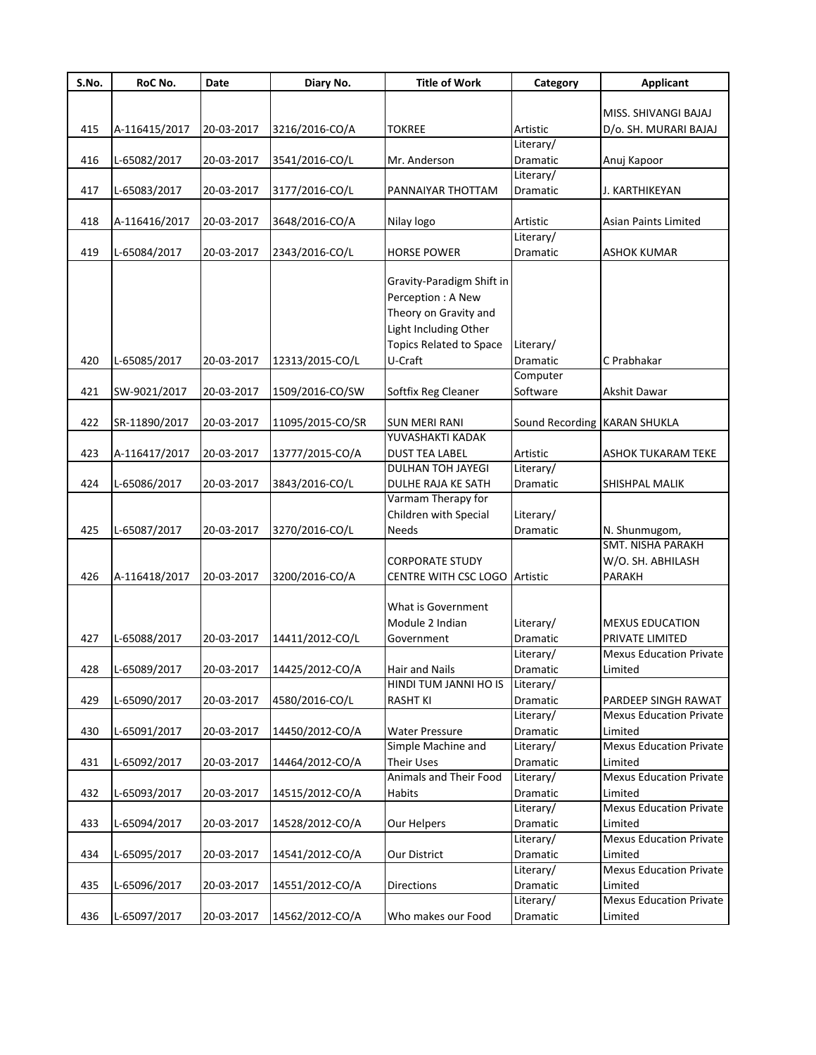| S.No. | RoC No.       | Date       | Diary No.        | <b>Title of Work</b>                        | Category                     | <b>Applicant</b>                          |
|-------|---------------|------------|------------------|---------------------------------------------|------------------------------|-------------------------------------------|
|       |               |            |                  |                                             |                              |                                           |
|       |               |            |                  |                                             |                              | MISS. SHIVANGI BAJAJ                      |
| 415   | A-116415/2017 | 20-03-2017 | 3216/2016-CO/A   | <b>TOKREE</b>                               | Artistic<br>Literary/        | D/o. SH. MURARI BAJAJ                     |
| 416   | L-65082/2017  | 20-03-2017 | 3541/2016-CO/L   | Mr. Anderson                                | Dramatic                     | Anuj Kapoor                               |
|       |               |            |                  |                                             | Literary/                    |                                           |
| 417   | L-65083/2017  | 20-03-2017 | 3177/2016-CO/L   | PANNAIYAR THOTTAM                           | Dramatic                     | J. KARTHIKEYAN                            |
|       |               |            |                  |                                             |                              |                                           |
| 418   | A-116416/2017 | 20-03-2017 | 3648/2016-CO/A   | Nilay logo                                  | Artistic                     | <b>Asian Paints Limited</b>               |
|       |               |            |                  |                                             | Literary/                    |                                           |
| 419   | L-65084/2017  | 20-03-2017 | 2343/2016-CO/L   | <b>HORSE POWER</b>                          | Dramatic                     | <b>ASHOK KUMAR</b>                        |
|       |               |            |                  |                                             |                              |                                           |
|       |               |            |                  | Gravity-Paradigm Shift in                   |                              |                                           |
|       |               |            |                  | Perception: A New                           |                              |                                           |
|       |               |            |                  | Theory on Gravity and                       |                              |                                           |
|       |               |            |                  | Light Including Other                       |                              |                                           |
|       |               |            |                  | Topics Related to Space                     | Literary/                    |                                           |
| 420   | L-65085/2017  | 20-03-2017 | 12313/2015-CO/L  | U-Craft                                     | Dramatic                     | C Prabhakar                               |
|       |               |            |                  |                                             | Computer                     |                                           |
| 421   | SW-9021/2017  | 20-03-2017 | 1509/2016-CO/SW  | Softfix Reg Cleaner                         | Software                     | Akshit Dawar                              |
|       |               |            |                  |                                             |                              |                                           |
| 422   | SR-11890/2017 | 20-03-2017 | 11095/2015-CO/SR | <b>SUN MERI RANI</b>                        | Sound Recording KARAN SHUKLA |                                           |
| 423   | A-116417/2017 | 20-03-2017 | 13777/2015-CO/A  | YUVASHAKTI KADAK<br><b>DUST TEA LABEL</b>   | Artistic                     | <b>ASHOK TUKARAM TEKE</b>                 |
|       |               |            |                  | <b>DULHAN TOH JAYEGI</b>                    | Literary/                    |                                           |
| 424   | L-65086/2017  | 20-03-2017 | 3843/2016-CO/L   | DULHE RAJA KE SATH                          | Dramatic                     | <b>SHISHPAL MALIK</b>                     |
|       |               |            |                  | Varmam Therapy for                          |                              |                                           |
|       |               |            |                  | Children with Special                       | Literary/                    |                                           |
| 425   | L-65087/2017  | 20-03-2017 | 3270/2016-CO/L   | <b>Needs</b>                                | Dramatic                     | N. Shunmugom,                             |
|       |               |            |                  |                                             |                              | SMT. NISHA PARAKH                         |
|       |               |            |                  | <b>CORPORATE STUDY</b>                      |                              | W/O. SH. ABHILASH                         |
| 426   | A-116418/2017 | 20-03-2017 | 3200/2016-CO/A   | CENTRE WITH CSC LOGO Artistic               |                              | PARAKH                                    |
|       |               |            |                  |                                             |                              |                                           |
|       |               |            |                  | What is Government                          |                              |                                           |
|       |               |            |                  | Module 2 Indian                             | Literary/                    | <b>MEXUS EDUCATION</b>                    |
| 427   | L-65088/2017  | 20-03-2017 | 14411/2012-CO/L  | Government                                  | Dramatic                     | PRIVATE LIMITED                           |
|       |               |            |                  |                                             | Literary/                    | <b>Mexus Education Private</b>            |
| 428   | L-65089/2017  | 20-03-2017 | 14425/2012-CO/A  | <b>Hair and Nails</b>                       | Dramatic                     | Limited                                   |
|       |               |            |                  | HINDI TUM JANNI HO IS                       | Literary/                    |                                           |
| 429   | L-65090/2017  | 20-03-2017 | 4580/2016-CO/L   | <b>RASHT KI</b>                             | Dramatic                     | PARDEEP SINGH RAWAT                       |
|       |               |            |                  |                                             | Literary/                    | <b>Mexus Education Private</b>            |
| 430   | L-65091/2017  | 20-03-2017 | 14450/2012-CO/A  | <b>Water Pressure</b>                       | Dramatic                     | Limited                                   |
|       |               |            |                  | Simple Machine and                          | Literary/                    | <b>Mexus Education Private</b>            |
| 431   | L-65092/2017  | 20-03-2017 | 14464/2012-CO/A  | <b>Their Uses</b><br>Animals and Their Food | Dramatic                     | Limited<br><b>Mexus Education Private</b> |
|       |               |            |                  |                                             | Literary/                    | Limited                                   |
| 432   | L-65093/2017  | 20-03-2017 | 14515/2012-CO/A  | Habits                                      | Dramatic<br>Literary/        | <b>Mexus Education Private</b>            |
| 433   | L-65094/2017  | 20-03-2017 | 14528/2012-CO/A  | Our Helpers                                 | Dramatic                     | Limited                                   |
|       |               |            |                  |                                             | Literary/                    | <b>Mexus Education Private</b>            |
| 434   | L-65095/2017  | 20-03-2017 | 14541/2012-CO/A  | Our District                                | Dramatic                     | Limited                                   |
|       |               |            |                  |                                             | Literary/                    | <b>Mexus Education Private</b>            |
| 435   | L-65096/2017  | 20-03-2017 | 14551/2012-CO/A  | <b>Directions</b>                           | Dramatic                     | Limited                                   |
|       |               |            |                  |                                             | Literary/                    | <b>Mexus Education Private</b>            |
| 436   | L-65097/2017  | 20-03-2017 | 14562/2012-CO/A  | Who makes our Food                          | Dramatic                     | Limited                                   |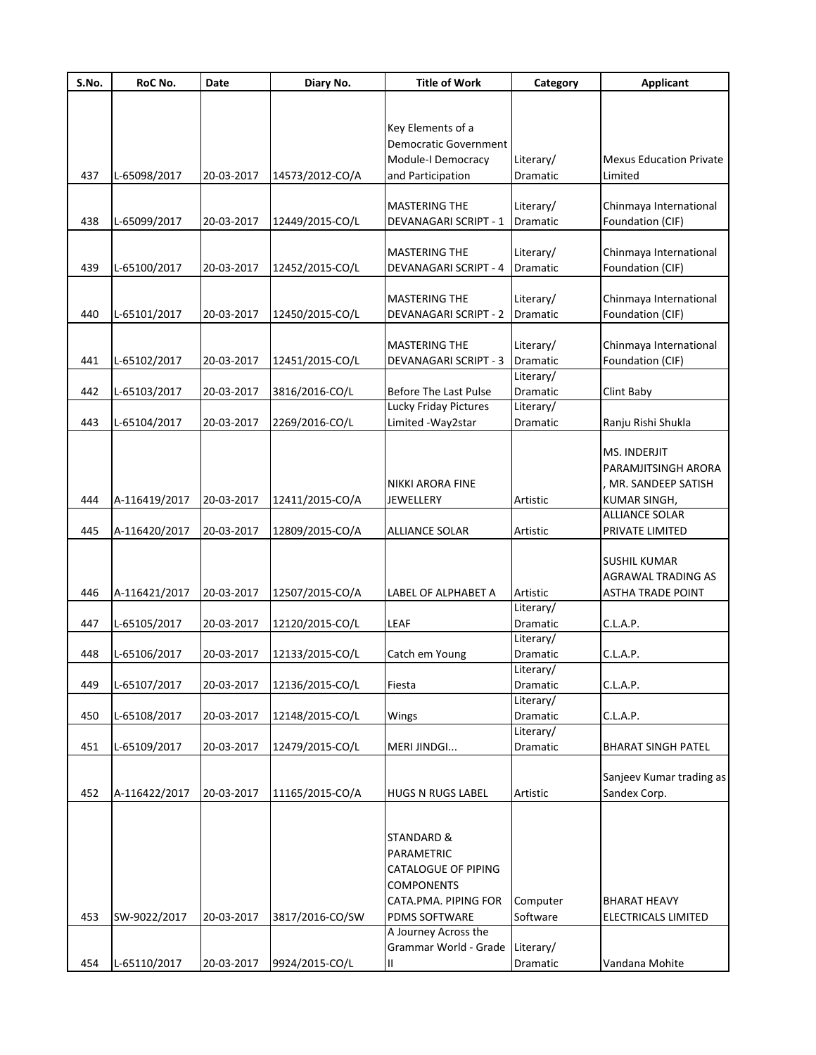| S.No. | RoC No.       | Date       | Diary No.       | <b>Title of Work</b>         | Category        | Applicant                      |
|-------|---------------|------------|-----------------|------------------------------|-----------------|--------------------------------|
|       |               |            |                 |                              |                 |                                |
|       |               |            |                 |                              |                 |                                |
|       |               |            |                 | Key Elements of a            |                 |                                |
|       |               |            |                 | Democratic Government        |                 |                                |
|       |               |            |                 | Module-I Democracy           | Literary/       | <b>Mexus Education Private</b> |
| 437   | L-65098/2017  | 20-03-2017 | 14573/2012-CO/A | and Participation            | Dramatic        | Limited                        |
|       |               |            |                 | <b>MASTERING THE</b>         | Literary/       | Chinmaya International         |
| 438   | L-65099/2017  | 20-03-2017 | 12449/2015-CO/L | DEVANAGARI SCRIPT - 1        | Dramatic        | Foundation (CIF)               |
|       |               |            |                 |                              |                 |                                |
|       |               |            |                 | <b>MASTERING THE</b>         | Literary/       | Chinmaya International         |
| 439   | L-65100/2017  | 20-03-2017 | 12452/2015-CO/L | <b>DEVANAGARI SCRIPT - 4</b> | Dramatic        | Foundation (CIF)               |
|       |               |            |                 |                              |                 |                                |
|       |               |            |                 | <b>MASTERING THE</b>         | Literary/       | Chinmaya International         |
| 440   | L-65101/2017  | 20-03-2017 | 12450/2015-CO/L | <b>DEVANAGARI SCRIPT - 2</b> | Dramatic        | Foundation (CIF)               |
|       |               |            |                 |                              |                 |                                |
|       |               |            |                 | <b>MASTERING THE</b>         | Literary/       | Chinmaya International         |
| 441   | L-65102/2017  | 20-03-2017 | 12451/2015-CO/L | <b>DEVANAGARI SCRIPT - 3</b> | <b>Dramatic</b> | Foundation (CIF)               |
|       |               |            |                 |                              | Literary/       |                                |
| 442   | L-65103/2017  | 20-03-2017 | 3816/2016-CO/L  | <b>Before The Last Pulse</b> | Dramatic        | Clint Baby                     |
|       |               |            |                 | <b>Lucky Friday Pictures</b> | Literary/       |                                |
| 443   | L-65104/2017  | 20-03-2017 | 2269/2016-CO/L  | Limited - Way 2star          | Dramatic        | Ranju Rishi Shukla             |
|       |               |            |                 |                              |                 |                                |
|       |               |            |                 |                              |                 | <b>MS. INDERJIT</b>            |
|       |               |            |                 |                              |                 | PARAMJITSINGH ARORA            |
|       |               |            |                 | NIKKI ARORA FINE             |                 | MR. SANDEEP SATISH             |
| 444   | A-116419/2017 | 20-03-2017 | 12411/2015-CO/A | JEWELLERY                    | Artistic        | KUMAR SINGH,                   |
|       |               |            |                 | <b>ALLIANCE SOLAR</b>        |                 | <b>ALLIANCE SOLAR</b>          |
| 445   | A-116420/2017 | 20-03-2017 | 12809/2015-CO/A |                              | Artistic        | PRIVATE LIMITED                |
|       |               |            |                 |                              |                 | SUSHIL KUMAR                   |
|       |               |            |                 |                              |                 | AGRAWAL TRADING AS             |
| 446   | A-116421/2017 | 20-03-2017 | 12507/2015-CO/A | LABEL OF ALPHABET A          | Artistic        | <b>ASTHA TRADE POINT</b>       |
|       |               |            |                 |                              | Literary/       |                                |
| 447   | L-65105/2017  | 20-03-2017 | 12120/2015-CO/L | LEAF                         | Dramatic        | C.L.A.P.                       |
|       |               |            |                 |                              | Literary/       |                                |
| 448   | L-65106/2017  | 20-03-2017 | 12133/2015-CO/L | Catch em Young               | Dramatic        | C.L.A.P.                       |
|       |               |            |                 |                              | Literary/       |                                |
| 449   | L-65107/2017  | 20-03-2017 | 12136/2015-CO/L | Fiesta                       | Dramatic        | C.L.A.P.                       |
|       |               |            |                 |                              | Literary/       |                                |
| 450   | L-65108/2017  | 20-03-2017 | 12148/2015-CO/L | Wings                        | Dramatic        | C.L.A.P.                       |
|       |               |            |                 |                              | Literary/       |                                |
| 451   | L-65109/2017  | 20-03-2017 | 12479/2015-CO/L | MERI JINDGI                  | Dramatic        | <b>BHARAT SINGH PATEL</b>      |
|       |               |            |                 |                              |                 |                                |
|       |               |            |                 |                              |                 | Sanjeev Kumar trading as       |
| 452   | A-116422/2017 | 20-03-2017 | 11165/2015-CO/A | <b>HUGS N RUGS LABEL</b>     | Artistic        | Sandex Corp.                   |
|       |               |            |                 |                              |                 |                                |
|       |               |            |                 |                              |                 |                                |
|       |               |            |                 | STANDARD &                   |                 |                                |
|       |               |            |                 | PARAMETRIC                   |                 |                                |
|       |               |            |                 | CATALOGUE OF PIPING          |                 |                                |
|       |               |            |                 | <b>COMPONENTS</b>            |                 |                                |
|       |               |            |                 | CATA.PMA. PIPING FOR         | Computer        | <b>BHARAT HEAVY</b>            |
| 453   | SW-9022/2017  | 20-03-2017 | 3817/2016-CO/SW | PDMS SOFTWARE                | Software        | ELECTRICALS LIMITED            |
|       |               |            |                 | A Journey Across the         |                 |                                |
|       |               |            |                 | Grammar World - Grade        | Literary/       |                                |
| 454   | L-65110/2017  | 20-03-2017 | 9924/2015-CO/L  | Ш                            | Dramatic        | Vandana Mohite                 |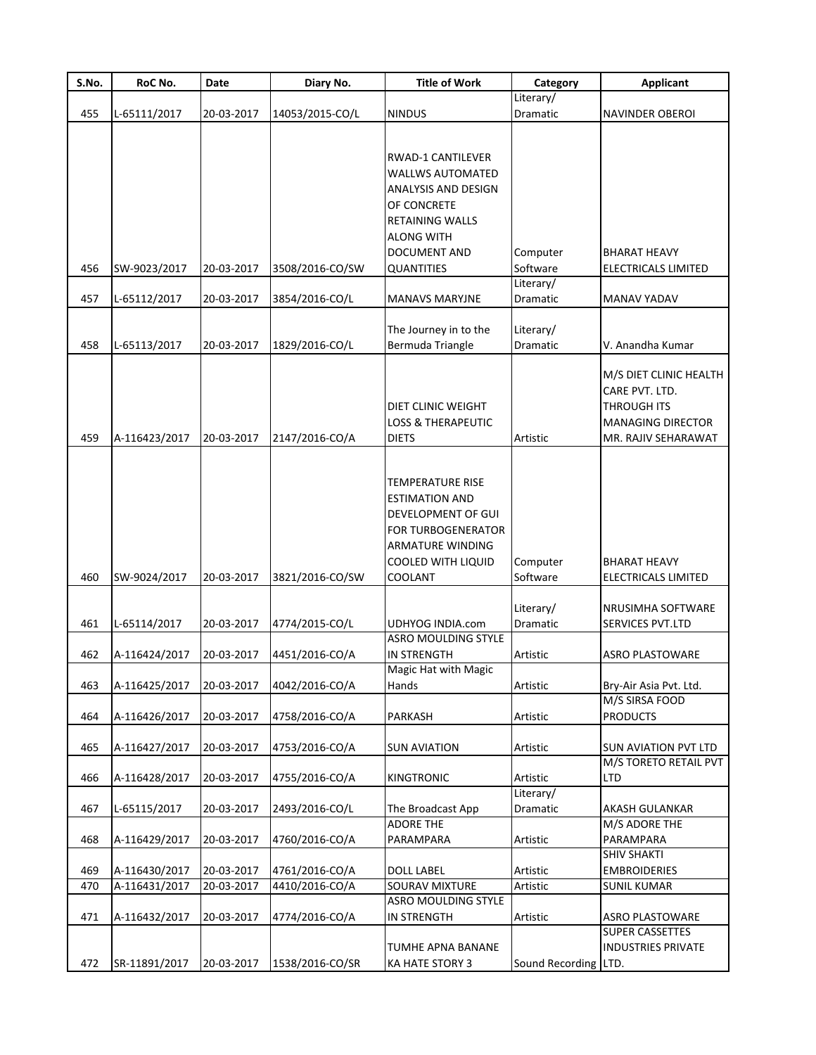| S.No. | RoC No.       | Date       | Diary No.       | <b>Title of Work</b>          | Category        | <b>Applicant</b>                         |
|-------|---------------|------------|-----------------|-------------------------------|-----------------|------------------------------------------|
|       |               |            |                 |                               | Literary/       |                                          |
| 455   | L-65111/2017  | 20-03-2017 | 14053/2015-CO/L | <b>NINDUS</b>                 | Dramatic        | <b>NAVINDER OBEROI</b>                   |
|       |               |            |                 |                               |                 |                                          |
|       |               |            |                 | RWAD-1 CANTILEVER             |                 |                                          |
|       |               |            |                 |                               |                 |                                          |
|       |               |            |                 | <b>WALLWS AUTOMATED</b>       |                 |                                          |
|       |               |            |                 | ANALYSIS AND DESIGN           |                 |                                          |
|       |               |            |                 | OF CONCRETE                   |                 |                                          |
|       |               |            |                 | <b>RETAINING WALLS</b>        |                 |                                          |
|       |               |            |                 | <b>ALONG WITH</b>             |                 |                                          |
|       |               |            |                 | DOCUMENT AND                  | Computer        | <b>BHARAT HEAVY</b>                      |
| 456   | SW-9023/2017  | 20-03-2017 | 3508/2016-CO/SW | <b>QUANTITIES</b>             | Software        | ELECTRICALS LIMITED                      |
|       |               |            |                 |                               | Literary/       |                                          |
| 457   | L-65112/2017  | 20-03-2017 | 3854/2016-CO/L  | <b>MANAVS MARYJNE</b>         | Dramatic        | MANAV YADAV                              |
|       |               |            |                 |                               |                 |                                          |
|       |               |            |                 | The Journey in to the         | Literary/       |                                          |
| 458   | L-65113/2017  | 20-03-2017 | 1829/2016-CO/L  | Bermuda Triangle              | <b>Dramatic</b> | V. Anandha Kumar                         |
|       |               |            |                 |                               |                 | M/S DIET CLINIC HEALTH                   |
|       |               |            |                 |                               |                 | CARE PVT. LTD.                           |
|       |               |            |                 | DIET CLINIC WEIGHT            |                 | <b>THROUGH ITS</b>                       |
|       |               |            |                 | <b>LOSS &amp; THERAPEUTIC</b> |                 | <b>MANAGING DIRECTOR</b>                 |
| 459   |               |            |                 |                               |                 |                                          |
|       | A-116423/2017 | 20-03-2017 | 2147/2016-CO/A  | <b>DIETS</b>                  | Artistic        | MR. RAJIV SEHARAWAT                      |
|       |               |            |                 |                               |                 |                                          |
|       |               |            |                 | TEMPERATURE RISE              |                 |                                          |
|       |               |            |                 |                               |                 |                                          |
|       |               |            |                 | ESTIMATION AND                |                 |                                          |
|       |               |            |                 | DEVELOPMENT OF GUI            |                 |                                          |
|       |               |            |                 | FOR TURBOGENERATOR            |                 |                                          |
|       |               |            |                 | ARMATURE WINDING              |                 |                                          |
|       |               |            |                 | COOLED WITH LIQUID            | Computer        | <b>BHARAT HEAVY</b>                      |
| 460   | SW-9024/2017  | 20-03-2017 | 3821/2016-CO/SW | COOLANT                       | Software        | ELECTRICALS LIMITED                      |
|       |               |            |                 |                               |                 |                                          |
|       |               |            |                 |                               | Literary/       | NRUSIMHA SOFTWARE                        |
| 461   | L-65114/2017  | 20-03-2017 | 4774/2015-CO/L  | <b>UDHYOG INDIA.com</b>       | Dramatic        | SERVICES PVT.LTD                         |
|       |               |            |                 | ASRO MOULDING STYLE           |                 |                                          |
| 462   | A-116424/2017 | 20-03-2017 | 4451/2016-CO/A  | IN STRENGTH                   | Artistic        | <b>ASRO PLASTOWARE</b>                   |
|       |               |            |                 | Magic Hat with Magic          |                 |                                          |
| 463   | A-116425/2017 | 20-03-2017 | 4042/2016-CO/A  | Hands                         | Artistic        | Bry-Air Asia Pvt. Ltd.<br>M/S SIRSA FOOD |
| 464   |               |            |                 |                               | Artistic        | <b>PRODUCTS</b>                          |
|       | A-116426/2017 | 20-03-2017 | 4758/2016-CO/A  | PARKASH                       |                 |                                          |
| 465   | A-116427/2017 | 20-03-2017 | 4753/2016-CO/A  | <b>SUN AVIATION</b>           | Artistic        | <b>SUN AVIATION PVT LTD</b>              |
|       |               |            |                 |                               |                 | M/S TORETO RETAIL PVT                    |
| 466   | A-116428/2017 | 20-03-2017 | 4755/2016-CO/A  | KINGTRONIC                    | Artistic        | LTD                                      |
|       |               |            |                 |                               | Literary/       |                                          |
| 467   | L-65115/2017  | 20-03-2017 | 2493/2016-CO/L  | The Broadcast App             | Dramatic        | AKASH GULANKAR                           |
|       |               |            |                 | <b>ADORE THE</b>              |                 | M/S ADORE THE                            |
| 468   | A-116429/2017 | 20-03-2017 | 4760/2016-CO/A  | PARAMPARA                     | Artistic        | PARAMPARA                                |
|       |               |            |                 |                               |                 | <b>SHIV SHAKTI</b>                       |
| 469   | A-116430/2017 | 20-03-2017 | 4761/2016-CO/A  | <b>DOLL LABEL</b>             | Artistic        | <b>EMBROIDERIES</b>                      |
| 470   | A-116431/2017 | 20-03-2017 | 4410/2016-CO/A  | SOURAV MIXTURE                | Artistic        | <b>SUNIL KUMAR</b>                       |
|       |               |            |                 | <b>ASRO MOULDING STYLE</b>    |                 |                                          |
| 471   | A-116432/2017 | 20-03-2017 | 4774/2016-CO/A  | IN STRENGTH                   | Artistic        | ASRO PLASTOWARE                          |
|       |               |            |                 |                               |                 | <b>SUPER CASSETTES</b>                   |
|       |               |            |                 | TUMHE APNA BANANE             |                 | <b>INDUSTRIES PRIVATE</b>                |
| 472   | SR-11891/2017 | 20-03-2017 | 1538/2016-CO/SR | KA HATE STORY 3               | Sound Recording | LTD.                                     |
|       |               |            |                 |                               |                 |                                          |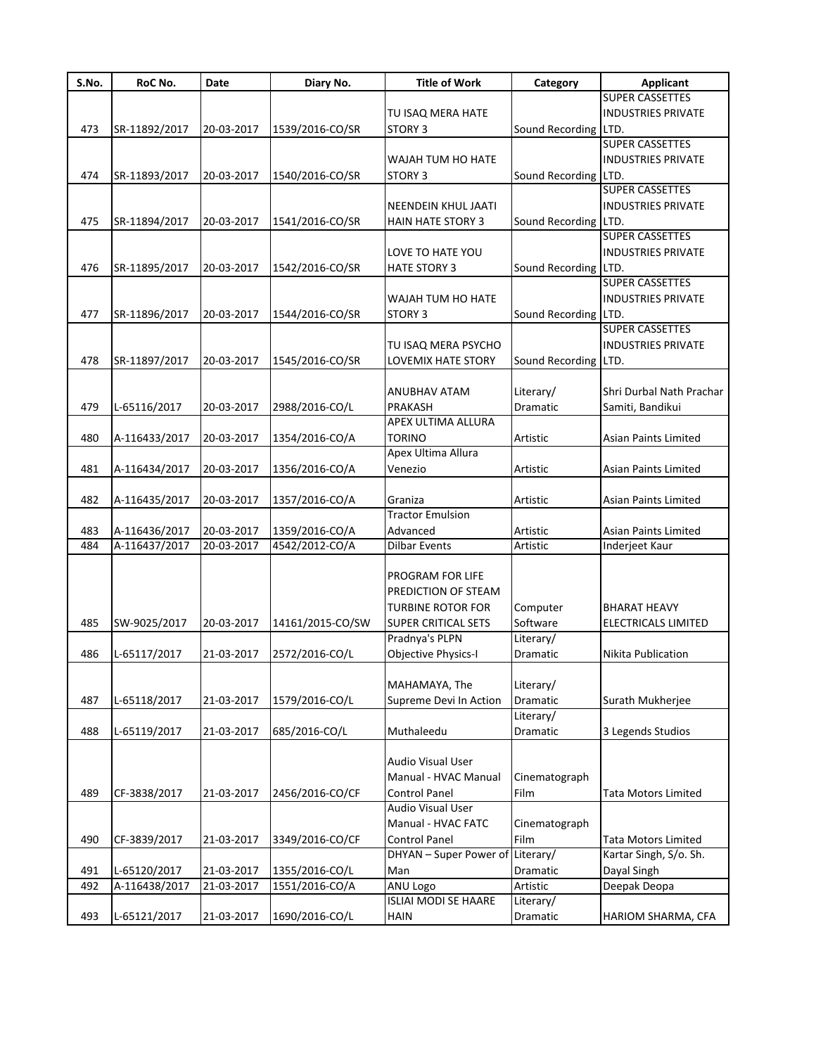| S.No. | RoC No.       | Date       | Diary No.        | <b>Title of Work</b>             | Category             | <b>Applicant</b>            |
|-------|---------------|------------|------------------|----------------------------------|----------------------|-----------------------------|
|       |               |            |                  |                                  |                      | <b>SUPER CASSETTES</b>      |
|       |               |            |                  | TU ISAQ MERA HATE                |                      | <b>INDUSTRIES PRIVATE</b>   |
| 473   | SR-11892/2017 | 20-03-2017 | 1539/2016-CO/SR  | STORY 3                          | Sound Recording LTD. |                             |
|       |               |            |                  |                                  |                      | <b>SUPER CASSETTES</b>      |
|       |               |            |                  | WAJAH TUM HO HATE                |                      | <b>INDUSTRIES PRIVATE</b>   |
| 474   | SR-11893/2017 | 20-03-2017 | 1540/2016-CO/SR  | <b>STORY 3</b>                   | Sound Recording LTD. |                             |
|       |               |            |                  |                                  |                      | <b>SUPER CASSETTES</b>      |
|       |               |            |                  | NEENDEIN KHUL JAATI              |                      | <b>INDUSTRIES PRIVATE</b>   |
| 475   | SR-11894/2017 | 20-03-2017 | 1541/2016-CO/SR  | <b>HAIN HATE STORY 3</b>         | Sound Recording LTD. |                             |
|       |               |            |                  |                                  |                      | <b>SUPER CASSETTES</b>      |
|       |               |            |                  | LOVE TO HATE YOU                 |                      | <b>INDUSTRIES PRIVATE</b>   |
| 476   | SR-11895/2017 | 20-03-2017 | 1542/2016-CO/SR  | <b>HATE STORY 3</b>              | Sound Recording LTD. |                             |
|       |               |            |                  |                                  |                      | <b>SUPER CASSETTES</b>      |
|       |               |            |                  | WAJAH TUM HO HATE                |                      | <b>INDUSTRIES PRIVATE</b>   |
| 477   | SR-11896/2017 | 20-03-2017 | 1544/2016-CO/SR  | STORY 3                          | Sound Recording LTD. |                             |
|       |               |            |                  |                                  |                      | <b>SUPER CASSETTES</b>      |
|       |               |            |                  | TU ISAQ MERA PSYCHO              |                      | <b>INDUSTRIES PRIVATE</b>   |
|       |               |            |                  |                                  |                      |                             |
| 478   | SR-11897/2017 | 20-03-2017 | 1545/2016-CO/SR  | LOVEMIX HATE STORY               | Sound Recording LTD. |                             |
|       |               |            |                  |                                  |                      |                             |
|       |               |            |                  | <b>ANUBHAV ATAM</b>              | Literary/            | Shri Durbal Nath Prachar    |
| 479   | L-65116/2017  | 20-03-2017 | 2988/2016-CO/L   | PRAKASH                          | Dramatic             | Samiti, Bandikui            |
|       |               |            |                  | APEX ULTIMA ALLURA               |                      |                             |
| 480   | A-116433/2017 | 20-03-2017 | 1354/2016-CO/A   | <b>TORINO</b>                    | Artistic             | Asian Paints Limited        |
|       |               |            |                  | Apex Ultima Allura               |                      |                             |
| 481   | A-116434/2017 | 20-03-2017 | 1356/2016-CO/A   | Venezio                          | Artistic             | <b>Asian Paints Limited</b> |
|       |               |            |                  |                                  |                      |                             |
| 482   | A-116435/2017 | 20-03-2017 | 1357/2016-CO/A   | Graniza                          | Artistic             | Asian Paints Limited        |
|       |               |            |                  | <b>Tractor Emulsion</b>          |                      |                             |
| 483   | A-116436/2017 | 20-03-2017 | 1359/2016-CO/A   | Advanced                         | Artistic             | <b>Asian Paints Limited</b> |
| 484   | A-116437/2017 | 20-03-2017 | 4542/2012-CO/A   | <b>Dilbar Events</b>             | Artistic             | Inderjeet Kaur              |
|       |               |            |                  |                                  |                      |                             |
|       |               |            |                  | PROGRAM FOR LIFE                 |                      |                             |
|       |               |            |                  | PREDICTION OF STEAM              |                      |                             |
|       |               |            |                  | <b>TURBINE ROTOR FOR</b>         | Computer             | <b>BHARAT HEAVY</b>         |
|       |               |            |                  |                                  |                      |                             |
| 485   | SW-9025/2017  | 20-03-2017 | 14161/2015-CO/SW | <b>SUPER CRITICAL SETS</b>       | Software             | <b>ELECTRICALS LIMITED</b>  |
|       |               |            |                  | Pradnya's PLPN                   | Literary/            |                             |
| 486   | L-65117/2017  | 21-03-2017 | 2572/2016-CO/L   | Objective Physics-I              | Dramatic             | Nikita Publication          |
|       |               |            |                  |                                  |                      |                             |
|       |               |            |                  | MAHAMAYA, The                    | Literary/            |                             |
| 487   | L-65118/2017  | 21-03-2017 | 1579/2016-CO/L   | Supreme Devi In Action           | Dramatic             | Surath Mukherjee            |
|       |               |            |                  |                                  | Literary/            |                             |
| 488   | L-65119/2017  | 21-03-2017 | 685/2016-CO/L    | Muthaleedu                       | Dramatic             | 3 Legends Studios           |
|       |               |            |                  |                                  |                      |                             |
|       |               |            |                  | Audio Visual User                |                      |                             |
|       |               |            |                  | Manual - HVAC Manual             | Cinematograph        |                             |
| 489   | CF-3838/2017  | 21-03-2017 | 2456/2016-CO/CF  | <b>Control Panel</b>             | Film                 | Tata Motors Limited         |
|       |               |            |                  | <b>Audio Visual User</b>         |                      |                             |
|       |               |            |                  | Manual - HVAC FATC               | Cinematograph        |                             |
| 490   | CF-3839/2017  | 21-03-2017 | 3349/2016-CO/CF  | <b>Control Panel</b>             | Film                 | <b>Tata Motors Limited</b>  |
|       |               |            |                  | DHYAN - Super Power of Literary/ |                      | Kartar Singh, S/o. Sh.      |
| 491   | L-65120/2017  | 21-03-2017 | 1355/2016-CO/L   | Man                              | Dramatic             |                             |
|       |               |            |                  |                                  |                      | Dayal Singh                 |
| 492   | A-116438/2017 | 21-03-2017 | 1551/2016-CO/A   | ANU Logo                         | Artistic             | Deepak Deopa                |
|       |               |            |                  | <b>ISLIAI MODI SE HAARE</b>      | Literary/            |                             |
| 493   | L-65121/2017  | 21-03-2017 | 1690/2016-CO/L   | <b>HAIN</b>                      | Dramatic             | HARIOM SHARMA, CFA          |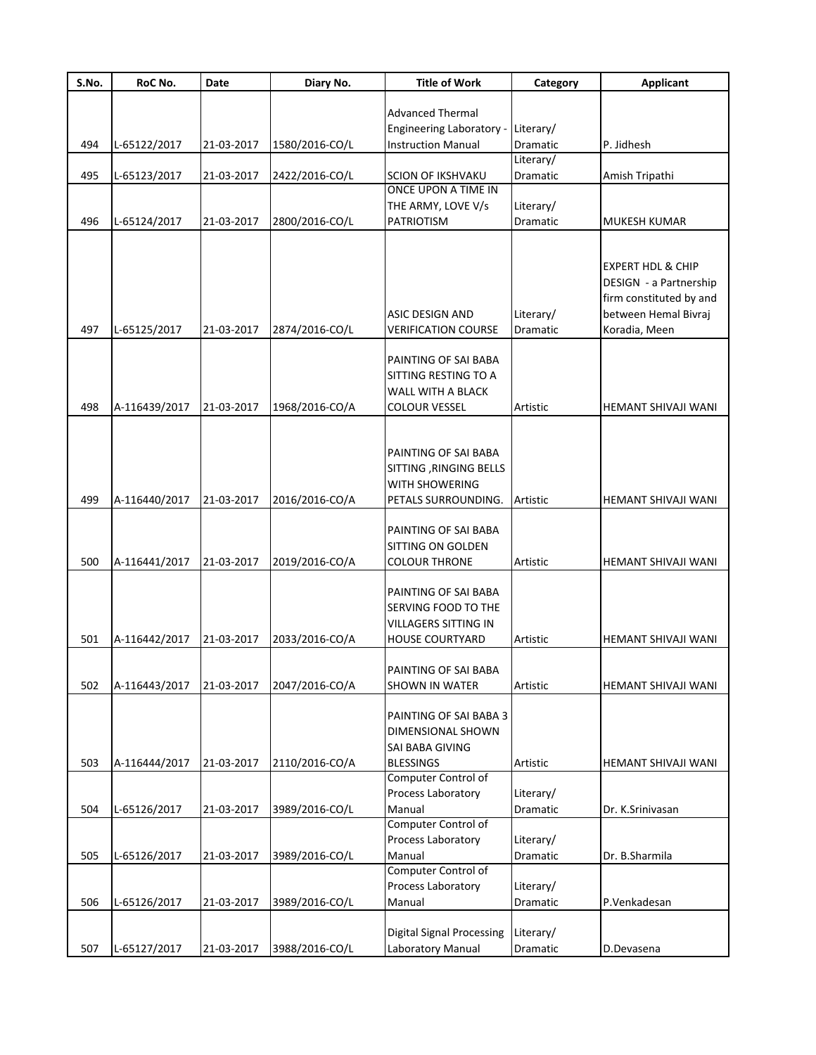| S.No. | RoC No.       | Date       | Diary No.      | <b>Title of Work</b>                                                                                 | Category              | <b>Applicant</b>                                                                                                           |
|-------|---------------|------------|----------------|------------------------------------------------------------------------------------------------------|-----------------------|----------------------------------------------------------------------------------------------------------------------------|
|       |               |            |                |                                                                                                      |                       |                                                                                                                            |
|       |               |            |                | <b>Advanced Thermal</b>                                                                              |                       |                                                                                                                            |
|       |               |            |                | <b>Engineering Laboratory -</b>                                                                      | Literary/             |                                                                                                                            |
| 494   | L-65122/2017  | 21-03-2017 | 1580/2016-CO/L | <b>Instruction Manual</b>                                                                            | Dramatic<br>Literary/ | P. Jidhesh                                                                                                                 |
| 495   | L-65123/2017  | 21-03-2017 | 2422/2016-CO/L | <b>SCION OF IKSHVAKU</b>                                                                             | Dramatic              | Amish Tripathi                                                                                                             |
|       |               |            |                | ONCE UPON A TIME IN                                                                                  |                       |                                                                                                                            |
|       |               |            |                | THE ARMY, LOVE V/s                                                                                   | Literary/             |                                                                                                                            |
| 496   | L-65124/2017  | 21-03-2017 | 2800/2016-CO/L | <b>PATRIOTISM</b>                                                                                    | Dramatic              | <b>MUKESH KUMAR</b>                                                                                                        |
|       |               |            |                |                                                                                                      |                       |                                                                                                                            |
| 497   | L-65125/2017  | 21-03-2017 | 2874/2016-CO/L | <b>ASIC DESIGN AND</b><br><b>VERIFICATION COURSE</b>                                                 | Literary/<br>Dramatic | <b>EXPERT HDL &amp; CHIP</b><br>DESIGN - a Partnership<br>firm constituted by and<br>between Hemal Bivraj<br>Koradia, Meen |
| 498   | A-116439/2017 | 21-03-2017 | 1968/2016-CO/A | PAINTING OF SAI BABA<br>SITTING RESTING TO A<br>WALL WITH A BLACK<br><b>COLOUR VESSEL</b>            | Artistic              | HEMANT SHIVAJI WANI                                                                                                        |
|       |               |            |                |                                                                                                      |                       |                                                                                                                            |
| 499   | A-116440/2017 | 21-03-2017 | 2016/2016-CO/A | PAINTING OF SAI BABA<br>SITTING, RINGING BELLS<br><b>WITH SHOWERING</b><br>PETALS SURROUNDING.       | Artistic              | HEMANT SHIVAJI WANI                                                                                                        |
|       |               |            |                | PAINTING OF SAI BABA                                                                                 |                       |                                                                                                                            |
|       |               |            |                | SITTING ON GOLDEN                                                                                    |                       |                                                                                                                            |
| 500   | A-116441/2017 | 21-03-2017 | 2019/2016-CO/A | <b>COLOUR THRONE</b>                                                                                 | Artistic              | HEMANT SHIVAJI WANI                                                                                                        |
| 501   | A-116442/2017 | 21-03-2017 | 2033/2016-CO/A | PAINTING OF SAI BABA<br>SERVING FOOD TO THE<br><b>VILLAGERS SITTING IN</b><br><b>HOUSE COURTYARD</b> | <b>Artistic</b>       | HEMANT SHIVAJI WANI                                                                                                        |
|       |               |            |                |                                                                                                      |                       |                                                                                                                            |
|       |               |            |                | PAINTING OF SAI BABA                                                                                 |                       |                                                                                                                            |
| 502   | A-116443/2017 | 21-03-2017 | 2047/2016-CO/A | <b>SHOWN IN WATER</b>                                                                                | Artistic              | HEMANT SHIVAJI WANI                                                                                                        |
| 503   | A-116444/2017 | 21-03-2017 | 2110/2016-CO/A | PAINTING OF SAI BABA 3<br>DIMENSIONAL SHOWN<br>SAI BABA GIVING<br><b>BLESSINGS</b>                   | Artistic              | HEMANT SHIVAJI WANI                                                                                                        |
|       |               |            |                | Computer Control of                                                                                  |                       |                                                                                                                            |
| 504   | L-65126/2017  | 21-03-2017 | 3989/2016-CO/L | Process Laboratory<br>Manual                                                                         | Literary/<br>Dramatic | Dr. K.Srinivasan                                                                                                           |
|       |               |            |                | Computer Control of                                                                                  |                       |                                                                                                                            |
|       |               |            |                | Process Laboratory                                                                                   | Literary/             |                                                                                                                            |
| 505   | L-65126/2017  | 21-03-2017 | 3989/2016-CO/L | Manual                                                                                               | Dramatic              | Dr. B.Sharmila                                                                                                             |
|       |               |            |                | Computer Control of                                                                                  |                       |                                                                                                                            |
|       |               |            |                | Process Laboratory                                                                                   | Literary/             |                                                                                                                            |
| 506   | L-65126/2017  | 21-03-2017 | 3989/2016-CO/L | Manual                                                                                               | Dramatic              | P.Venkadesan                                                                                                               |
|       |               |            |                | <b>Digital Signal Processing</b>                                                                     |                       |                                                                                                                            |
|       |               |            |                |                                                                                                      | Literary/             |                                                                                                                            |
| 507   | L-65127/2017  | 21-03-2017 | 3988/2016-CO/L | Laboratory Manual                                                                                    | Dramatic              | D.Devasena                                                                                                                 |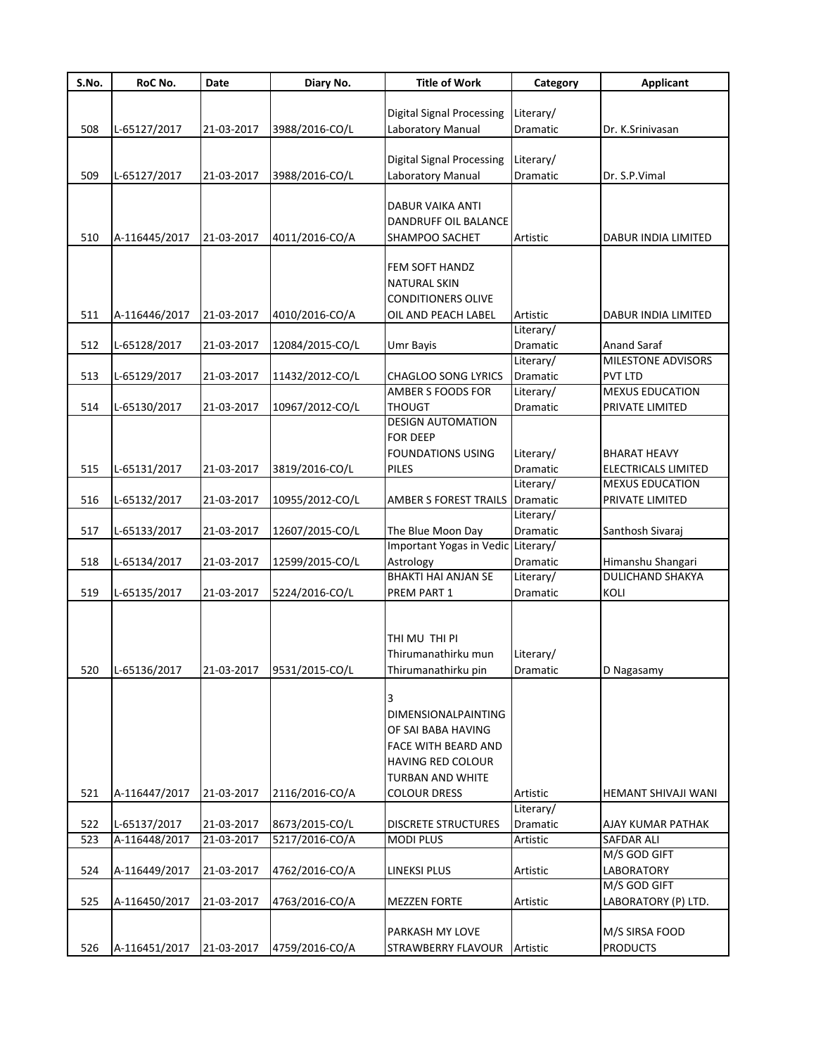| S.No. | RoC No.       | <b>Date</b> | Diary No.       | <b>Title of Work</b>                                  | Category                     | <b>Applicant</b>                           |
|-------|---------------|-------------|-----------------|-------------------------------------------------------|------------------------------|--------------------------------------------|
|       |               |             |                 |                                                       |                              |                                            |
| 508   |               | 21-03-2017  |                 | <b>Digital Signal Processing</b><br>Laboratory Manual | Literary/<br>Dramatic        | Dr. K.Srinivasan                           |
|       | L-65127/2017  |             | 3988/2016-CO/L  |                                                       |                              |                                            |
|       |               |             |                 | <b>Digital Signal Processing</b>                      | Literary/                    |                                            |
| 509   | L-65127/2017  | 21-03-2017  | 3988/2016-CO/L  | Laboratory Manual                                     | Dramatic                     | Dr. S.P.Vimal                              |
|       |               |             |                 |                                                       |                              |                                            |
|       |               |             |                 | <b>DABUR VAIKA ANTI</b>                               |                              |                                            |
|       |               |             |                 | DANDRUFF OIL BALANCE                                  |                              |                                            |
| 510   | A-116445/2017 | 21-03-2017  | 4011/2016-CO/A  | SHAMPOO SACHET                                        | Artistic                     | DABUR INDIA LIMITED                        |
|       |               |             |                 |                                                       |                              |                                            |
|       |               |             |                 | FEM SOFT HANDZ<br><b>NATURAL SKIN</b>                 |                              |                                            |
|       |               |             |                 | <b>CONDITIONERS OLIVE</b>                             |                              |                                            |
| 511   | A-116446/2017 | 21-03-2017  | 4010/2016-CO/A  | OIL AND PEACH LABEL                                   | Artistic                     | DABUR INDIA LIMITED                        |
|       |               |             |                 |                                                       | Literary/                    |                                            |
| 512   | L-65128/2017  | 21-03-2017  | 12084/2015-CO/L | Umr Bayis                                             | Dramatic                     | Anand Saraf                                |
|       |               |             |                 |                                                       | Literary/                    | <b>MILESTONE ADVISORS</b>                  |
| 513   | L-65129/2017  | 21-03-2017  | 11432/2012-CO/L | <b>CHAGLOO SONG LYRICS</b>                            | Dramatic                     | <b>PVT LTD</b>                             |
|       |               |             |                 | AMBER S FOODS FOR                                     | Literary/                    | <b>MEXUS EDUCATION</b>                     |
| 514   | L-65130/2017  | 21-03-2017  | 10967/2012-CO/L | <b>THOUGT</b>                                         | Dramatic                     | PRIVATE LIMITED                            |
|       |               |             |                 | <b>DESIGN AUTOMATION</b>                              |                              |                                            |
|       |               |             |                 | <b>FOR DEEP</b><br><b>FOUNDATIONS USING</b>           |                              |                                            |
| 515   | L-65131/2017  | 21-03-2017  | 3819/2016-CO/L  | PILES                                                 | Literary/<br><b>Dramatic</b> | <b>BHARAT HEAVY</b><br>ELECTRICALS LIMITED |
|       |               |             |                 |                                                       | Literary/                    | <b>MEXUS EDUCATION</b>                     |
| 516   | L-65132/2017  | 21-03-2017  | 10955/2012-CO/L | AMBER S FOREST TRAILS                                 | Dramatic                     | PRIVATE LIMITED                            |
|       |               |             |                 |                                                       | Literary/                    |                                            |
| 517   | L-65133/2017  | 21-03-2017  | 12607/2015-CO/L | The Blue Moon Day                                     | Dramatic                     | Santhosh Sivaraj                           |
|       |               |             |                 | Important Yogas in Vedic Literary/                    |                              |                                            |
| 518   | L-65134/2017  | 21-03-2017  | 12599/2015-CO/L | Astrology                                             | Dramatic                     | Himanshu Shangari                          |
|       |               |             |                 | <b>BHAKTI HAI ANJAN SE</b>                            | Literary/                    | <b>DULICHAND SHAKYA</b>                    |
| 519   | L-65135/2017  | 21-03-2017  | 5224/2016-CO/L  | PREM PART 1                                           | Dramatic                     | KOLI                                       |
|       |               |             |                 |                                                       |                              |                                            |
|       |               |             |                 | thi mu thi pi                                         |                              |                                            |
|       |               |             |                 | Thirumanathirku mun                                   | Literary/                    |                                            |
| 520   | L-65136/2017  | 21-03-2017  | 9531/2015-CO/L  | Thirumanathirku pin                                   | Dramatic                     | D Nagasamy                                 |
|       |               |             |                 |                                                       |                              |                                            |
|       |               |             |                 |                                                       |                              |                                            |
|       |               |             |                 | <b>DIMENSIONALPAINTING</b>                            |                              |                                            |
|       |               |             |                 | OF SAI BABA HAVING                                    |                              |                                            |
|       |               |             |                 | FACE WITH BEARD AND                                   |                              |                                            |
|       |               |             |                 | <b>HAVING RED COLOUR</b>                              |                              |                                            |
|       |               |             |                 | TURBAN AND WHITE                                      |                              |                                            |
| 521   | A-116447/2017 | 21-03-2017  | 2116/2016-CO/A  | <b>COLOUR DRESS</b>                                   | Artistic<br>Literary/        | HEMANT SHIVAJI WANI                        |
| 522   | L-65137/2017  | 21-03-2017  | 8673/2015-CO/L  | <b>DISCRETE STRUCTURES</b>                            | Dramatic                     | AJAY KUMAR PATHAK                          |
| 523   | A-116448/2017 | 21-03-2017  | 5217/2016-CO/A  | <b>MODI PLUS</b>                                      | Artistic                     | <b>SAFDAR ALI</b>                          |
|       |               |             |                 |                                                       |                              | M/S GOD GIFT                               |
| 524   | A-116449/2017 | 21-03-2017  | 4762/2016-CO/A  | LINEKSI PLUS                                          | Artistic                     | LABORATORY                                 |
|       |               |             |                 |                                                       |                              | M/S GOD GIFT                               |
| 525   | A-116450/2017 | 21-03-2017  | 4763/2016-CO/A  | <b>MEZZEN FORTE</b>                                   | Artistic                     | LABORATORY (P) LTD.                        |
|       |               |             |                 |                                                       |                              |                                            |
|       |               |             |                 | PARKASH MY LOVE                                       |                              | M/S SIRSA FOOD                             |
| 526   | A-116451/2017 | 21-03-2017  | 4759/2016-CO/A  | STRAWBERRY FLAVOUR                                    | Artistic                     | <b>PRODUCTS</b>                            |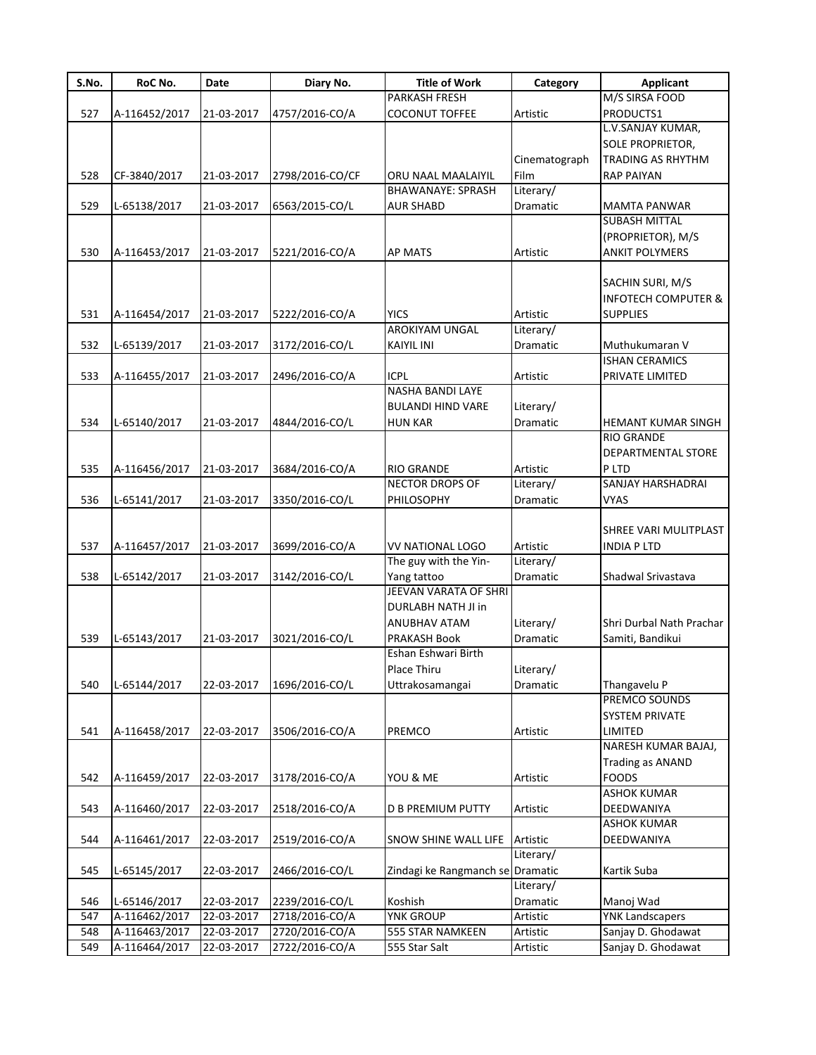| S.No. | RoC No.       | Date       | Diary No.       | <b>Title of Work</b>             | Category      | <b>Applicant</b>               |
|-------|---------------|------------|-----------------|----------------------------------|---------------|--------------------------------|
|       |               |            |                 | PARKASH FRESH                    |               | M/S SIRSA FOOD                 |
| 527   | A-116452/2017 | 21-03-2017 | 4757/2016-CO/A  | <b>COCONUT TOFFEE</b>            | Artistic      | PRODUCTS1                      |
|       |               |            |                 |                                  |               | L.V.SANJAY KUMAR,              |
|       |               |            |                 |                                  |               | <b>SOLE PROPRIETOR,</b>        |
|       |               |            |                 |                                  | Cinematograph | TRADING AS RHYTHM              |
| 528   | CF-3840/2017  | 21-03-2017 | 2798/2016-CO/CF | ORU NAAL MAALAIYIL               | Film          | <b>RAP PAIYAN</b>              |
|       |               |            |                 | <b>BHAWANAYE: SPRASH</b>         | Literary/     |                                |
| 529   | L-65138/2017  | 21-03-2017 | 6563/2015-CO/L  | <b>AUR SHABD</b>                 | Dramatic      | <b>MAMTA PANWAR</b>            |
|       |               |            |                 |                                  |               | <b>SUBASH MITTAL</b>           |
|       |               |            |                 |                                  |               | (PROPRIETOR), M/S              |
| 530   | A-116453/2017 | 21-03-2017 | 5221/2016-CO/A  | <b>AP MATS</b>                   | Artistic      | <b>ANKIT POLYMERS</b>          |
|       |               |            |                 |                                  |               |                                |
|       |               |            |                 |                                  |               | SACHIN SURI, M/S               |
|       |               |            |                 |                                  |               | <b>INFOTECH COMPUTER &amp;</b> |
| 531   | A-116454/2017 | 21-03-2017 | 5222/2016-CO/A  | <b>YICS</b>                      | Artistic      | <b>SUPPLIES</b>                |
|       |               |            |                 | AROKIYAM UNGAL                   | Literary/     |                                |
| 532   | L-65139/2017  | 21-03-2017 | 3172/2016-CO/L  | <b>KAIYIL INI</b>                | Dramatic      | Muthukumaran V                 |
|       |               |            |                 |                                  |               | <b>ISHAN CERAMICS</b>          |
| 533   | A-116455/2017 | 21-03-2017 | 2496/2016-CO/A  | ICPL                             | Artistic      | PRIVATE LIMITED                |
|       |               |            |                 | <b>NASHA BANDI LAYE</b>          |               |                                |
|       |               |            |                 | <b>BULANDI HIND VARE</b>         | Literary/     |                                |
| 534   | L-65140/2017  | 21-03-2017 | 4844/2016-CO/L  | <b>HUN KAR</b>                   | Dramatic      | HEMANT KUMAR SINGH             |
|       |               |            |                 |                                  |               | <b>RIO GRANDE</b>              |
|       |               |            |                 |                                  |               | DEPARTMENTAL STORE             |
| 535   | A-116456/2017 | 21-03-2017 | 3684/2016-CO/A  | <b>RIO GRANDE</b>                | Artistic      | P LTD                          |
|       |               |            |                 | <b>NECTOR DROPS OF</b>           | Literary/     | SANJAY HARSHADRAI              |
| 536   | L-65141/2017  | 21-03-2017 | 3350/2016-CO/L  | PHILOSOPHY                       | Dramatic      | <b>VYAS</b>                    |
|       |               |            |                 |                                  |               |                                |
|       |               |            |                 |                                  |               | SHREE VARI MULITPLAST          |
| 537   | A-116457/2017 | 21-03-2017 | 3699/2016-CO/A  | VV NATIONAL LOGO                 | Artistic      | <b>INDIA P LTD</b>             |
|       |               |            |                 | The guy with the Yin-            | Literary/     |                                |
| 538   | L-65142/2017  | 21-03-2017 | 3142/2016-CO/L  | Yang tattoo                      | Dramatic      | Shadwal Srivastava             |
|       |               |            |                 | JEEVAN VARATA OF SHRI            |               |                                |
|       |               |            |                 | <b>DURLABH NATH JI in</b>        |               |                                |
|       |               |            |                 | <b>ANUBHAV ATAM</b>              | Literary/     | Shri Durbal Nath Prachar       |
| 539   | L-65143/2017  | 21-03-2017 | 3021/2016-CO/L  | <b>PRAKASH Book</b>              | Dramatic      | Samiti, Bandikui               |
|       |               |            |                 | Eshan Eshwari Birth              |               |                                |
|       |               |            |                 | Place Thiru                      | Literary/     |                                |
| 540   | L-65144/2017  | 22-03-2017 | 1696/2016-CO/L  | Uttrakosamangai                  | Dramatic      | Thangavelu P                   |
|       |               |            |                 |                                  |               | PREMCO SOUNDS                  |
|       |               |            |                 |                                  |               | <b>SYSTEM PRIVATE</b>          |
| 541   | A-116458/2017 | 22-03-2017 | 3506/2016-CO/A  | PREMCO                           | Artistic      | LIMITED                        |
|       |               |            |                 |                                  |               | NARESH KUMAR BAJAJ,            |
|       |               |            |                 |                                  |               | <b>Trading as ANAND</b>        |
| 542   | A-116459/2017 | 22-03-2017 | 3178/2016-CO/A  | YOU & ME                         | Artistic      | <b>FOODS</b>                   |
|       |               |            |                 |                                  |               | <b>ASHOK KUMAR</b>             |
| 543   |               |            |                 |                                  |               | DEEDWANIYA                     |
|       | A-116460/2017 | 22-03-2017 | 2518/2016-CO/A  | <b>D B PREMIUM PUTTY</b>         | Artistic      | <b>ASHOK KUMAR</b>             |
| 544   |               |            |                 |                                  |               |                                |
|       | A-116461/2017 | 22-03-2017 | 2519/2016-CO/A  | SNOW SHINE WALL LIFE             | Artistic      | DEEDWANIYA                     |
|       |               |            |                 |                                  | Literary/     |                                |
| 545   | L-65145/2017  | 22-03-2017 | 2466/2016-CO/L  | Zindagi ke Rangmanch se Dramatic |               | Kartik Suba                    |
|       |               |            |                 |                                  | Literary/     |                                |
| 546   | L-65146/2017  | 22-03-2017 | 2239/2016-CO/L  | Koshish                          | Dramatic      | Manoj Wad                      |
| 547   | A-116462/2017 | 22-03-2017 | 2718/2016-CO/A  | <b>YNK GROUP</b>                 | Artistic      | <b>YNK Landscapers</b>         |
| 548   | A-116463/2017 | 22-03-2017 | 2720/2016-CO/A  | 555 STAR NAMKEEN                 | Artistic      | Sanjay D. Ghodawat             |
| 549   | A-116464/2017 | 22-03-2017 | 2722/2016-CO/A  | 555 Star Salt                    | Artistic      | Sanjay D. Ghodawat             |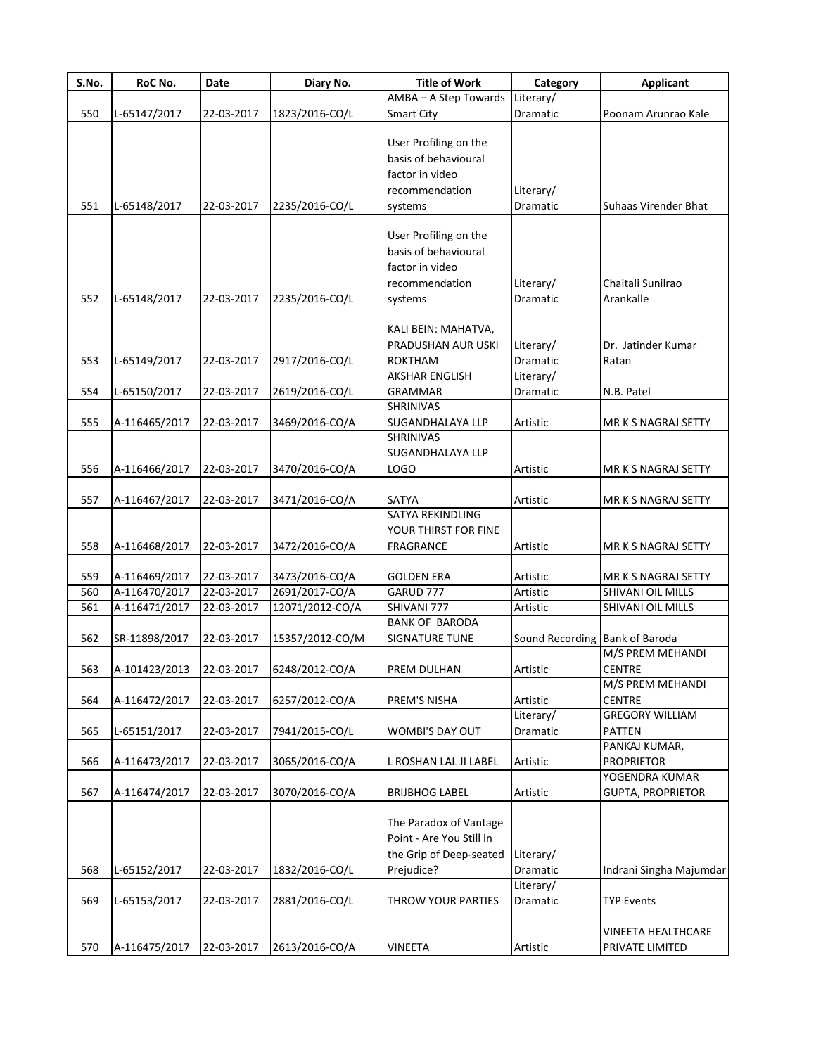| S.No. | RoC No.                  | Date       | Diary No.       | <b>Title of Work</b>      | Category        | <b>Applicant</b>         |
|-------|--------------------------|------------|-----------------|---------------------------|-----------------|--------------------------|
|       |                          |            |                 | AMBA - A Step Towards     | Literary/       |                          |
| 550   | L-65147/2017             | 22-03-2017 | 1823/2016-CO/L  | Smart City                | Dramatic        | Poonam Arunrao Kale      |
|       |                          |            |                 |                           |                 |                          |
|       |                          |            |                 | User Profiling on the     |                 |                          |
|       |                          |            |                 | basis of behavioural      |                 |                          |
|       |                          |            |                 | factor in video           |                 |                          |
|       |                          |            |                 | recommendation            | Literary/       |                          |
| 551   | L-65148/2017             | 22-03-2017 | 2235/2016-CO/L  | systems                   | Dramatic        | Suhaas Virender Bhat     |
|       |                          |            |                 |                           |                 |                          |
|       |                          |            |                 | User Profiling on the     |                 |                          |
|       |                          |            |                 | basis of behavioural      |                 |                          |
|       |                          |            |                 | factor in video           |                 |                          |
|       |                          |            |                 | recommendation            | Literary/       | Chaitali Sunilrao        |
| 552   | L-65148/2017             | 22-03-2017 | 2235/2016-CO/L  | systems                   | Dramatic        | Arankalle                |
|       |                          |            |                 |                           |                 |                          |
|       |                          |            |                 | KALI BEIN: MAHATVA,       |                 |                          |
|       |                          |            |                 | PRADUSHAN AUR USKI        | Literary/       | Dr. Jatinder Kumar       |
| 553   | L-65149/2017             | 22-03-2017 | 2917/2016-CO/L  | <b>ROKTHAM</b>            | <b>Dramatic</b> | Ratan                    |
|       |                          |            |                 | AKSHAR ENGLISH            | Literary/       |                          |
| 554   | L-65150/2017             | 22-03-2017 | 2619/2016-CO/L  | <b>GRAMMAR</b>            | Dramatic        | N.B. Patel               |
|       |                          |            |                 | SHRINIVAS                 |                 |                          |
| 555   | A-116465/2017            | 22-03-2017 | 3469/2016-CO/A  | SUGANDHALAYA LLP          | Artistic        | MR K S NAGRAJ SETTY      |
|       |                          |            |                 | SHRINIVAS                 |                 |                          |
|       |                          |            |                 | SUGANDHALAYA LLP          |                 |                          |
| 556   | A-116466/2017            | 22-03-2017 | 3470/2016-CO/A  | <b>LOGO</b>               | Artistic        | MR K S NAGRAJ SETTY      |
|       |                          |            |                 |                           |                 |                          |
| 557   | A-116467/2017            | 22-03-2017 | 3471/2016-CO/A  | SATYA<br>SATYA REKINDLING | Artistic        | MR K S NAGRAJ SETTY      |
|       |                          |            |                 | YOUR THIRST FOR FINE      |                 |                          |
| 558   | A-116468/2017            | 22-03-2017 | 3472/2016-CO/A  | <b>FRAGRANCE</b>          | Artistic        | MR K S NAGRAJ SETTY      |
|       |                          |            |                 |                           |                 |                          |
| 559   | A-116469/2017            | 22-03-2017 | 3473/2016-CO/A  | <b>GOLDEN ERA</b>         | Artistic        | MR K S NAGRAJ SETTY      |
| 560   | A-116470/2017            | 22-03-2017 | 2691/2017-CO/A  | GARUD 777                 | Artistic        | SHIVANI OIL MILLS        |
| 561   | A-116471/2017            | 22-03-2017 | 12071/2012-CO/A | SHIVANI 777               | Artistic        | SHIVANI OIL MILLS        |
|       |                          |            |                 | <b>BANK OF BARODA</b>     |                 |                          |
| 562   | SR-11898/2017            | 22-03-2017 | 15357/2012-CO/M | <b>SIGNATURE TUNE</b>     | Sound Recording | <b>Bank of Baroda</b>    |
|       |                          |            |                 |                           |                 | M/S PREM MEHANDI         |
| 563   | A-101423/2013 22-03-2017 |            | 6248/2012-CO/A  | PREM DULHAN               | Artistic        | CENTRE                   |
|       |                          |            |                 |                           |                 | M/S PREM MEHANDI         |
| 564   | A-116472/2017            | 22-03-2017 | 6257/2012-CO/A  | PREM'S NISHA              | Artistic        | <b>CENTRE</b>            |
|       |                          |            |                 |                           | Literary/       | <b>GREGORY WILLIAM</b>   |
| 565   | L-65151/2017             | 22-03-2017 | 7941/2015-CO/L  | WOMBI'S DAY OUT           | Dramatic        | PATTEN                   |
|       |                          |            |                 |                           |                 | PANKAJ KUMAR,            |
| 566   | A-116473/2017            | 22-03-2017 | 3065/2016-CO/A  | L ROSHAN LAL JI LABEL     | Artistic        | <b>PROPRIETOR</b>        |
|       |                          |            |                 |                           |                 | YOGENDRA KUMAR           |
| 567   | A-116474/2017            | 22-03-2017 | 3070/2016-CO/A  | <b>BRIJBHOG LABEL</b>     | Artistic        | <b>GUPTA, PROPRIETOR</b> |
|       |                          |            |                 |                           |                 |                          |
|       |                          |            |                 | The Paradox of Vantage    |                 |                          |
|       |                          |            |                 | Point - Are You Still in  |                 |                          |
|       |                          |            |                 | the Grip of Deep-seated   | Literary/       |                          |
| 568   | L-65152/2017             | 22-03-2017 | 1832/2016-CO/L  | Prejudice?                | Dramatic        | Indrani Singha Majumdar  |
|       |                          |            |                 |                           | Literary/       |                          |
| 569   | L-65153/2017             | 22-03-2017 | 2881/2016-CO/L  | THROW YOUR PARTIES        | Dramatic        | <b>TYP Events</b>        |
|       |                          |            |                 |                           |                 |                          |
|       |                          |            |                 |                           |                 | VINEETA HEALTHCARE       |
| 570   | A-116475/2017            | 22-03-2017 | 2613/2016-CO/A  | <b>VINEETA</b>            | Artistic        | PRIVATE LIMITED          |
|       |                          |            |                 |                           |                 |                          |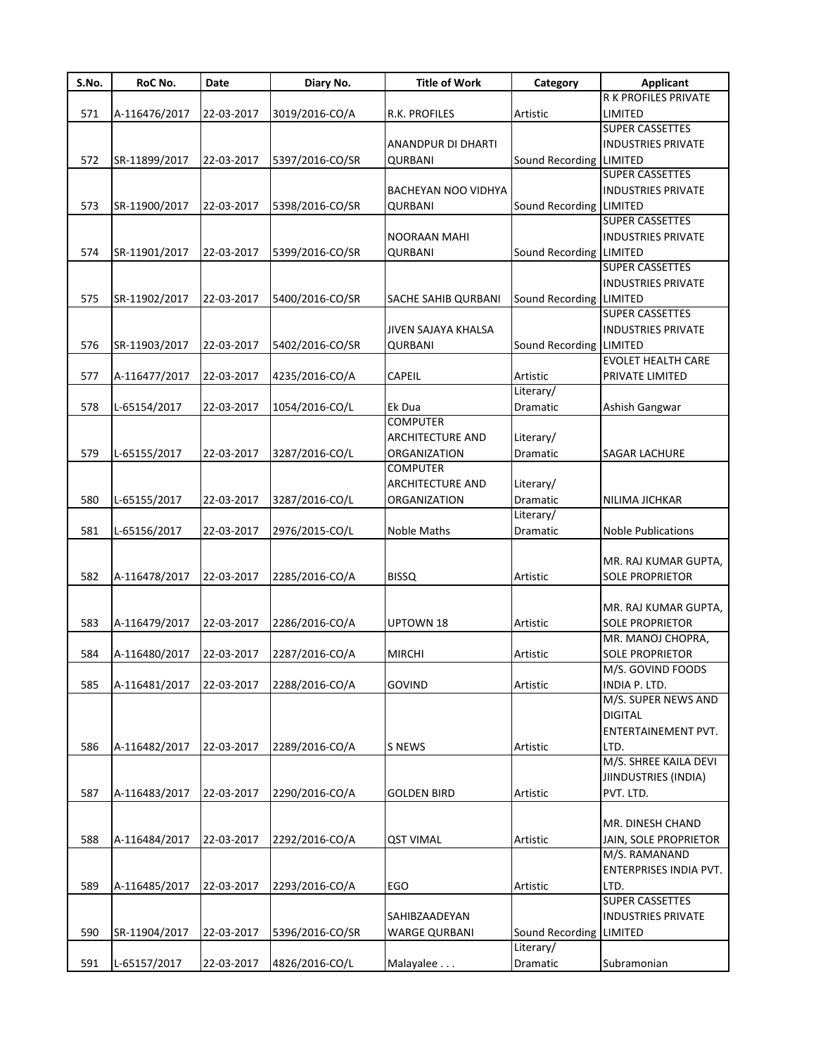| S.No. | RoC No.       | Date       | Diary No.       | <b>Title of Work</b>    | Category                | <b>Applicant</b>          |
|-------|---------------|------------|-----------------|-------------------------|-------------------------|---------------------------|
|       |               |            |                 |                         |                         | R K PROFILES PRIVATE      |
| 571   | A-116476/2017 | 22-03-2017 | 3019/2016-CO/A  | R.K. PROFILES           | Artistic                | LIMITED                   |
|       |               |            |                 |                         |                         | <b>SUPER CASSETTES</b>    |
|       |               |            |                 | ANANDPUR DI DHARTI      |                         | <b>INDUSTRIES PRIVATE</b> |
| 572   | SR-11899/2017 | 22-03-2017 | 5397/2016-CO/SR | <b>QURBANI</b>          | Sound Recording LIMITED |                           |
|       |               |            |                 |                         |                         | <b>SUPER CASSETTES</b>    |
|       |               |            |                 | BACHEYAN NOO VIDHYA     |                         | <b>INDUSTRIES PRIVATE</b> |
| 573   | SR-11900/2017 | 22-03-2017 | 5398/2016-CO/SR | QURBANI                 | Sound Recording LIMITED |                           |
|       |               |            |                 |                         |                         | <b>SUPER CASSETTES</b>    |
|       |               |            |                 | NOORAAN MAHI            |                         | <b>INDUSTRIES PRIVATE</b> |
| 574   | SR-11901/2017 | 22-03-2017 | 5399/2016-CO/SR | <b>QURBANI</b>          | Sound Recording         | <b>LIMITED</b>            |
|       |               |            |                 |                         |                         | <b>SUPER CASSETTES</b>    |
|       |               |            |                 |                         |                         | <b>INDUSTRIES PRIVATE</b> |
| 575   | SR-11902/2017 | 22-03-2017 | 5400/2016-CO/SR | SACHE SAHIB QURBANI     | Sound Recording         | <b>LIMITED</b>            |
|       |               |            |                 |                         |                         | <b>SUPER CASSETTES</b>    |
|       |               |            |                 | JIVEN SAJAYA KHALSA     |                         | <b>INDUSTRIES PRIVATE</b> |
| 576   | SR-11903/2017 | 22-03-2017 | 5402/2016-CO/SR | QURBANI                 | Sound Recording         | <b>LIMITED</b>            |
|       |               |            |                 |                         |                         | <b>EVOLET HEALTH CARE</b> |
| 577   | A-116477/2017 | 22-03-2017 | 4235/2016-CO/A  | CAPEIL                  | Artistic                | PRIVATE LIMITED           |
|       |               |            |                 |                         | Literary/               |                           |
|       |               |            |                 | Ek Dua                  |                         |                           |
| 578   | L-65154/2017  | 22-03-2017 | 1054/2016-CO/L  | <b>COMPUTER</b>         | Dramatic                | Ashish Gangwar            |
|       |               |            |                 |                         |                         |                           |
|       |               |            |                 | <b>ARCHITECTURE AND</b> | Literary/               |                           |
| 579   | L-65155/2017  | 22-03-2017 | 3287/2016-CO/L  | ORGANIZATION            | Dramatic                | <b>SAGAR LACHURE</b>      |
|       |               |            |                 | <b>COMPUTER</b>         |                         |                           |
|       |               |            |                 | <b>ARCHITECTURE AND</b> | Literary/               |                           |
| 580   | L-65155/2017  | 22-03-2017 | 3287/2016-CO/L  | ORGANIZATION            | Dramatic                | NILIMA JICHKAR            |
|       |               |            |                 |                         | Literary/               |                           |
| 581   | L-65156/2017  | 22-03-2017 | 2976/2015-CO/L  | Noble Maths             | Dramatic                | <b>Noble Publications</b> |
|       |               |            |                 |                         |                         |                           |
|       |               |            |                 |                         |                         | MR. RAJ KUMAR GUPTA,      |
| 582   | A-116478/2017 | 22-03-2017 | 2285/2016-CO/A  | <b>BISSQ</b>            | Artistic                | <b>SOLE PROPRIETOR</b>    |
|       |               |            |                 |                         |                         |                           |
|       |               |            |                 |                         |                         | MR. RAJ KUMAR GUPTA,      |
| 583   | A-116479/2017 | 22-03-2017 | 2286/2016-CO/A  | <b>UPTOWN 18</b>        | Artistic                | <b>SOLE PROPRIETOR</b>    |
|       |               |            |                 |                         |                         | MR. MANOJ CHOPRA,         |
| 584   | A-116480/2017 | 22-03-2017 | 2287/2016-CO/A  | <b>MIRCHI</b>           | Artistic                | <b>SOLE PROPRIETOR</b>    |
|       |               |            |                 |                         |                         | M/S. GOVIND FOODS         |
| 585   | A-116481/2017 | 22-03-2017 | 2288/2016-CO/A  | <b>GOVIND</b>           | Artistic                | INDIA P. LTD.             |
|       |               |            |                 |                         |                         | M/S. SUPER NEWS AND       |
|       |               |            |                 |                         |                         | <b>DIGITAL</b>            |
|       |               |            |                 |                         |                         | ENTERTAINEMENT PVT.       |
| 586   | A-116482/2017 | 22-03-2017 | 2289/2016-CO/A  | <b>S NEWS</b>           | Artistic                | LTD.                      |
|       |               |            |                 |                         |                         | M/S. SHREE KAILA DEVI     |
|       |               |            |                 |                         |                         | JIINDUSTRIES (INDIA)      |
|       |               |            | 2290/2016-CO/A  |                         |                         |                           |
| 587   | A-116483/2017 | 22-03-2017 |                 | <b>GOLDEN BIRD</b>      | Artistic                | PVT. LTD.                 |
|       |               |            |                 |                         |                         |                           |
|       |               |            |                 |                         |                         | MR. DINESH CHAND          |
| 588   | A-116484/2017 | 22-03-2017 | 2292/2016-CO/A  | <b>QST VIMAL</b>        | Artistic                | JAIN, SOLE PROPRIETOR     |
|       |               |            |                 |                         |                         | M/S. RAMANAND             |
|       |               |            |                 |                         |                         | ENTERPRISES INDIA PVT.    |
| 589   | A-116485/2017 | 22-03-2017 | 2293/2016-CO/A  | EGO                     | Artistic                | LTD.                      |
|       |               |            |                 |                         |                         | <b>SUPER CASSETTES</b>    |
|       |               |            |                 | SAHIBZAADEYAN           |                         | <b>INDUSTRIES PRIVATE</b> |
| 590   | SR-11904/2017 | 22-03-2017 | 5396/2016-CO/SR | <b>WARGE QURBANI</b>    | Sound Recording         | <b>LIMITED</b>            |
|       |               |            |                 |                         | Literary/               |                           |
| 591   | L-65157/2017  | 22-03-2017 | 4826/2016-CO/L  | Malayalee               | Dramatic                | Subramonian               |
|       |               |            |                 |                         |                         |                           |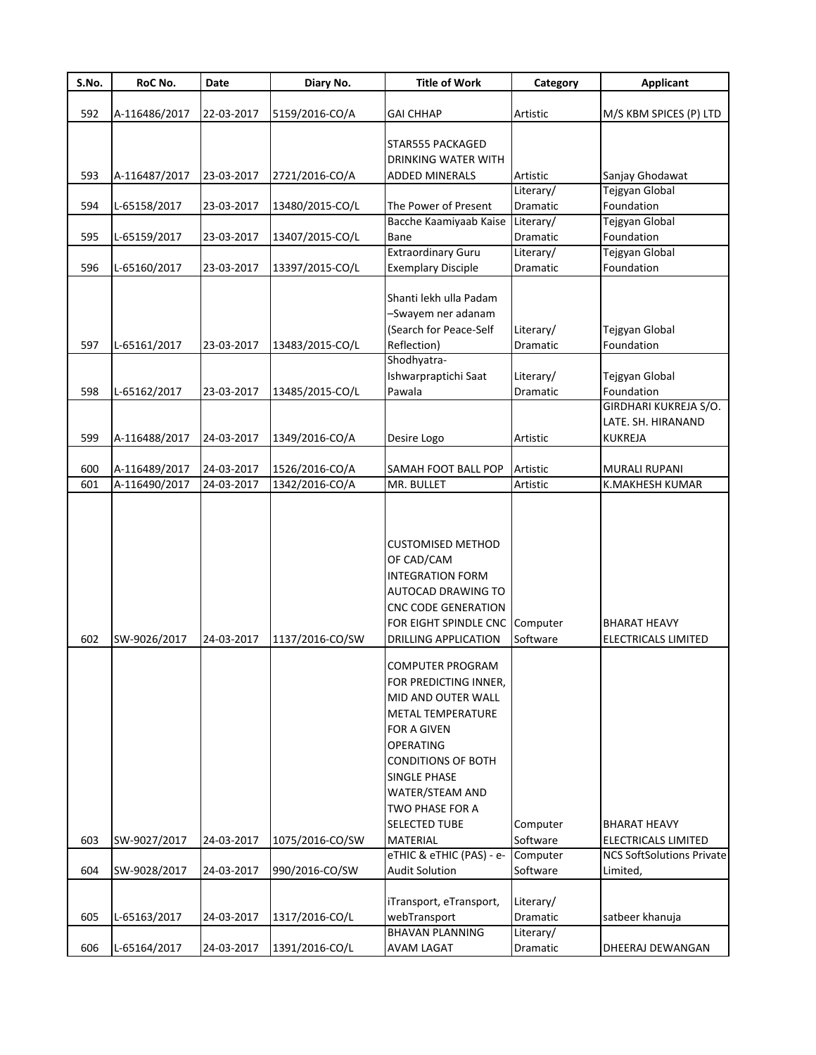| S.No. | RoC No.       | Date       | Diary No.       | <b>Title of Work</b>                                                                                                                                                                                                                       | Category  | <b>Applicant</b>                           |
|-------|---------------|------------|-----------------|--------------------------------------------------------------------------------------------------------------------------------------------------------------------------------------------------------------------------------------------|-----------|--------------------------------------------|
|       |               |            |                 |                                                                                                                                                                                                                                            |           |                                            |
| 592   | A-116486/2017 | 22-03-2017 | 5159/2016-CO/A  | GAI CHHAP                                                                                                                                                                                                                                  | Artistic  | M/S KBM SPICES (P) LTD                     |
|       |               |            |                 | STAR555 PACKAGED                                                                                                                                                                                                                           |           |                                            |
|       |               |            |                 | DRINKING WATER WITH                                                                                                                                                                                                                        |           |                                            |
| 593   | A-116487/2017 | 23-03-2017 | 2721/2016-CO/A  | ADDED MINERALS                                                                                                                                                                                                                             | Artistic  | Sanjay Ghodawat                            |
|       |               |            |                 |                                                                                                                                                                                                                                            | Literary/ | <b>Tejgyan Global</b>                      |
| 594   | L-65158/2017  | 23-03-2017 | 13480/2015-CO/L | The Power of Present                                                                                                                                                                                                                       | Dramatic  | Foundation                                 |
|       |               |            |                 | Bacche Kaamiyaab Kaise Literary/                                                                                                                                                                                                           |           | Tejgyan Global                             |
| 595   | L-65159/2017  | 23-03-2017 | 13407/2015-CO/L | Bane                                                                                                                                                                                                                                       | Dramatic  | Foundation                                 |
|       |               |            |                 | <b>Extraordinary Guru</b>                                                                                                                                                                                                                  | Literary/ | Tejgyan Global                             |
| 596   | L-65160/2017  | 23-03-2017 | 13397/2015-CO/L | <b>Exemplary Disciple</b>                                                                                                                                                                                                                  | Dramatic  | Foundation                                 |
|       |               |            |                 |                                                                                                                                                                                                                                            |           |                                            |
|       |               |            |                 | Shanti lekh ulla Padam                                                                                                                                                                                                                     |           |                                            |
|       |               |            |                 | -Swayem ner adanam                                                                                                                                                                                                                         |           |                                            |
|       |               |            |                 | (Search for Peace-Self                                                                                                                                                                                                                     | Literary/ | Tejgyan Global                             |
| 597   | L-65161/2017  | 23-03-2017 | 13483/2015-CO/L | Reflection)                                                                                                                                                                                                                                | Dramatic  | Foundation                                 |
|       |               |            |                 | Shodhyatra-                                                                                                                                                                                                                                |           |                                            |
|       |               |            |                 | Ishwarpraptichi Saat                                                                                                                                                                                                                       | Literary/ | Tejgyan Global                             |
| 598   | L-65162/2017  | 23-03-2017 | 13485/2015-CO/L | Pawala                                                                                                                                                                                                                                     | Dramatic  | Foundation                                 |
|       |               |            |                 |                                                                                                                                                                                                                                            |           | GIRDHARI KUKREJA S/O.                      |
|       |               |            |                 |                                                                                                                                                                                                                                            |           | LATE. SH. HIRANAND                         |
| 599   | A-116488/2017 | 24-03-2017 | 1349/2016-CO/A  | Desire Logo                                                                                                                                                                                                                                | Artistic  | <b>KUKREJA</b>                             |
|       |               |            |                 |                                                                                                                                                                                                                                            |           |                                            |
| 600   | A-116489/2017 | 24-03-2017 | 1526/2016-CO/A  | SAMAH FOOT BALL POP                                                                                                                                                                                                                        | Artistic  | <b>MURALI RUPANI</b>                       |
| 601   | A-116490/2017 | 24-03-2017 | 1342/2016-CO/A  | MR. BULLET                                                                                                                                                                                                                                 | Artistic  | K.MAKHESH KUMAR                            |
| 602   | SW-9026/2017  | 24-03-2017 | 1137/2016-CO/SW | <b>CUSTOMISED METHOD</b><br>OF CAD/CAM<br><b>INTEGRATION FORM</b><br>AUTOCAD DRAWING TO<br><b>CNC CODE GENERATION</b><br>FOR EIGHT SPINDLE CNC Computer<br><b>DRILLING APPLICATION</b><br><b>COMPUTER PROGRAM</b><br>FOR PREDICTING INNER, | Software  | <b>BHARAT HEAVY</b><br>ELECTRICALS LIMITED |
|       |               |            |                 | MID AND OUTER WALL<br><b>METAL TEMPERATURE</b><br><b>FOR A GIVEN</b><br><b>OPERATING</b><br><b>CONDITIONS OF BOTH</b><br>SINGLE PHASE<br>WATER/STEAM AND<br>TWO PHASE FOR A<br><b>SELECTED TUBE</b>                                        | Computer  | BHARAT HEAVY                               |
| 603   | SW-9027/2017  | 24-03-2017 | 1075/2016-CO/SW | <b>MATERIAL</b>                                                                                                                                                                                                                            | Software  | ELECTRICALS LIMITED                        |
|       |               |            |                 | eTHIC & eTHIC (PAS) - e-                                                                                                                                                                                                                   | Computer  | <b>NCS SoftSolutions Private</b>           |
| 604   | SW-9028/2017  | 24-03-2017 | 990/2016-CO/SW  | <b>Audit Solution</b>                                                                                                                                                                                                                      | Software  | Limited,                                   |
|       |               |            |                 |                                                                                                                                                                                                                                            |           |                                            |
|       |               |            |                 | iTransport, eTransport,                                                                                                                                                                                                                    | Literary/ |                                            |
| 605   | L-65163/2017  | 24-03-2017 | 1317/2016-CO/L  | webTransport                                                                                                                                                                                                                               | Dramatic  | satbeer khanuja                            |
|       |               |            |                 | <b>BHAVAN PLANNING</b>                                                                                                                                                                                                                     | Literary/ |                                            |
| 606   | L-65164/2017  | 24-03-2017 | 1391/2016-CO/L  | AVAM LAGAT                                                                                                                                                                                                                                 | Dramatic  | DHEERAJ DEWANGAN                           |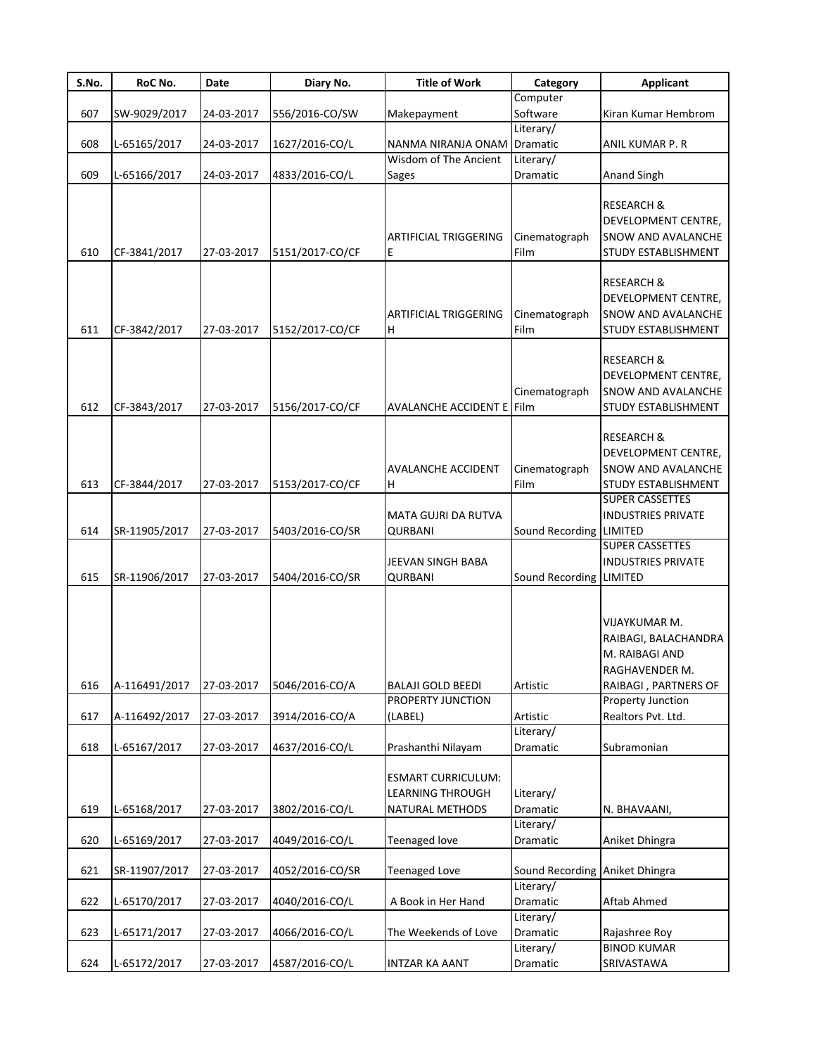| S.No. | RoC No.       | <b>Date</b> | Diary No.       | <b>Title of Work</b>                                                | Category                       | <b>Applicant</b>                                                                                        |
|-------|---------------|-------------|-----------------|---------------------------------------------------------------------|--------------------------------|---------------------------------------------------------------------------------------------------------|
|       |               |             |                 |                                                                     | Computer                       |                                                                                                         |
| 607   | SW-9029/2017  | 24-03-2017  | 556/2016-CO/SW  | Makepayment                                                         | Software                       | Kiran Kumar Hembrom                                                                                     |
|       |               |             |                 |                                                                     | Literary/                      |                                                                                                         |
| 608   | L-65165/2017  | 24-03-2017  | 1627/2016-CO/L  | NANMA NIRANJA ONAM Dramatic                                         |                                | ANIL KUMAR P. R                                                                                         |
|       |               |             |                 | Wisdom of The Ancient                                               | Literary/                      |                                                                                                         |
| 609   | L-65166/2017  | 24-03-2017  | 4833/2016-CO/L  | Sages                                                               | Dramatic                       | <b>Anand Singh</b>                                                                                      |
| 610   | CF-3841/2017  | 27-03-2017  | 5151/2017-CO/CF | <b>ARTIFICIAL TRIGGERING</b><br>Е                                   | Cinematograph<br>Film          | <b>RESEARCH &amp;</b><br>DEVELOPMENT CENTRE,<br>SNOW AND AVALANCHE<br><b>STUDY ESTABLISHMENT</b>        |
| 611   | CF-3842/2017  | 27-03-2017  | 5152/2017-CO/CF | <b>ARTIFICIAL TRIGGERING</b><br>Н                                   | Cinematograph<br>Film          | <b>RESEARCH &amp;</b><br>DEVELOPMENT CENTRE,<br><b>SNOW AND AVALANCHE</b><br><b>STUDY ESTABLISHMENT</b> |
|       |               |             |                 |                                                                     |                                |                                                                                                         |
| 612   | CF-3843/2017  | 27-03-2017  | 5156/2017-CO/CF | AVALANCHE ACCIDENT E Film                                           | Cinematograph                  | <b>RESEARCH &amp;</b><br>DEVELOPMENT CENTRE,<br><b>SNOW AND AVALANCHE</b><br><b>STUDY ESTABLISHMENT</b> |
| 613   | CF-3844/2017  | 27-03-2017  | 5153/2017-CO/CF | AVALANCHE ACCIDENT<br>Н                                             | Cinematograph<br>Film          | <b>RESEARCH &amp;</b><br>DEVELOPMENT CENTRE,<br><b>SNOW AND AVALANCHE</b><br><b>STUDY ESTABLISHMENT</b> |
|       |               |             |                 |                                                                     |                                | <b>SUPER CASSETTES</b>                                                                                  |
|       |               |             |                 | MATA GUJRI DA RUTVA                                                 |                                | <b>INDUSTRIES PRIVATE</b>                                                                               |
| 614   | SR-11905/2017 | 27-03-2017  | 5403/2016-CO/SR | <b>QURBANI</b>                                                      | Sound Recording LIMITED        |                                                                                                         |
| 615   | SR-11906/2017 | 27-03-2017  | 5404/2016-CO/SR | JEEVAN SINGH BABA<br><b>QURBANI</b>                                 | Sound Recording LIMITED        | <b>SUPER CASSETTES</b><br><b>INDUSTRIES PRIVATE</b>                                                     |
|       |               |             |                 |                                                                     |                                | VIJAYKUMAR M.<br>RAIBAGI, BALACHANDRA<br>M. RAIBAGI AND<br>RAGHAVENDER M.                               |
| 616   | A-116491/2017 | 27-03-2017  | 5046/2016-CO/A  | <b>BALAJI GOLD BEEDI</b>                                            | Artistic                       | RAIBAGI, PARTNERS OF                                                                                    |
|       |               |             |                 | PROPERTY JUNCTION                                                   |                                | Property Junction                                                                                       |
| 617   | A-116492/2017 | 27-03-2017  | 3914/2016-CO/A  | (LABEL)                                                             | Artistic                       | Realtors Pvt. Ltd.                                                                                      |
|       |               |             |                 |                                                                     | Literary/                      |                                                                                                         |
| 618   | L-65167/2017  | 27-03-2017  | 4637/2016-CO/L  | Prashanthi Nilayam<br><b>ESMART CURRICULUM:</b><br>LEARNING THROUGH | Dramatic<br>Literary/          | Subramonian                                                                                             |
| 619   | L-65168/2017  | 27-03-2017  | 3802/2016-CO/L  | <b>NATURAL METHODS</b>                                              | Dramatic                       | N. BHAVAANI,                                                                                            |
| 620   | L-65169/2017  | 27-03-2017  | 4049/2016-CO/L  | Teenaged love                                                       | Literary/<br>Dramatic          | Aniket Dhingra                                                                                          |
|       |               |             |                 |                                                                     |                                |                                                                                                         |
| 621   | SR-11907/2017 | 27-03-2017  | 4052/2016-CO/SR | <b>Teenaged Love</b>                                                | Sound Recording Aniket Dhingra |                                                                                                         |
| 622   | L-65170/2017  | 27-03-2017  | 4040/2016-CO/L  | A Book in Her Hand                                                  | Literary/<br>Dramatic          | Aftab Ahmed                                                                                             |
|       |               |             |                 |                                                                     | Literary/                      |                                                                                                         |
| 623   | L-65171/2017  | 27-03-2017  | 4066/2016-CO/L  | The Weekends of Love                                                | Dramatic<br>Literary/          | Rajashree Roy<br><b>BINOD KUMAR</b>                                                                     |
| 624   | L-65172/2017  |             | 4587/2016-CO/L  |                                                                     | Dramatic                       | SRIVASTAWA                                                                                              |
|       |               | 27-03-2017  |                 | INTZAR KA AANT                                                      |                                |                                                                                                         |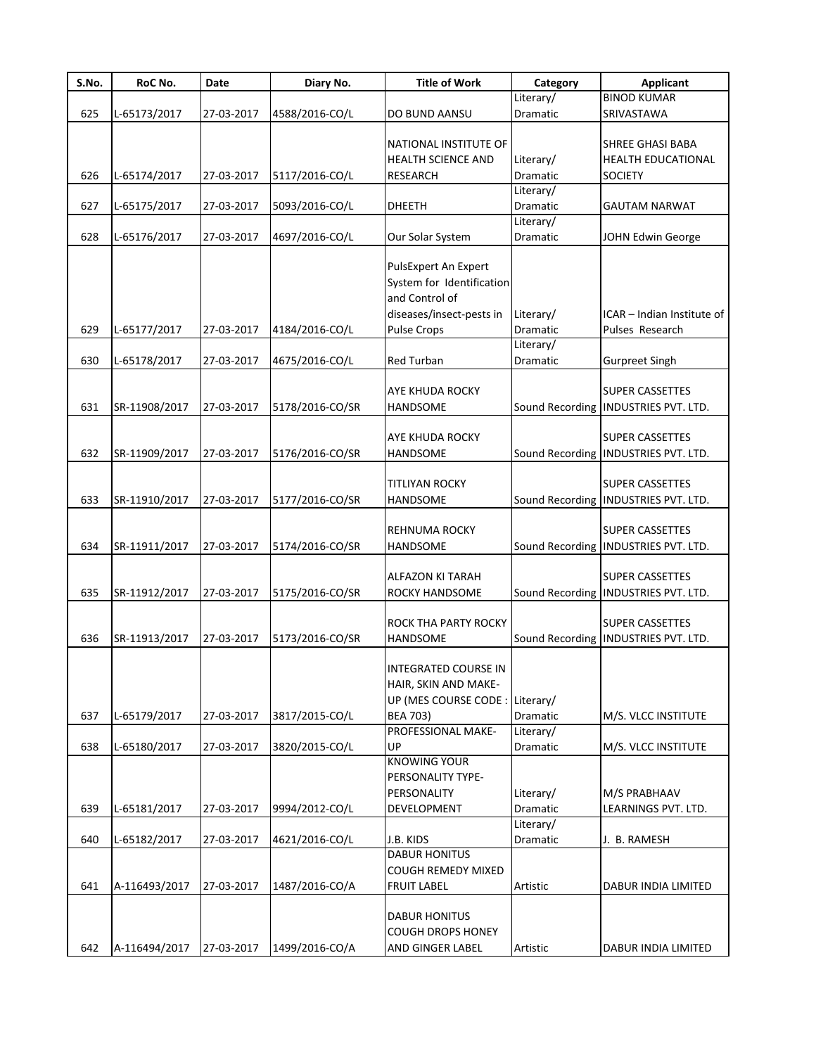| S.No. | RoC No.       | Date       | Diary No.       | <b>Title of Work</b>                                                                                                  | Category              | <b>Applicant</b>                                                |
|-------|---------------|------------|-----------------|-----------------------------------------------------------------------------------------------------------------------|-----------------------|-----------------------------------------------------------------|
|       |               |            |                 |                                                                                                                       | Literary/             | <b>BINOD KUMAR</b>                                              |
| 625   | L-65173/2017  | 27-03-2017 | 4588/2016-CO/L  | DO BUND AANSU                                                                                                         | Dramatic              | SRIVASTAWA                                                      |
| 626   | L-65174/2017  | 27-03-2017 | 5117/2016-CO/L  | NATIONAL INSTITUTE OF<br><b>HEALTH SCIENCE AND</b><br><b>RESEARCH</b>                                                 | Literary/<br>Dramatic | <b>SHREE GHASI BABA</b><br>HEALTH EDUCATIONAL<br><b>SOCIETY</b> |
| 627   | L-65175/2017  | 27-03-2017 | 5093/2016-CO/L  | DHEETH                                                                                                                | Literary/<br>Dramatic | <b>GAUTAM NARWAT</b>                                            |
| 628   | L-65176/2017  | 27-03-2017 | 4697/2016-CO/L  | Our Solar System                                                                                                      | Literary/<br>Dramatic | JOHN Edwin George                                               |
| 629   | L-65177/2017  | 27-03-2017 | 4184/2016-CO/L  | PulsExpert An Expert<br>System for Identification<br>and Control of<br>diseases/insect-pests in<br><b>Pulse Crops</b> | Literary/<br>Dramatic | ICAR - Indian Institute of<br>Pulses Research                   |
| 630   | L-65178/2017  | 27-03-2017 | 4675/2016-CO/L  | Red Turban                                                                                                            | Literary/<br>Dramatic | <b>Gurpreet Singh</b>                                           |
| 631   | SR-11908/2017 | 27-03-2017 | 5178/2016-CO/SR | AYE KHUDA ROCKY<br><b>HANDSOME</b>                                                                                    | Sound Recording       | <b>SUPER CASSETTES</b><br><b>INDUSTRIES PVT. LTD.</b>           |
| 632   | SR-11909/2017 | 27-03-2017 | 5176/2016-CO/SR | AYE KHUDA ROCKY<br>HANDSOME                                                                                           |                       | <b>SUPER CASSETTES</b><br>Sound Recording  INDUSTRIES PVT. LTD. |
| 633   | SR-11910/2017 | 27-03-2017 | 5177/2016-CO/SR | <b>TITLIYAN ROCKY</b><br>HANDSOME                                                                                     |                       | <b>SUPER CASSETTES</b><br>Sound Recording  INDUSTRIES PVT. LTD. |
| 634   | SR-11911/2017 | 27-03-2017 | 5174/2016-CO/SR | <b>REHNUMA ROCKY</b><br>HANDSOME                                                                                      |                       | <b>SUPER CASSETTES</b><br>Sound Recording  INDUSTRIES PVT. LTD. |
| 635   | SR-11912/2017 | 27-03-2017 | 5175/2016-CO/SR | ALFAZON KI TARAH<br>ROCKY HANDSOME                                                                                    |                       | <b>SUPER CASSETTES</b><br>Sound Recording INDUSTRIES PVT. LTD.  |
| 636   | SR-11913/2017 | 27-03-2017 | 5173/2016-CO/SR | ROCK THA PARTY ROCKY<br><b>HANDSOME</b>                                                                               |                       | <b>SUPER CASSETTES</b><br>Sound Recording  INDUSTRIES PVT. LTD. |
| 637   | L-65179/2017  | 27-03-2017 | 3817/2015-CO/L  | INTEGRATED COURSE IN<br>HAIR, SKIN AND MAKE-<br>UP (MES COURSE CODE : Literary/<br><b>BEA 703)</b>                    | Dramatic              | M/S. VLCC INSTITUTE                                             |
| 638   | L-65180/2017  | 27-03-2017 | 3820/2015-CO/L  | PROFESSIONAL MAKE-<br>UP                                                                                              | Literary/<br>Dramatic | M/S. VLCC INSTITUTE                                             |
| 639   | L-65181/2017  | 27-03-2017 | 9994/2012-CO/L  | <b>KNOWING YOUR</b><br>PERSONALITY TYPE-<br>PERSONALITY<br>DEVELOPMENT                                                | Literary/<br>Dramatic | M/S PRABHAAV<br>LEARNINGS PVT. LTD.                             |
| 640   | L-65182/2017  | 27-03-2017 | 4621/2016-CO/L  | J.B. KIDS                                                                                                             | Literary/<br>Dramatic | J. B. RAMESH                                                    |
| 641   | A-116493/2017 | 27-03-2017 | 1487/2016-CO/A  | <b>DABUR HONITUS</b><br>COUGH REMEDY MIXED<br><b>FRUIT LABEL</b>                                                      | Artistic              | DABUR INDIA LIMITED                                             |
| 642   | A-116494/2017 | 27-03-2017 | 1499/2016-CO/A  | <b>DABUR HONITUS</b><br><b>COUGH DROPS HONEY</b><br>AND GINGER LABEL                                                  | Artistic              | DABUR INDIA LIMITED                                             |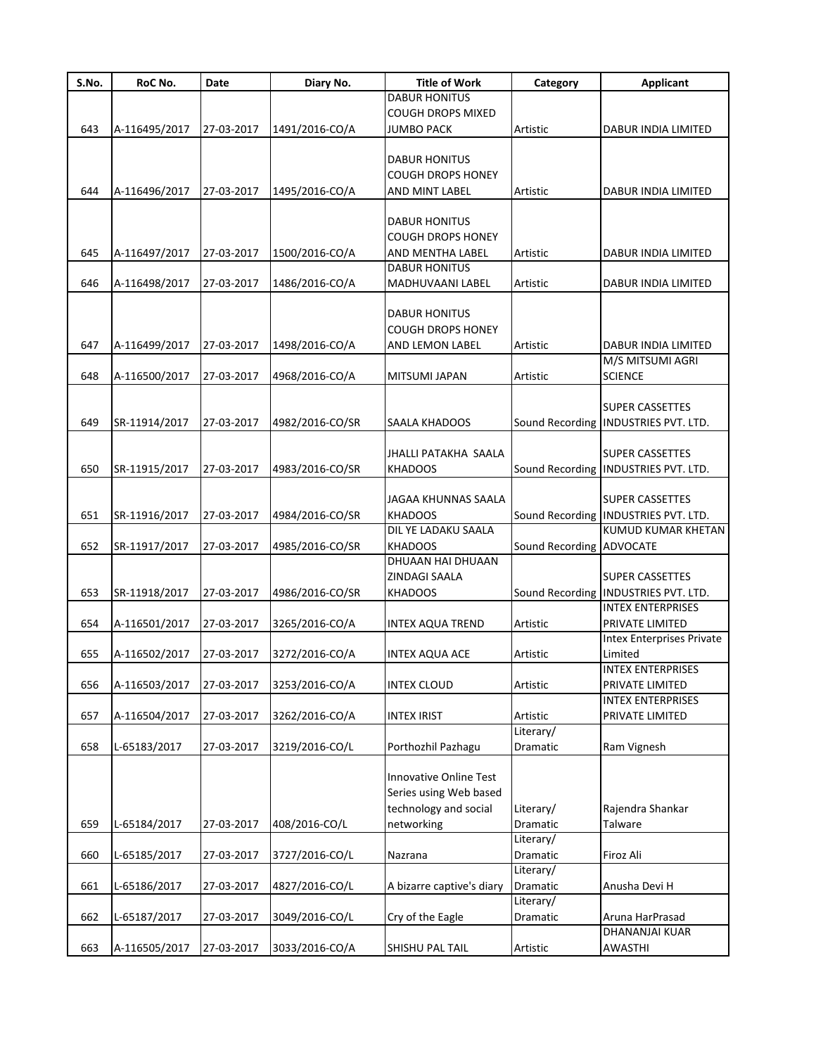| S.No. | RoC No.       | Date       | Diary No.       | <b>Title of Work</b>      | Category                 | Applicant                              |
|-------|---------------|------------|-----------------|---------------------------|--------------------------|----------------------------------------|
|       |               |            |                 | <b>DABUR HONITUS</b>      |                          |                                        |
|       |               |            |                 | <b>COUGH DROPS MIXED</b>  |                          |                                        |
| 643   | A-116495/2017 | 27-03-2017 | 1491/2016-CO/A  | JUMBO PACK                | Artistic                 | DABUR INDIA LIMITED                    |
|       |               |            |                 |                           |                          |                                        |
|       |               |            |                 | DABUR HONITUS             |                          |                                        |
|       |               |            |                 | <b>COUGH DROPS HONEY</b>  |                          |                                        |
| 644   | A-116496/2017 | 27-03-2017 | 1495/2016-CO/A  | AND MINT LABEL            | Artistic                 | DABUR INDIA LIMITED                    |
|       |               |            |                 |                           |                          |                                        |
|       |               |            |                 | <b>DABUR HONITUS</b>      |                          |                                        |
|       |               |            |                 | <b>COUGH DROPS HONEY</b>  |                          |                                        |
| 645   | A-116497/2017 | 27-03-2017 | 1500/2016-CO/A  | AND MENTHA LABEL          | Artistic                 | DABUR INDIA LIMITED                    |
|       |               |            |                 | <b>DABUR HONITUS</b>      |                          |                                        |
| 646   | A-116498/2017 | 27-03-2017 | 1486/2016-CO/A  | MADHUVAANI LABEL          | Artistic                 | DABUR INDIA LIMITED                    |
|       |               |            |                 |                           |                          |                                        |
|       |               |            |                 | <b>DABUR HONITUS</b>      |                          |                                        |
|       |               |            |                 | <b>COUGH DROPS HONEY</b>  |                          |                                        |
| 647   | A-116499/2017 | 27-03-2017 | 1498/2016-CO/A  | AND LEMON LABEL           | Artistic                 | DABUR INDIA LIMITED                    |
|       |               |            |                 |                           |                          | M/S MITSUMI AGRI                       |
| 648   | A-116500/2017 | 27-03-2017 | 4968/2016-CO/A  | <b>MITSUMI JAPAN</b>      | Artistic                 | <b>SCIENCE</b>                         |
|       |               |            |                 |                           |                          |                                        |
|       |               |            |                 |                           |                          | <b>SUPER CASSETTES</b>                 |
| 649   | SR-11914/2017 | 27-03-2017 | 4982/2016-CO/SR | SAALA KHADOOS             | Sound Recording          | INDUSTRIES PVT. LTD.                   |
|       |               |            |                 |                           |                          |                                        |
|       |               |            |                 | JHALLI PATAKHA SAALA      |                          | <b>SUPER CASSETTES</b>                 |
| 650   | SR-11915/2017 | 27-03-2017 | 4983/2016-CO/SR | <b>KHADOOS</b>            |                          | Sound Recording   INDUSTRIES PVT. LTD. |
|       |               |            |                 |                           |                          |                                        |
|       |               |            |                 | JAGAA KHUNNAS SAALA       |                          | <b>SUPER CASSETTES</b>                 |
| 651   | SR-11916/2017 | 27-03-2017 | 4984/2016-CO/SR | <b>KHADOOS</b>            |                          | Sound Recording INDUSTRIES PVT. LTD.   |
|       |               |            |                 | DIL YE LADAKU SAALA       |                          | KUMUD KUMAR KHETAN                     |
| 652   | SR-11917/2017 | 27-03-2017 | 4985/2016-CO/SR | <b>KHADOOS</b>            | Sound Recording ADVOCATE |                                        |
|       |               |            |                 | DHUAAN HAI DHUAAN         |                          |                                        |
|       |               |            |                 | ZINDAGI SAALA             |                          | <b>SUPER CASSETTES</b>                 |
| 653   | SR-11918/2017 | 27-03-2017 | 4986/2016-CO/SR | <b>KHADOOS</b>            |                          | Sound Recording   INDUSTRIES PVT. LTD. |
|       |               |            |                 |                           |                          | <b>INTEX ENTERPRISES</b>               |
| 654   | A-116501/2017 | 27-03-2017 | 3265/2016-CO/A  | INTEX AQUA TREND          | Artistic                 | PRIVATE LIMITED                        |
|       |               |            |                 |                           |                          | <b>Intex Enterprises Private</b>       |
| 655   | A-116502/2017 | 27-03-2017 | 3272/2016-CO/A  | <b>INTEX AQUA ACE</b>     | Artistic                 | Limited                                |
|       |               |            |                 |                           |                          | <b>INTEX ENTERPRISES</b>               |
| 656   | A-116503/2017 | 27-03-2017 | 3253/2016-CO/A  | <b>INTEX CLOUD</b>        | Artistic                 | PRIVATE LIMITED                        |
|       |               |            |                 |                           |                          | <b>INTEX ENTERPRISES</b>               |
| 657   | A-116504/2017 | 27-03-2017 | 3262/2016-CO/A  | <b>INTEX IRIST</b>        | Artistic                 | PRIVATE LIMITED                        |
|       |               |            |                 |                           | Literary/                |                                        |
| 658   | L-65183/2017  | 27-03-2017 | 3219/2016-CO/L  | Porthozhil Pazhagu        | Dramatic                 | Ram Vignesh                            |
|       |               |            |                 |                           |                          |                                        |
|       |               |            |                 | Innovative Online Test    |                          |                                        |
|       |               |            |                 | Series using Web based    |                          |                                        |
|       |               |            |                 | technology and social     | Literary/                | Rajendra Shankar                       |
| 659   | L-65184/2017  | 27-03-2017 | 408/2016-CO/L   | networking                | Dramatic                 | Talware                                |
|       |               |            |                 |                           | Literary/                |                                        |
| 660   | L-65185/2017  | 27-03-2017 | 3727/2016-CO/L  | Nazrana                   | Dramatic                 | Firoz Ali                              |
|       |               |            |                 |                           | Literary/                |                                        |
| 661   | L-65186/2017  | 27-03-2017 | 4827/2016-CO/L  | A bizarre captive's diary | Dramatic                 | Anusha Devi H                          |
|       |               |            |                 |                           | Literary/                |                                        |
| 662   | L-65187/2017  | 27-03-2017 | 3049/2016-CO/L  | Cry of the Eagle          | Dramatic                 | Aruna HarPrasad                        |
|       |               |            |                 |                           |                          | DHANANJAI KUAR                         |
| 663   | A-116505/2017 | 27-03-2017 | 3033/2016-CO/A  | SHISHU PAL TAIL           | Artistic                 | AWASTHI                                |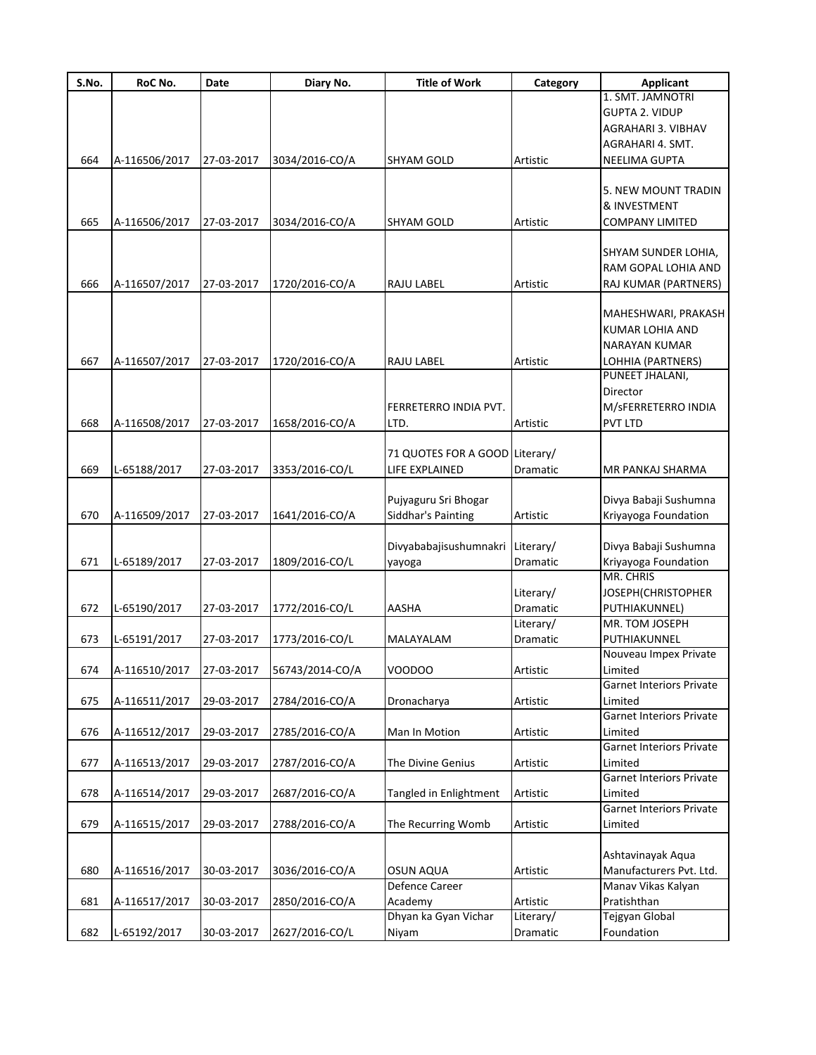| S.No. | RoC No.                  | Date       | Diary No.       | <b>Title of Work</b>           | Category  | <b>Applicant</b>                           |
|-------|--------------------------|------------|-----------------|--------------------------------|-----------|--------------------------------------------|
|       |                          |            |                 |                                |           | 1. SMT. JAMNOTRI                           |
|       |                          |            |                 |                                |           | <b>GUPTA 2. VIDUP</b>                      |
|       |                          |            |                 |                                |           | AGRAHARI 3. VIBHAV                         |
|       |                          |            |                 |                                |           | AGRAHARI 4. SMT.                           |
| 664   | A-116506/2017            | 27-03-2017 | 3034/2016-CO/A  | <b>SHYAM GOLD</b>              | Artistic  | <b>NEELIMA GUPTA</b>                       |
|       |                          |            |                 |                                |           | 5. NEW MOUNT TRADIN                        |
|       |                          |            |                 |                                |           |                                            |
|       |                          |            |                 |                                |           | & INVESTMENT                               |
| 665   | A-116506/2017            | 27-03-2017 | 3034/2016-CO/A  | <b>SHYAM GOLD</b>              | Artistic  | <b>COMPANY LIMITED</b>                     |
|       |                          |            |                 |                                |           | SHYAM SUNDER LOHIA,                        |
|       |                          |            |                 |                                |           | RAM GOPAL LOHIA AND                        |
|       |                          |            |                 |                                |           |                                            |
| 666   | A-116507/2017            | 27-03-2017 | 1720/2016-CO/A  | RAJU LABEL                     | Artistic  | RAJ KUMAR (PARTNERS)                       |
|       |                          |            |                 |                                |           | MAHESHWARI, PRAKASH                        |
|       |                          |            |                 |                                |           | KUMAR LOHIA AND                            |
|       |                          |            |                 |                                |           | NARAYAN KUMAR                              |
| 667   | A-116507/2017            | 27-03-2017 | 1720/2016-CO/A  | RAJU LABEL                     | Artistic  | LOHHIA (PARTNERS)                          |
|       |                          |            |                 |                                |           | PUNEET JHALANI,                            |
|       |                          |            |                 |                                |           | Director                                   |
|       |                          |            |                 | FERRETERRO INDIA PVT.          |           | M/SFERRETERRO INDIA                        |
| 668   | A-116508/2017            | 27-03-2017 | 1658/2016-CO/A  | LTD.                           | Artistic  | <b>PVT LTD</b>                             |
|       |                          |            |                 |                                |           |                                            |
|       |                          |            |                 | 71 QUOTES FOR A GOOD Literary/ |           |                                            |
| 669   | L-65188/2017             | 27-03-2017 | 3353/2016-CO/L  | LIFE EXPLAINED                 | Dramatic  | MR PANKAJ SHARMA                           |
|       |                          |            |                 |                                |           |                                            |
|       |                          |            |                 | Pujyaguru Sri Bhogar           |           | Divya Babaji Sushumna                      |
| 670   | A-116509/2017            | 27-03-2017 | 1641/2016-CO/A  | Siddhar's Painting             | Artistic  | Kriyayoga Foundation                       |
|       |                          |            |                 |                                |           |                                            |
|       |                          |            |                 | Divyababajisushumnakri         | Literary/ | Divya Babaji Sushumna                      |
| 671   | L-65189/2017             | 27-03-2017 | 1809/2016-CO/L  | yayoga                         | Dramatic  | Kriyayoga Foundation                       |
|       |                          |            |                 |                                |           | MR. CHRIS                                  |
|       |                          |            |                 |                                | Literary/ | JOSEPH (CHRISTOPHER                        |
| 672   | L-65190/2017             | 27-03-2017 | 1772/2016-CO/L  | <b>AASHA</b>                   | Dramatic  | PUTHIAKUNNEL)                              |
|       |                          |            |                 |                                | Literary/ | MR. TOM JOSEPH                             |
| 673   | L-65191/2017             | 27-03-2017 | 1773/2016-CO/L  | MALAYALAM                      | Dramatic  | PUTHIAKUNNEL                               |
|       |                          |            |                 |                                |           | Nouveau Impex Private                      |
| 674   | A-116510/2017 27-03-2017 |            | 56743/2014-CO/A | VOODOO                         | Artistic  | Limited                                    |
|       |                          |            |                 |                                |           | <b>Garnet Interiors Private</b>            |
| 675   | A-116511/2017            | 29-03-2017 | 2784/2016-CO/A  | Dronacharya                    | Artistic  | Limited                                    |
|       |                          |            |                 |                                |           | <b>Garnet Interiors Private</b>            |
| 676   | A-116512/2017            | 29-03-2017 | 2785/2016-CO/A  | Man In Motion                  | Artistic  | Limited                                    |
|       |                          |            |                 |                                |           | <b>Garnet Interiors Private</b>            |
| 677   | A-116513/2017            | 29-03-2017 | 2787/2016-CO/A  | The Divine Genius              | Artistic  | Limited                                    |
|       |                          |            |                 |                                |           | <b>Garnet Interiors Private</b>            |
| 678   | A-116514/2017            | 29-03-2017 | 2687/2016-CO/A  | Tangled in Enlightment         | Artistic  | Limited<br><b>Garnet Interiors Private</b> |
| 679   | A-116515/2017            | 29-03-2017 | 2788/2016-CO/A  | The Recurring Womb             | Artistic  | Limited                                    |
|       |                          |            |                 |                                |           |                                            |
|       |                          |            |                 |                                |           | Ashtavinayak Aqua                          |
| 680   | A-116516/2017            | 30-03-2017 | 3036/2016-CO/A  | <b>OSUN AQUA</b>               | Artistic  | Manufacturers Pvt. Ltd.                    |
|       |                          |            |                 | Defence Career                 |           | Manav Vikas Kalyan                         |
| 681   | A-116517/2017            | 30-03-2017 | 2850/2016-CO/A  | Academy                        | Artistic  | Pratishthan                                |
|       |                          |            |                 | Dhyan ka Gyan Vichar           | Literary/ | Tejgyan Global                             |
| 682   | L-65192/2017             | 30-03-2017 | 2627/2016-CO/L  | Niyam                          | Dramatic  | Foundation                                 |
|       |                          |            |                 |                                |           |                                            |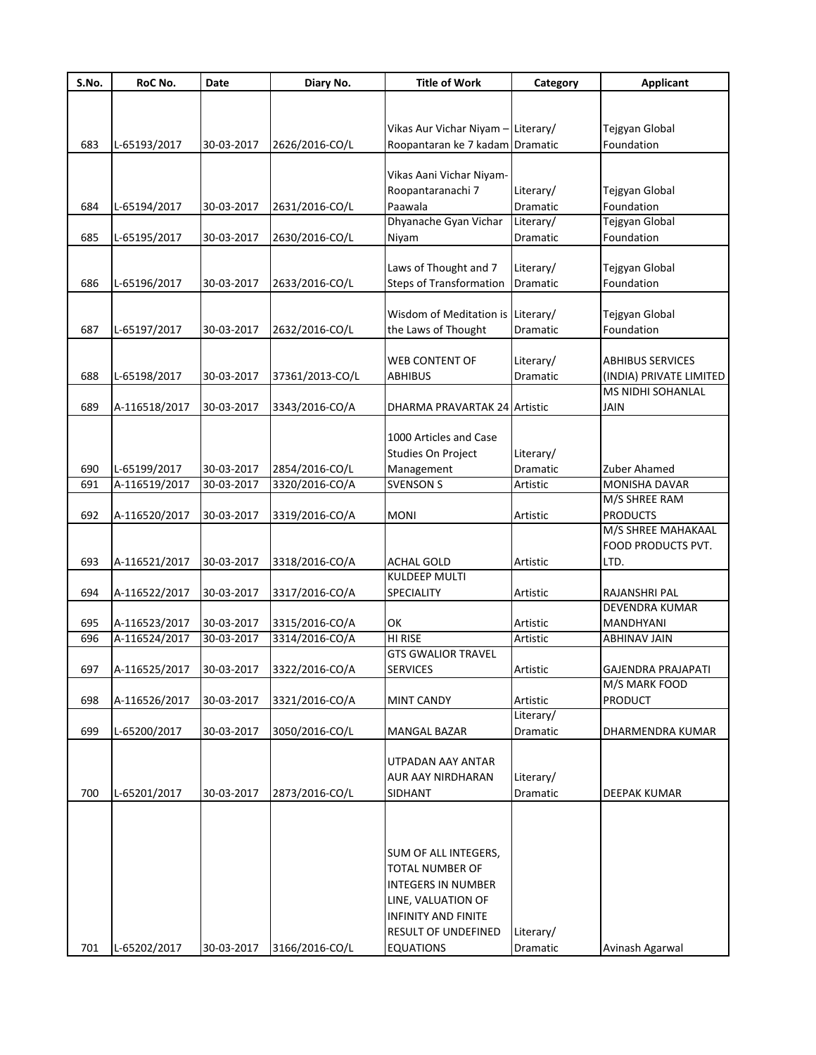| S.No. | RoC No.                  | Date       | Diary No.       | <b>Title of Work</b>              | Category        | <b>Applicant</b>          |
|-------|--------------------------|------------|-----------------|-----------------------------------|-----------------|---------------------------|
|       |                          |            |                 |                                   |                 |                           |
|       |                          |            |                 |                                   |                 |                           |
|       |                          |            |                 | Vikas Aur Vichar Niyam -          | Literary/       | Tejgyan Global            |
| 683   | L-65193/2017             | 30-03-2017 | 2626/2016-CO/L  | Roopantaran ke 7 kadam Dramatic   |                 | Foundation                |
|       |                          |            |                 |                                   |                 |                           |
|       |                          |            |                 | Vikas Aani Vichar Niyam-          |                 |                           |
|       |                          |            |                 | Roopantaranachi 7                 | Literary/       | Tejgyan Global            |
| 684   | L-65194/2017             | 30-03-2017 | 2631/2016-CO/L  | Paawala                           | <b>Dramatic</b> | Foundation                |
|       |                          |            |                 | Dhyanache Gyan Vichar             | Literary/       | Tejgyan Global            |
| 685   | L-65195/2017             | 30-03-2017 | 2630/2016-CO/L  | Niyam                             | Dramatic        | Foundation                |
|       |                          |            |                 |                                   |                 |                           |
|       |                          |            |                 | Laws of Thought and 7             | Literary/       | Tejgyan Global            |
| 686   | L-65196/2017             | 30-03-2017 | 2633/2016-CO/L  | <b>Steps of Transformation</b>    | Dramatic        | Foundation                |
|       |                          |            |                 |                                   |                 |                           |
|       |                          |            |                 | Wisdom of Meditation is Literary/ |                 | Tejgyan Global            |
| 687   | L-65197/2017             | 30-03-2017 | 2632/2016-CO/L  | the Laws of Thought               | Dramatic        | Foundation                |
|       |                          |            |                 |                                   |                 |                           |
|       |                          |            |                 | <b>WEB CONTENT OF</b>             | Literary/       | <b>ABHIBUS SERVICES</b>   |
| 688   | L-65198/2017             | 30-03-2017 | 37361/2013-CO/L | <b>ABHIBUS</b>                    | Dramatic        | (INDIA) PRIVATE LIMITED   |
|       |                          |            |                 |                                   |                 | <b>MS NIDHI SOHANLAL</b>  |
| 689   | A-116518/2017            | 30-03-2017 | 3343/2016-CO/A  | DHARMA PRAVARTAK 24 Artistic      |                 | <b>JAIN</b>               |
|       |                          |            |                 |                                   |                 |                           |
|       |                          |            |                 | 1000 Articles and Case            |                 |                           |
|       |                          |            |                 | Studies On Project                | Literary/       |                           |
| 690   | L-65199/2017             | 30-03-2017 | 2854/2016-CO/L  | Management                        | Dramatic        | Zuber Ahamed              |
| 691   | A-116519/2017            | 30-03-2017 | 3320/2016-CO/A  | <b>SVENSON S</b>                  | Artistic        | MONISHA DAVAR             |
|       |                          |            |                 |                                   |                 | M/S SHREE RAM             |
| 692   | A-116520/2017            | 30-03-2017 | 3319/2016-CO/A  | <b>MONI</b>                       | Artistic        | <b>PRODUCTS</b>           |
|       |                          |            |                 |                                   |                 | M/S SHREE MAHAKAAL        |
|       |                          |            |                 |                                   |                 | FOOD PRODUCTS PVT.        |
| 693   | A-116521/2017            | 30-03-2017 | 3318/2016-CO/A  | <b>ACHAL GOLD</b>                 | Artistic        | LTD.                      |
|       |                          |            |                 | <b>KULDEEP MULTI</b>              |                 |                           |
| 694   | A-116522/2017            | 30-03-2017 | 3317/2016-CO/A  | SPECIALITY                        | Artistic        | RAJANSHRI PAL             |
|       |                          |            |                 |                                   |                 | <b>DEVENDRA KUMAR</b>     |
| 695   | A-116523/2017            | 30-03-2017 | 3315/2016-CO/A  | OK                                | Artistic        | MANDHYANI                 |
| 696   | A-116524/2017            | 30-03-2017 | 3314/2016-CO/A  | HI RISE                           | Artistic        | <b>ABHINAV JAIN</b>       |
|       |                          |            |                 | <b>GTS GWALIOR TRAVEL</b>         |                 |                           |
| 697   | A-116525/2017 30-03-2017 |            | 3322/2016-CO/A  | <b>SERVICES</b>                   | Artistic        | <b>GAJENDRA PRAJAPATI</b> |
|       |                          |            |                 |                                   |                 | M/S MARK FOOD             |
| 698   | A-116526/2017            | 30-03-2017 | 3321/2016-CO/A  | <b>MINT CANDY</b>                 | Artistic        | <b>PRODUCT</b>            |
|       |                          |            |                 |                                   | Literary/       |                           |
| 699   | L-65200/2017             | 30-03-2017 | 3050/2016-CO/L  | MANGAL BAZAR                      | Dramatic        | DHARMENDRA KUMAR          |
|       |                          |            |                 |                                   |                 |                           |
|       |                          |            |                 | UTPADAN AAY ANTAR                 |                 |                           |
|       |                          |            |                 | AUR AAY NIRDHARAN                 | Literary/       |                           |
| 700   | L-65201/2017             | 30-03-2017 | 2873/2016-CO/L  | <b>SIDHANT</b>                    | Dramatic        | DEEPAK KUMAR              |
|       |                          |            |                 |                                   |                 |                           |
|       |                          |            |                 |                                   |                 |                           |
|       |                          |            |                 |                                   |                 |                           |
|       |                          |            |                 | SUM OF ALL INTEGERS,              |                 |                           |
|       |                          |            |                 | TOTAL NUMBER OF                   |                 |                           |
|       |                          |            |                 | <b>INTEGERS IN NUMBER</b>         |                 |                           |
|       |                          |            |                 | LINE, VALUATION OF                |                 |                           |
|       |                          |            |                 | <b>INFINITY AND FINITE</b>        |                 |                           |
|       |                          |            |                 | <b>RESULT OF UNDEFINED</b>        | Literary/       |                           |
| 701   | L-65202/2017             | 30-03-2017 | 3166/2016-CO/L  | <b>EQUATIONS</b>                  | Dramatic        | Avinash Agarwal           |